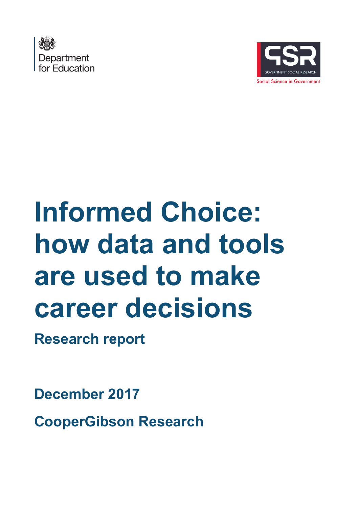



# **Informed Choice: how data and tools are used to make career decisions**

**Research report**

**December 2017**

**CooperGibson Research**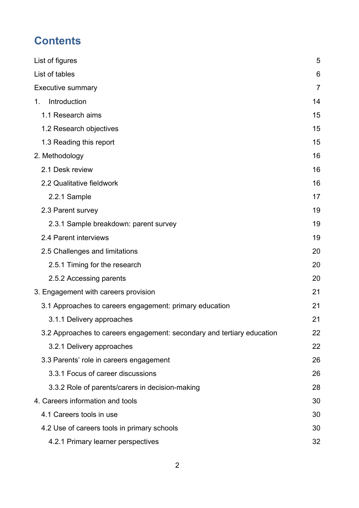# **Contents**

| List of figures                                                        | 5  |
|------------------------------------------------------------------------|----|
| List of tables                                                         | 6  |
| <b>Executive summary</b>                                               | 7  |
| Introduction<br>1.                                                     | 14 |
| 1.1 Research aims                                                      | 15 |
| 1.2 Research objectives                                                | 15 |
| 1.3 Reading this report                                                | 15 |
| 2. Methodology                                                         | 16 |
| 2.1 Desk review                                                        | 16 |
| 2.2 Qualitative fieldwork                                              | 16 |
| 2.2.1 Sample                                                           | 17 |
| 2.3 Parent survey                                                      | 19 |
| 2.3.1 Sample breakdown: parent survey                                  | 19 |
| 2.4 Parent interviews                                                  | 19 |
| 2.5 Challenges and limitations                                         | 20 |
| 2.5.1 Timing for the research                                          | 20 |
| 2.5.2 Accessing parents                                                | 20 |
| 3. Engagement with careers provision                                   | 21 |
| 3.1 Approaches to careers engagement: primary education                | 21 |
| 3.1.1 Delivery approaches                                              | 21 |
| 3.2 Approaches to careers engagement: secondary and tertiary education | 22 |
| 3.2.1 Delivery approaches                                              | 22 |
| 3.3 Parents' role in careers engagement                                | 26 |
| 3.3.1 Focus of career discussions                                      | 26 |
| 3.3.2 Role of parents/carers in decision-making                        | 28 |
| 4. Careers information and tools                                       | 30 |
| 4.1 Careers tools in use                                               | 30 |
| 4.2 Use of careers tools in primary schools                            | 30 |
| 4.2.1 Primary learner perspectives                                     | 32 |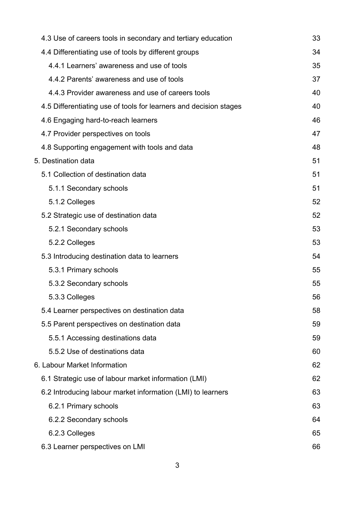| 4.3 Use of careers tools in secondary and tertiary education      | 33 |
|-------------------------------------------------------------------|----|
| 4.4 Differentiating use of tools by different groups              | 34 |
| 4.4.1 Learners' awareness and use of tools                        | 35 |
| 4.4.2 Parents' awareness and use of tools                         | 37 |
| 4.4.3 Provider awareness and use of careers tools                 | 40 |
| 4.5 Differentiating use of tools for learners and decision stages | 40 |
| 4.6 Engaging hard-to-reach learners                               | 46 |
| 4.7 Provider perspectives on tools                                | 47 |
| 4.8 Supporting engagement with tools and data                     | 48 |
| 5. Destination data                                               | 51 |
| 5.1 Collection of destination data                                | 51 |
| 5.1.1 Secondary schools                                           | 51 |
| 5.1.2 Colleges                                                    | 52 |
| 5.2 Strategic use of destination data                             | 52 |
| 5.2.1 Secondary schools                                           | 53 |
| 5.2.2 Colleges                                                    | 53 |
| 5.3 Introducing destination data to learners                      | 54 |
| 5.3.1 Primary schools                                             | 55 |
| 5.3.2 Secondary schools                                           | 55 |
| 5.3.3 Colleges                                                    | 56 |
| 5.4 Learner perspectives on destination data                      | 58 |
| 5.5 Parent perspectives on destination data                       | 59 |
| 5.5.1 Accessing destinations data                                 | 59 |
| 5.5.2 Use of destinations data                                    | 60 |
| 6. Labour Market Information                                      | 62 |
| 6.1 Strategic use of labour market information (LMI)              | 62 |
| 6.2 Introducing labour market information (LMI) to learners       | 63 |
| 6.2.1 Primary schools                                             | 63 |
| 6.2.2 Secondary schools                                           | 64 |
| 6.2.3 Colleges                                                    | 65 |
| 6.3 Learner perspectives on LMI                                   | 66 |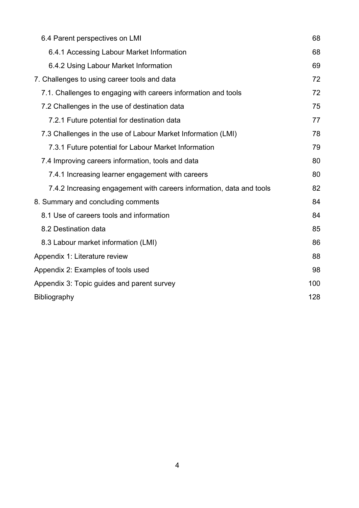| 6.4 Parent perspectives on LMI                                       | 68  |
|----------------------------------------------------------------------|-----|
| 6.4.1 Accessing Labour Market Information                            | 68  |
| 6.4.2 Using Labour Market Information                                | 69  |
| 7. Challenges to using career tools and data                         | 72  |
| 7.1. Challenges to engaging with careers information and tools       | 72  |
| 7.2 Challenges in the use of destination data                        | 75  |
| 7.2.1 Future potential for destination data                          | 77  |
| 7.3 Challenges in the use of Labour Market Information (LMI)         | 78  |
| 7.3.1 Future potential for Labour Market Information                 | 79  |
| 7.4 Improving careers information, tools and data                    | 80  |
| 7.4.1 Increasing learner engagement with careers                     | 80  |
| 7.4.2 Increasing engagement with careers information, data and tools | 82  |
| 8. Summary and concluding comments                                   | 84  |
| 8.1 Use of careers tools and information                             | 84  |
| 8.2 Destination data                                                 | 85  |
| 8.3 Labour market information (LMI)                                  | 86  |
| Appendix 1: Literature review                                        | 88  |
| Appendix 2: Examples of tools used                                   | 98  |
| Appendix 3: Topic guides and parent survey                           | 100 |
| <b>Bibliography</b>                                                  | 128 |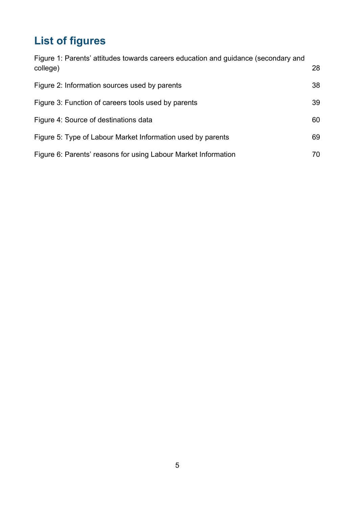# <span id="page-4-0"></span>**List of figures**

| Figure 1: Parents' attitudes towards careers education and guidance (secondary and<br>college) | 28 |
|------------------------------------------------------------------------------------------------|----|
| Figure 2: Information sources used by parents                                                  | 38 |
| Figure 3: Function of careers tools used by parents                                            | 39 |
| Figure 4: Source of destinations data                                                          | 60 |
| Figure 5: Type of Labour Market Information used by parents                                    | 69 |
| Figure 6: Parents' reasons for using Labour Market Information                                 | 70 |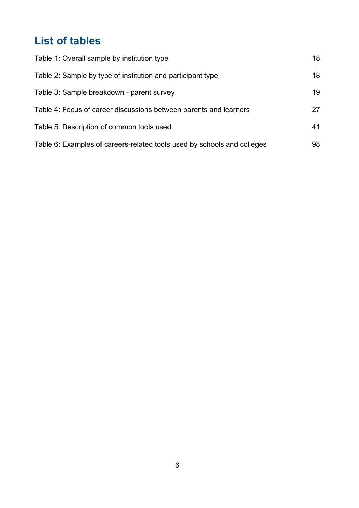# <span id="page-5-0"></span>**List of tables**

| Table 1: Overall sample by institution type                             | 18 |
|-------------------------------------------------------------------------|----|
| Table 2: Sample by type of institution and participant type             | 18 |
| Table 3: Sample breakdown - parent survey                               | 19 |
| Table 4: Focus of career discussions between parents and learners       | 27 |
| Table 5: Description of common tools used                               | 41 |
| Table 6: Examples of careers-related tools used by schools and colleges | 98 |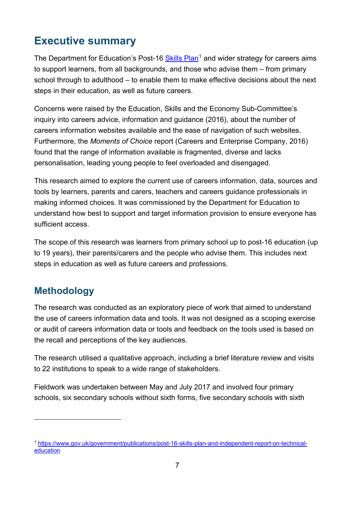# <span id="page-6-0"></span>**Executive summary**

The Department for Education's Post-16 [Skills Plan](https://www.gov.uk/government/publications/post-16-skills-plan-and-independent-report-on-technical-education)<sup>[1](#page-6-1)</sup> and wider strategy for careers aims to support learners, from all backgrounds, and those who advise them – from primary school through to adulthood – to enable them to make effective decisions about the next steps in their education, as well as future careers.

Concerns were raised by the Education, Skills and the Economy Sub-Committee's inquiry into careers advice, information and guidance (2016), about the number of careers information websites available and the ease of navigation of such websites. Furthermore, the *Moments of Choice* report (Careers and Enterprise Company, 2016) found that the range of information available is fragmented, diverse and lacks personalisation, leading young people to feel overloaded and disengaged.

This research aimed to explore the current use of careers information, data, sources and tools by learners, parents and carers, teachers and careers guidance professionals in making informed choices. It was commissioned by the Department for Education to understand how best to support and target information provision to ensure everyone has sufficient access.

The scope of this research was learners from primary school up to post-16 education (up to 19 years), their parents/carers and the people who advise them. This includes next steps in education as well as future careers and professions.

# **Methodology**

 $\overline{a}$ 

The research was conducted as an exploratory piece of work that aimed to understand the use of careers information data and tools. It was not designed as a scoping exercise or audit of careers information data or tools and feedback on the tools used is based on the recall and perceptions of the key audiences.

The research utilised a qualitative approach, including a brief literature review and visits to 22 institutions to speak to a wide range of stakeholders.

Fieldwork was undertaken between May and July 2017 and involved four primary schools, six secondary schools without sixth forms, five secondary schools with sixth

<span id="page-6-1"></span><sup>1</sup> [https://www.gov.uk/government/publications/post-16-skills-plan-and-independent-report-on-technical](https://www.gov.uk/government/publications/post-16-skills-plan-and-independent-report-on-technical-education)[education](https://www.gov.uk/government/publications/post-16-skills-plan-and-independent-report-on-technical-education)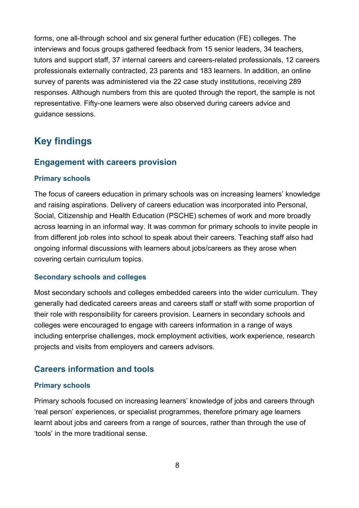forms, one all-through school and six general further education (FE) colleges. The interviews and focus groups gathered feedback from 15 senior leaders, 34 teachers, tutors and support staff, 37 internal careers and careers-related professionals, 12 careers professionals externally contracted, 23 parents and 183 learners. In addition, an online survey of parents was administered via the 22 case study institutions, receiving 289 responses. Although numbers from this are quoted through the report, the sample is not representative. Fifty-one learners were also observed during careers advice and guidance sessions.

# **Key findings**

#### **Engagement with careers provision**

#### **Primary schools**

The focus of careers education in primary schools was on increasing learners' knowledge and raising aspirations. Delivery of careers education was incorporated into Personal, Social, Citizenship and Health Education (PSCHE) schemes of work and more broadly across learning in an informal way. It was common for primary schools to invite people in from different job roles into school to speak about their careers. Teaching staff also had ongoing informal discussions with learners about jobs/careers as they arose when covering certain curriculum topics.

#### **Secondary schools and colleges**

Most secondary schools and colleges embedded careers into the wider curriculum. They generally had dedicated careers areas and careers staff or staff with some proportion of their role with responsibility for careers provision. Learners in secondary schools and colleges were encouraged to engage with careers information in a range of ways including enterprise challenges, mock employment activities, work experience, research projects and visits from employers and careers advisors.

#### **Careers information and tools**

#### **Primary schools**

Primary schools focused on increasing learners' knowledge of jobs and careers through 'real person' experiences, or specialist programmes, therefore primary age learners learnt about jobs and careers from a range of sources, rather than through the use of 'tools' in the more traditional sense.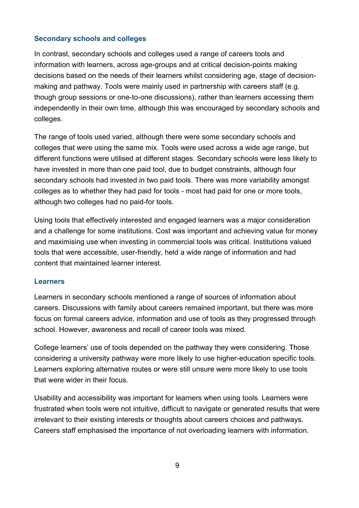#### **Secondary schools and colleges**

In contrast, secondary schools and colleges used a range of careers tools and information with learners, across age-groups and at critical decision-points making decisions based on the needs of their learners whilst considering age, stage of decisionmaking and pathway. Tools were mainly used in partnership with careers staff (e.g. though group sessions or one-to-one discussions), rather than learners accessing them independently in their own time, although this was encouraged by secondary schools and colleges.

The range of tools used varied, although there were some secondary schools and colleges that were using the same mix. Tools were used across a wide age range, but different functions were utilised at different stages. Secondary schools were less likely to have invested in more than one paid tool, due to budget constraints, although four secondary schools had invested in two paid tools. There was more variability amongst colleges as to whether they had paid for tools - most had paid for one or more tools, although two colleges had no paid-for tools.

Using tools that effectively interested and engaged learners was a major consideration and a challenge for some institutions. Cost was important and achieving value for money and maximising use when investing in commercial tools was critical. Institutions valued tools that were accessible, user-friendly, held a wide range of information and had content that maintained learner interest.

#### **Learners**

Learners in secondary schools mentioned a range of sources of information about careers. Discussions with family about careers remained important, but there was more focus on formal careers advice, information and use of tools as they progressed through school. However, awareness and recall of career tools was mixed.

College learners' use of tools depended on the pathway they were considering. Those considering a university pathway were more likely to use higher-education specific tools. Learners exploring alternative routes or were still unsure were more likely to use tools that were wider in their focus.

Usability and accessibility was important for learners when using tools. Learners were frustrated when tools were not intuitive, difficult to navigate or generated results that were irrelevant to their existing interests or thoughts about careers choices and pathways. Careers staff emphasised the importance of not overloading learners with information.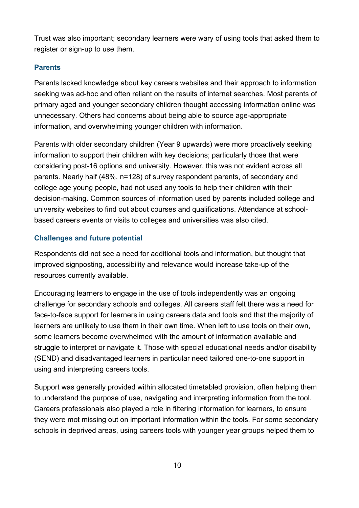Trust was also important; secondary learners were wary of using tools that asked them to register or sign-up to use them.

#### **Parents**

Parents lacked knowledge about key careers websites and their approach to information seeking was ad-hoc and often reliant on the results of internet searches. Most parents of primary aged and younger secondary children thought accessing information online was unnecessary. Others had concerns about being able to source age-appropriate information, and overwhelming younger children with information.

Parents with older secondary children (Year 9 upwards) were more proactively seeking information to support their children with key decisions; particularly those that were considering post-16 options and university. However, this was not evident across all parents. Nearly half (48%, n=128) of survey respondent parents, of secondary and college age young people, had not used any tools to help their children with their decision-making. Common sources of information used by parents included college and university websites to find out about courses and qualifications. Attendance at schoolbased careers events or visits to colleges and universities was also cited.

#### **Challenges and future potential**

Respondents did not see a need for additional tools and information, but thought that improved signposting, accessibility and relevance would increase take-up of the resources currently available.

Encouraging learners to engage in the use of tools independently was an ongoing challenge for secondary schools and colleges. All careers staff felt there was a need for face-to-face support for learners in using careers data and tools and that the majority of learners are unlikely to use them in their own time. When left to use tools on their own, some learners become overwhelmed with the amount of information available and struggle to interpret or navigate it. Those with special educational needs and/or disability (SEND) and disadvantaged learners in particular need tailored one-to-one support in using and interpreting careers tools.

Support was generally provided within allocated timetabled provision, often helping them to understand the purpose of use, navigating and interpreting information from the tool. Careers professionals also played a role in filtering information for learners, to ensure they were mot missing out on important information within the tools. For some secondary schools in deprived areas, using careers tools with younger year groups helped them to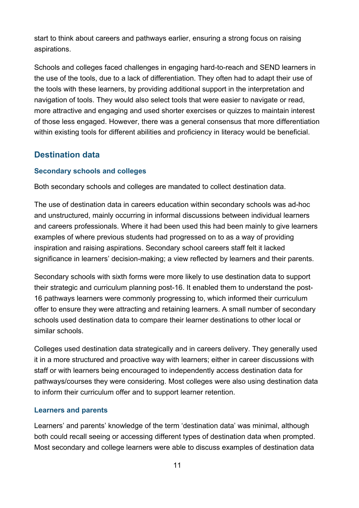start to think about careers and pathways earlier, ensuring a strong focus on raising aspirations.

Schools and colleges faced challenges in engaging hard-to-reach and SEND learners in the use of the tools, due to a lack of differentiation. They often had to adapt their use of the tools with these learners, by providing additional support in the interpretation and navigation of tools. They would also select tools that were easier to navigate or read, more attractive and engaging and used shorter exercises or quizzes to maintain interest of those less engaged. However, there was a general consensus that more differentiation within existing tools for different abilities and proficiency in literacy would be beneficial.

### **Destination data**

#### **Secondary schools and colleges**

Both secondary schools and colleges are mandated to collect destination data.

The use of destination data in careers education within secondary schools was ad-hoc and unstructured, mainly occurring in informal discussions between individual learners and careers professionals. Where it had been used this had been mainly to give learners examples of where previous students had progressed on to as a way of providing inspiration and raising aspirations. Secondary school careers staff felt it lacked significance in learners' decision-making; a view reflected by learners and their parents.

Secondary schools with sixth forms were more likely to use destination data to support their strategic and curriculum planning post-16. It enabled them to understand the post-16 pathways learners were commonly progressing to, which informed their curriculum offer to ensure they were attracting and retaining learners. A small number of secondary schools used destination data to compare their learner destinations to other local or similar schools.

Colleges used destination data strategically and in careers delivery. They generally used it in a more structured and proactive way with learners; either in career discussions with staff or with learners being encouraged to independently access destination data for pathways/courses they were considering. Most colleges were also using destination data to inform their curriculum offer and to support learner retention.

#### **Learners and parents**

Learners' and parents' knowledge of the term 'destination data' was minimal, although both could recall seeing or accessing different types of destination data when prompted. Most secondary and college learners were able to discuss examples of destination data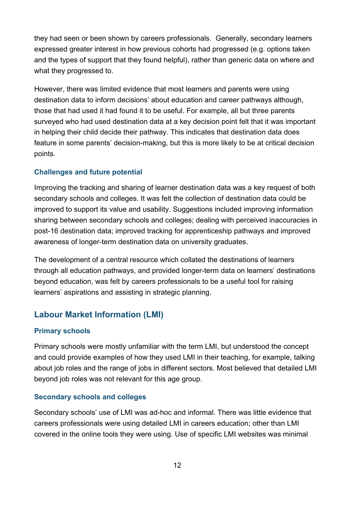they had seen or been shown by careers professionals. Generally, secondary learners expressed greater interest in how previous cohorts had progressed (e.g. options taken and the types of support that they found helpful), rather than generic data on where and what they progressed to.

However, there was limited evidence that most learners and parents were using destination data to inform decisions' about education and career pathways although, those that had used it had found it to be useful. For example, all but three parents surveyed who had used destination data at a key decision point felt that it was important in helping their child decide their pathway. This indicates that destination data does feature in some parents' decision-making, but this is more likely to be at critical decision points.

#### **Challenges and future potential**

Improving the tracking and sharing of learner destination data was a key request of both secondary schools and colleges. It was felt the collection of destination data could be improved to support its value and usability. Suggestions included improving information sharing between secondary schools and colleges; dealing with perceived inaccuracies in post-16 destination data; improved tracking for apprenticeship pathways and improved awareness of longer-term destination data on university graduates.

The development of a central resource which collated the destinations of learners through all education pathways, and provided longer-term data on learners' destinations beyond education, was felt by careers professionals to be a useful tool for raising learners' aspirations and assisting in strategic planning.

### **Labour Market Information (LMI)**

#### **Primary schools**

Primary schools were mostly unfamiliar with the term LMI, but understood the concept and could provide examples of how they used LMI in their teaching, for example, talking about job roles and the range of jobs in different sectors. Most believed that detailed LMI beyond job roles was not relevant for this age group.

#### **Secondary schools and colleges**

Secondary schools' use of LMI was ad-hoc and informal. There was little evidence that careers professionals were using detailed LMI in careers education; other than LMI covered in the online tools they were using. Use of specific LMI websites was minimal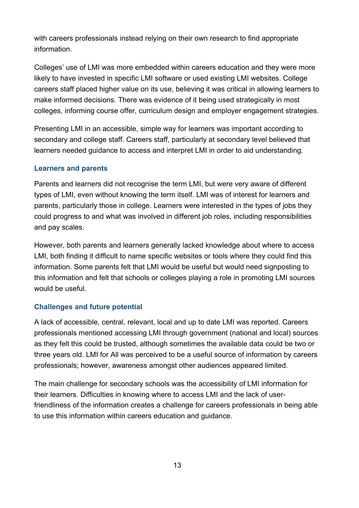with careers professionals instead relying on their own research to find appropriate information.

Colleges' use of LMI was more embedded within careers education and they were more likely to have invested in specific LMI software or used existing LMI websites. College careers staff placed higher value on its use, believing it was critical in allowing learners to make informed decisions. There was evidence of it being used strategically in most colleges, informing course offer, curriculum design and employer engagement strategies.

Presenting LMI in an accessible, simple way for learners was important according to secondary and college staff. Careers staff, particularly at secondary level believed that learners needed guidance to access and interpret LMI in order to aid understanding.

#### **Learners and parents**

Parents and learners did not recognise the term LMI, but were very aware of different types of LMI, even without knowing the term itself. LMI was of interest for learners and parents, particularly those in college. Learners were interested in the types of jobs they could progress to and what was involved in different job roles, including responsibilities and pay scales.

However, both parents and learners generally lacked knowledge about where to access LMI, both finding it difficult to name specific websites or tools where they could find this information. Some parents felt that LMI would be useful but would need signposting to this information and felt that schools or colleges playing a role in promoting LMI sources would be useful.

#### **Challenges and future potential**

A lack of accessible, central, relevant, local and up to date LMI was reported. Careers professionals mentioned accessing LMI through government (national and local) sources as they felt this could be trusted, although sometimes the available data could be two or three years old. LMI for All was perceived to be a useful source of information by careers professionals; however, awareness amongst other audiences appeared limited.

The main challenge for secondary schools was the accessibility of LMI information for their learners. Difficulties in knowing where to access LMI and the lack of userfriendliness of the information creates a challenge for careers professionals in being able to use this information within careers education and guidance.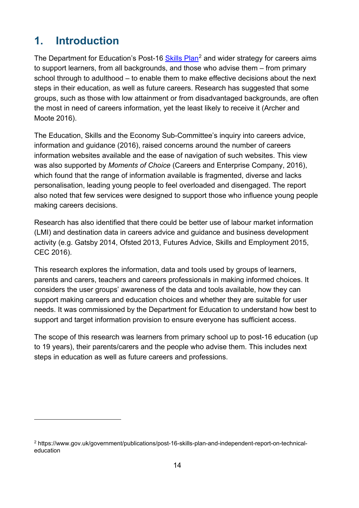# <span id="page-13-0"></span>**1. Introduction**

 $\overline{a}$ 

The Department for Education's Post-16 [Skills Plan](https://www.gov.uk/government/publications/post-16-skills-plan-and-independent-report-on-technical-education)<sup>[2](#page-13-1)</sup> and wider strategy for careers aims to support learners, from all backgrounds, and those who advise them – from primary school through to adulthood – to enable them to make effective decisions about the next steps in their education, as well as future careers. Research has suggested that some groups, such as those with low attainment or from disadvantaged backgrounds, are often the most in need of careers information, yet the least likely to receive it (Archer and Moote 2016).

The Education, Skills and the Economy Sub-Committee's inquiry into careers advice, information and guidance (2016), raised concerns around the number of careers information websites available and the ease of navigation of such websites. This view was also supported by *Moments of Choice* (Careers and Enterprise Company, 2016), which found that the range of information available is fragmented, diverse and lacks personalisation, leading young people to feel overloaded and disengaged. The report also noted that few services were designed to support those who influence young people making careers decisions.

Research has also identified that there could be better use of labour market information (LMI) and destination data in careers advice and guidance and business development activity (e.g. Gatsby 2014, Ofsted 2013, Futures Advice, Skills and Employment 2015, CEC 2016).

This research explores the information, data and tools used by groups of learners, parents and carers, teachers and careers professionals in making informed choices. It considers the user groups' awareness of the data and tools available, how they can support making careers and education choices and whether they are suitable for user needs. It was commissioned by the Department for Education to understand how best to support and target information provision to ensure everyone has sufficient access.

The scope of this research was learners from primary school up to post-16 education (up to 19 years), their parents/carers and the people who advise them. This includes next steps in education as well as future careers and professions.

<span id="page-13-1"></span><sup>2</sup> https://www.gov.uk/government/publications/post-16-skills-plan-and-independent-report-on-technicaleducation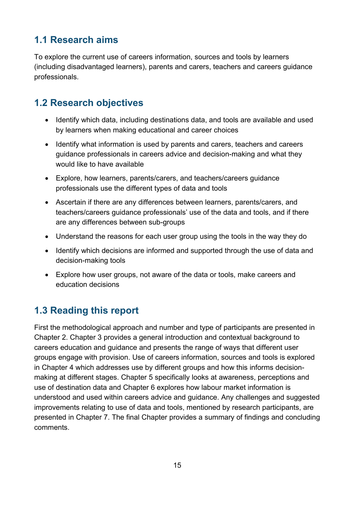# <span id="page-14-0"></span>**1.1 Research aims**

To explore the current use of careers information, sources and tools by learners (including disadvantaged learners), parents and carers, teachers and careers guidance professionals.

# <span id="page-14-1"></span>**1.2 Research objectives**

- Identify which data, including destinations data, and tools are available and used by learners when making educational and career choices
- Identify what information is used by parents and carers, teachers and careers guidance professionals in careers advice and decision-making and what they would like to have available
- Explore, how learners, parents/carers, and teachers/careers guidance professionals use the different types of data and tools
- Ascertain if there are any differences between learners, parents/carers, and teachers/careers guidance professionals' use of the data and tools, and if there are any differences between sub-groups
- Understand the reasons for each user group using the tools in the way they do
- Identify which decisions are informed and supported through the use of data and decision-making tools
- Explore how user groups, not aware of the data or tools, make careers and education decisions

# <span id="page-14-2"></span>**1.3 Reading this report**

First the methodological approach and number and type of participants are presented in Chapter 2. Chapter 3 provides a general introduction and contextual background to careers education and guidance and presents the range of ways that different user groups engage with provision. Use of careers information, sources and tools is explored in Chapter 4 which addresses use by different groups and how this informs decisionmaking at different stages. Chapter 5 specifically looks at awareness, perceptions and use of destination data and Chapter 6 explores how labour market information is understood and used within careers advice and guidance. Any challenges and suggested improvements relating to use of data and tools, mentioned by research participants, are presented in Chapter 7. The final Chapter provides a summary of findings and concluding comments.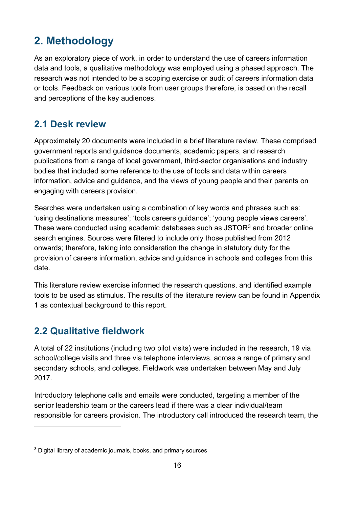# <span id="page-15-0"></span>**2. Methodology**

As an exploratory piece of work, in order to understand the use of careers information data and tools, a qualitative methodology was employed using a phased approach. The research was not intended to be a scoping exercise or audit of careers information data or tools. Feedback on various tools from user groups therefore, is based on the recall and perceptions of the key audiences.

# <span id="page-15-1"></span>**2.1 Desk review**

Approximately 20 documents were included in a brief literature review. These comprised government reports and guidance documents, academic papers, and research publications from a range of local government, third-sector organisations and industry bodies that included some reference to the use of tools and data within careers information, advice and guidance, and the views of young people and their parents on engaging with careers provision.

Searches were undertaken using a combination of key words and phrases such as: 'using destinations measures'; 'tools careers guidance'; 'young people views careers'. These were conducted using academic databases such as JSTOR<sup>[3](#page-15-3)</sup> and broader online search engines. Sources were filtered to include only those published from 2012 onwards; therefore, taking into consideration the change in statutory duty for the provision of careers information, advice and guidance in schools and colleges from this date.

This literature review exercise informed the research questions, and identified example tools to be used as stimulus. The results of the literature review can be found in Appendix 1 as contextual background to this report.

# <span id="page-15-2"></span>**2.2 Qualitative fieldwork**

 $\overline{a}$ 

A total of 22 institutions (including two pilot visits) were included in the research, 19 via school/college visits and three via telephone interviews, across a range of primary and secondary schools, and colleges. Fieldwork was undertaken between May and July 2017.

Introductory telephone calls and emails were conducted, targeting a member of the senior leadership team or the careers lead if there was a clear individual/team responsible for careers provision. The introductory call introduced the research team, the

<span id="page-15-3"></span><sup>&</sup>lt;sup>3</sup> Digital library of academic journals, books, and primary sources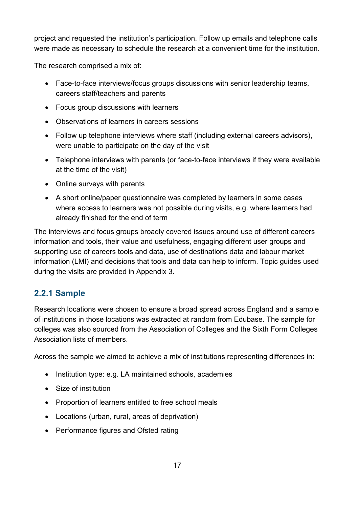project and requested the institution's participation. Follow up emails and telephone calls were made as necessary to schedule the research at a convenient time for the institution.

The research comprised a mix of:

- Face-to-face interviews/focus groups discussions with senior leadership teams, careers staff/teachers and parents
- Focus group discussions with learners
- Observations of learners in careers sessions
- Follow up telephone interviews where staff (including external careers advisors), were unable to participate on the day of the visit
- Telephone interviews with parents (or face-to-face interviews if they were available at the time of the visit)
- Online surveys with parents
- A short online/paper questionnaire was completed by learners in some cases where access to learners was not possible during visits, e.g. where learners had already finished for the end of term

The interviews and focus groups broadly covered issues around use of different careers information and tools, their value and usefulness, engaging different user groups and supporting use of careers tools and data, use of destinations data and labour market information (LMI) and decisions that tools and data can help to inform. Topic guides used during the visits are provided in Appendix 3.

### <span id="page-16-0"></span>**2.2.1 Sample**

Research locations were chosen to ensure a broad spread across England and a sample of institutions in those locations was extracted at random from Edubase. The sample for colleges was also sourced from the Association of Colleges and the Sixth Form Colleges Association lists of members.

Across the sample we aimed to achieve a mix of institutions representing differences in:

- Institution type: e.g. LA maintained schools, academies
- Size of institution
- Proportion of learners entitled to free school meals
- Locations (urban, rural, areas of deprivation)
- Performance figures and Ofsted rating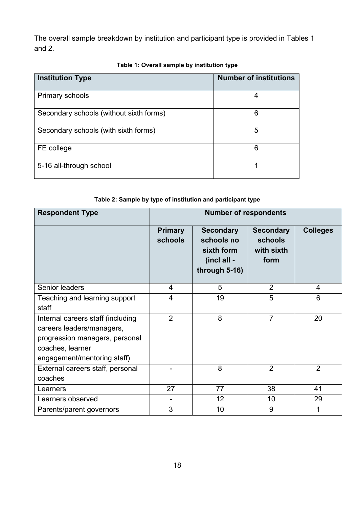The overall sample breakdown by institution and participant type is provided in Tables 1 and 2.

<span id="page-17-0"></span>

| <b>Institution Type</b>                 | <b>Number of institutions</b> |
|-----------------------------------------|-------------------------------|
| <b>Primary schools</b>                  | 4                             |
| Secondary schools (without sixth forms) | 6                             |
| Secondary schools (with sixth forms)    | 5                             |
| FE college                              | 6                             |
| 5-16 all-through school                 | 1                             |

#### **Table 1: Overall sample by institution type**

#### **Table 2: Sample by type of institution and participant type**

<span id="page-17-1"></span>

| <b>Respondent Type</b>                                                                                                                              | <b>Number of respondents</b> |                                                                              |                                                   |                 |
|-----------------------------------------------------------------------------------------------------------------------------------------------------|------------------------------|------------------------------------------------------------------------------|---------------------------------------------------|-----------------|
|                                                                                                                                                     | <b>Primary</b><br>schools    | <b>Secondary</b><br>schools no<br>sixth form<br>(incl all -<br>through 5-16) | <b>Secondary</b><br>schools<br>with sixth<br>form | <b>Colleges</b> |
| Senior leaders                                                                                                                                      | 4                            | 5                                                                            | $\overline{2}$                                    | 4               |
| Teaching and learning support<br>staff                                                                                                              | 4                            | 19                                                                           | 5                                                 | 6               |
| Internal careers staff (including<br>careers leaders/managers,<br>progression managers, personal<br>coaches, learner<br>engagement/mentoring staff) | $\overline{2}$               | 8                                                                            | $\overline{7}$                                    | 20              |
| External careers staff, personal<br>coaches                                                                                                         |                              | 8                                                                            | $\overline{2}$                                    | $\overline{2}$  |
| Learners                                                                                                                                            | 27                           | 77                                                                           | 38                                                | 41              |
| Learners observed                                                                                                                                   |                              | 12                                                                           | 10                                                | 29              |
| Parents/parent governors                                                                                                                            | 3                            | 10                                                                           | 9                                                 |                 |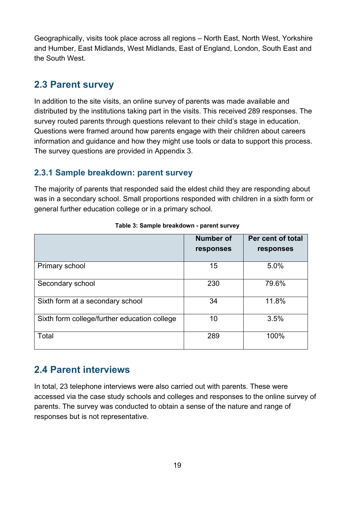Geographically, visits took place across all regions – North East, North West, Yorkshire and Humber, East Midlands, West Midlands, East of England, London, South East and the South West.

### <span id="page-18-0"></span>**2.3 Parent survey**

In addition to the site visits, an online survey of parents was made available and distributed by the institutions taking part in the visits. This received 289 responses. The survey routed parents through questions relevant to their child's stage in education. Questions were framed around how parents engage with their children about careers information and guidance and how they might use tools or data to support this process. The survey questions are provided in Appendix 3.

### <span id="page-18-1"></span>**2.3.1 Sample breakdown: parent survey**

The majority of parents that responded said the eldest child they are responding about was in a secondary school. Small proportions responded with children in a sixth form or general further education college or in a primary school.

<span id="page-18-3"></span>

|                                              | <b>Number of</b> | Per cent of total |
|----------------------------------------------|------------------|-------------------|
|                                              | responses        | responses         |
| Primary school                               | 15               | 5.0%              |
| Secondary school                             | 230              | 79.6%             |
| Sixth form at a secondary school             | 34               | 11.8%             |
| Sixth form college/further education college | 10               | 3.5%              |
| Total                                        | 289              | 100%              |

#### **Table 3: Sample breakdown - parent survey**

### <span id="page-18-2"></span>**2.4 Parent interviews**

In total, 23 telephone interviews were also carried out with parents. These were accessed via the case study schools and colleges and responses to the online survey of parents. The survey was conducted to obtain a sense of the nature and range of responses but is not representative.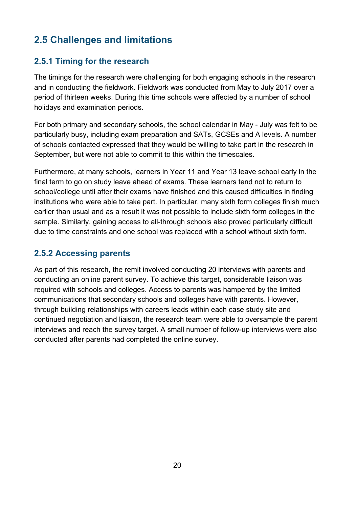# <span id="page-19-0"></span>**2.5 Challenges and limitations**

### <span id="page-19-1"></span>**2.5.1 Timing for the research**

The timings for the research were challenging for both engaging schools in the research and in conducting the fieldwork. Fieldwork was conducted from May to July 2017 over a period of thirteen weeks. During this time schools were affected by a number of school holidays and examination periods.

For both primary and secondary schools, the school calendar in May - July was felt to be particularly busy, including exam preparation and SATs, GCSEs and A levels. A number of schools contacted expressed that they would be willing to take part in the research in September, but were not able to commit to this within the timescales.

Furthermore, at many schools, learners in Year 11 and Year 13 leave school early in the final term to go on study leave ahead of exams. These learners tend not to return to school/college until after their exams have finished and this caused difficulties in finding institutions who were able to take part. In particular, many sixth form colleges finish much earlier than usual and as a result it was not possible to include sixth form colleges in the sample. Similarly, gaining access to all-through schools also proved particularly difficult due to time constraints and one school was replaced with a school without sixth form.

### <span id="page-19-2"></span>**2.5.2 Accessing parents**

As part of this research, the remit involved conducting 20 interviews with parents and conducting an online parent survey. To achieve this target, considerable liaison was required with schools and colleges. Access to parents was hampered by the limited communications that secondary schools and colleges have with parents. However, through building relationships with careers leads within each case study site and continued negotiation and liaison, the research team were able to oversample the parent interviews and reach the survey target. A small number of follow-up interviews were also conducted after parents had completed the online survey.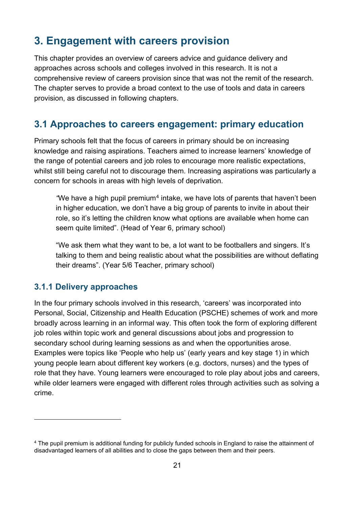# <span id="page-20-0"></span>**3. Engagement with careers provision**

This chapter provides an overview of careers advice and guidance delivery and approaches across schools and colleges involved in this research. It is not a comprehensive review of careers provision since that was not the remit of the research. The chapter serves to provide a broad context to the use of tools and data in careers provision, as discussed in following chapters.

### <span id="page-20-1"></span>**3.1 Approaches to careers engagement: primary education**

Primary schools felt that the focus of careers in primary should be on increasing knowledge and raising aspirations. Teachers aimed to increase learners' knowledge of the range of potential careers and job roles to encourage more realistic expectations, whilst still being careful not to discourage them. Increasing aspirations was particularly a concern for schools in areas with high levels of deprivation.

*"*We have a high pupil premium<sup>[4](#page-20-3)</sup> intake, we have lots of parents that haven't been in higher education, we don't have a big group of parents to invite in about their role, so it's letting the children know what options are available when home can seem quite limited". (Head of Year 6, primary school)

"We ask them what they want to be, a lot want to be footballers and singers. It's talking to them and being realistic about what the possibilities are without deflating their dreams". (Year 5/6 Teacher, primary school)

#### <span id="page-20-2"></span>**3.1.1 Delivery approaches**

 $\overline{a}$ 

In the four primary schools involved in this research, 'careers' was incorporated into Personal, Social, Citizenship and Health Education (PSCHE) schemes of work and more broadly across learning in an informal way. This often took the form of exploring different job roles within topic work and general discussions about jobs and progression to secondary school during learning sessions as and when the opportunities arose. Examples were topics like 'People who help us' (early years and key stage 1) in which young people learn about different key workers (e.g. doctors, nurses) and the types of role that they have. Young learners were encouraged to role play about jobs and careers, while older learners were engaged with different roles through activities such as solving a crime.

<span id="page-20-3"></span><sup>4</sup> The pupil premium is additional funding for publicly funded schools in England to raise the attainment of disadvantaged learners of all abilities and to close the gaps between them and their peers.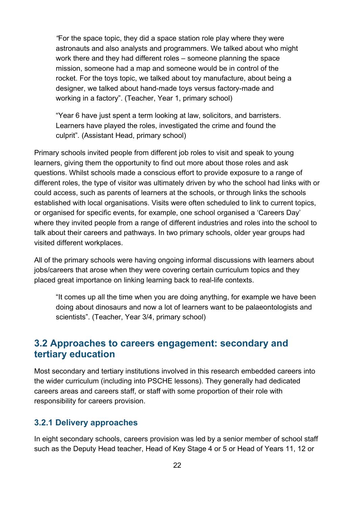*"*For the space topic, they did a space station role play where they were astronauts and also analysts and programmers. We talked about who might work there and they had different roles – someone planning the space mission, someone had a map and someone would be in control of the rocket. For the toys topic, we talked about toy manufacture, about being a designer, we talked about hand-made toys versus factory-made and working in a factory". (Teacher, Year 1, primary school)

"Year 6 have just spent a term looking at law, solicitors, and barristers. Learners have played the roles, investigated the crime and found the culprit"*.* (Assistant Head, primary school)

Primary schools invited people from different job roles to visit and speak to young learners, giving them the opportunity to find out more about those roles and ask questions. Whilst schools made a conscious effort to provide exposure to a range of different roles, the type of visitor was ultimately driven by who the school had links with or could access, such as parents of learners at the schools, or through links the schools established with local organisations. Visits were often scheduled to link to current topics, or organised for specific events, for example, one school organised a 'Careers Day' where they invited people from a range of different industries and roles into the school to talk about their careers and pathways. In two primary schools, older year groups had visited different workplaces.

All of the primary schools were having ongoing informal discussions with learners about jobs/careers that arose when they were covering certain curriculum topics and they placed great importance on linking learning back to real-life contexts.

"It comes up all the time when you are doing anything, for example we have been doing about dinosaurs and now a lot of learners want to be palaeontologists and scientists". (Teacher, Year 3/4, primary school)

### <span id="page-21-0"></span>**3.2 Approaches to careers engagement: secondary and tertiary education**

Most secondary and tertiary institutions involved in this research embedded careers into the wider curriculum (including into PSCHE lessons). They generally had dedicated careers areas and careers staff, or staff with some proportion of their role with responsibility for careers provision.

#### <span id="page-21-1"></span>**3.2.1 Delivery approaches**

In eight secondary schools, careers provision was led by a senior member of school staff such as the Deputy Head teacher, Head of Key Stage 4 or 5 or Head of Years 11, 12 or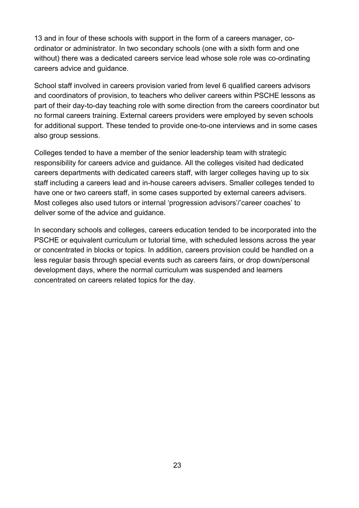13 and in four of these schools with support in the form of a careers manager, coordinator or administrator. In two secondary schools (one with a sixth form and one without) there was a dedicated careers service lead whose sole role was co-ordinating careers advice and guidance.

School staff involved in careers provision varied from level 6 qualified careers advisors and coordinators of provision, to teachers who deliver careers within PSCHE lessons as part of their day-to-day teaching role with some direction from the careers coordinator but no formal careers training. External careers providers were employed by seven schools for additional support. These tended to provide one-to-one interviews and in some cases also group sessions.

Colleges tended to have a member of the senior leadership team with strategic responsibility for careers advice and guidance. All the colleges visited had dedicated careers departments with dedicated careers staff, with larger colleges having up to six staff including a careers lead and in-house careers advisers. Smaller colleges tended to have one or two careers staff, in some cases supported by external careers advisers. Most colleges also used tutors or internal 'progression advisors'/'career coaches' to deliver some of the advice and guidance.

In secondary schools and colleges, careers education tended to be incorporated into the PSCHE or equivalent curriculum or tutorial time, with scheduled lessons across the year or concentrated in blocks or topics. In addition, careers provision could be handled on a less regular basis through special events such as careers fairs, or drop down/personal development days, where the normal curriculum was suspended and learners concentrated on careers related topics for the day.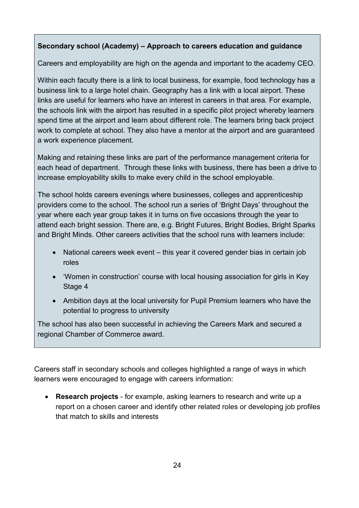#### **Secondary school (Academy) – Approach to careers education and guidance**

Careers and employability are high on the agenda and important to the academy CEO.

Within each faculty there is a link to local business, for example, food technology has a business link to a large hotel chain. Geography has a link with a local airport. These links are useful for learners who have an interest in careers in that area. For example, the schools link with the airport has resulted in a specific pilot project whereby learners spend time at the airport and learn about different role. The learners bring back project work to complete at school. They also have a mentor at the airport and are guaranteed a work experience placement.

Making and retaining these links are part of the performance management criteria for each head of department. Through these links with business, there has been a drive to increase employability skills to make every child in the school employable.

The school holds careers evenings where businesses, colleges and apprenticeship providers come to the school. The school run a series of 'Bright Days' throughout the year where each year group takes it in turns on five occasions through the year to attend each bright session. There are, e.g. Bright Futures, Bright Bodies, Bright Sparks and Bright Minds. Other careers activities that the school runs with learners include:

- National careers week event this year it covered gender bias in certain job roles
- 'Women in construction' course with local housing association for girls in Key Stage 4
- Ambition days at the local university for Pupil Premium learners who have the potential to progress to university

The school has also been successful in achieving the Careers Mark and secured a regional Chamber of Commerce award.

Careers staff in secondary schools and colleges highlighted a range of ways in which learners were encouraged to engage with careers information:

• **Research projects** - for example, asking learners to research and write up a report on a chosen career and identify other related roles or developing job profiles that match to skills and interests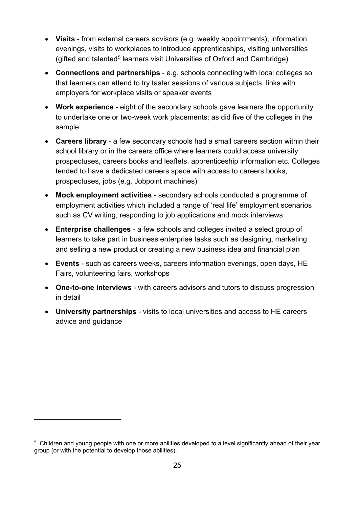- **Visits** from external careers advisors (e.g. weekly appointments), information evenings, visits to workplaces to introduce apprenticeships, visiting universities (gifted and talented<sup>[5](#page-24-0)</sup> learners visit Universities of Oxford and Cambridge)
- **Connections and partnerships** e.g. schools connecting with local colleges so that learners can attend to try taster sessions of various subjects, links with employers for workplace visits or speaker events
- **Work experience** eight of the secondary schools gave learners the opportunity to undertake one or two-week work placements; as did five of the colleges in the sample
- **Careers library** a few secondary schools had a small careers section within their school library or in the careers office where learners could access university prospectuses, careers books and leaflets, apprenticeship information etc. Colleges tended to have a dedicated careers space with access to careers books, prospectuses, jobs (e.g. Jobpoint machines)
- **Mock employment activities**  secondary schools conducted a programme of employment activities which included a range of 'real life' employment scenarios such as CV writing, responding to job applications and mock interviews
- **Enterprise challenges**  a few schools and colleges invited a select group of learners to take part in business enterprise tasks such as designing, marketing and selling a new product or creating a new business idea and financial plan
- **Events** such as careers weeks, careers information evenings, open days, HE Fairs, volunteering fairs, workshops
- **One-to-one interviews**  with careers advisors and tutors to discuss progression in detail
- **University partnerships** visits to local universities and access to HE careers advice and guidance

 $\overline{a}$ 

<span id="page-24-0"></span><sup>&</sup>lt;sup>5</sup> Children and young people with one or more abilities developed to a level significantly ahead of their year group (or with the potential to develop those abilities).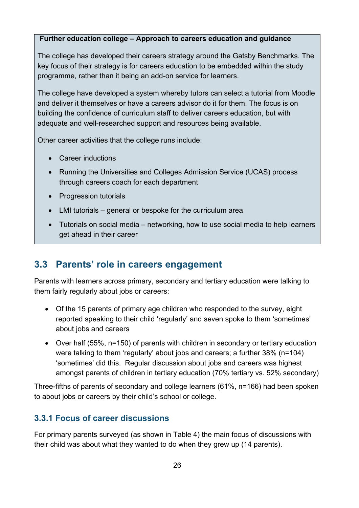#### **Further education college – Approach to careers education and guidance**

The college has developed their careers strategy around the Gatsby Benchmarks. The key focus of their strategy is for careers education to be embedded within the study programme, rather than it being an add-on service for learners.

The college have developed a system whereby tutors can select a tutorial from Moodle and deliver it themselves or have a careers advisor do it for them. The focus is on building the confidence of curriculum staff to deliver careers education, but with adequate and well-researched support and resources being available.

Other career activities that the college runs include:

- Career inductions
- Running the Universities and Colleges Admission Service (UCAS) process through careers coach for each department
- Progression tutorials
- LMI tutorials general or bespoke for the curriculum area
- Tutorials on social media networking, how to use social media to help learners get ahead in their career

# <span id="page-25-0"></span>**3.3 Parents' role in careers engagement**

Parents with learners across primary, secondary and tertiary education were talking to them fairly regularly about jobs or careers:

- Of the 15 parents of primary age children who responded to the survey, eight reported speaking to their child 'regularly' and seven spoke to them 'sometimes' about jobs and careers
- Over half (55%, n=150) of parents with children in secondary or tertiary education were talking to them 'regularly' about jobs and careers; a further 38% (n=104) 'sometimes' did this. Regular discussion about jobs and careers was highest amongst parents of children in tertiary education (70% tertiary vs. 52% secondary)

Three-fifths of parents of secondary and college learners (61%, n=166) had been spoken to about jobs or careers by their child's school or college.

### <span id="page-25-1"></span>**3.3.1 Focus of career discussions**

For primary parents surveyed (as shown in Table 4) the main focus of discussions with their child was about what they wanted to do when they grew up (14 parents).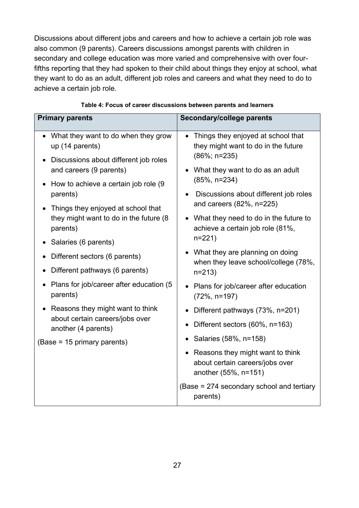Discussions about different jobs and careers and how to achieve a certain job role was also common (9 parents). Careers discussions amongst parents with children in secondary and college education was more varied and comprehensive with over fourfifths reporting that they had spoken to their child about things they enjoy at school, what they want to do as an adult, different job roles and careers and what they need to do to achieve a certain job role.

<span id="page-26-0"></span>

| <b>Primary parents</b>                                                                          | Secondary/college parents                                                                                 |
|-------------------------------------------------------------------------------------------------|-----------------------------------------------------------------------------------------------------------|
| What they want to do when they grow<br>up (14 parents)<br>Discussions about different job roles | Things they enjoyed at school that<br>$\bullet$<br>they might want to do in the future<br>$(86\%; n=235)$ |
| and careers (9 parents)<br>How to achieve a certain job role (9)                                | What they want to do as an adult<br>$(85\%, n=234)$                                                       |
| parents)<br>Things they enjoyed at school that                                                  | Discussions about different job roles<br>and careers (82%, n=225)                                         |
| they might want to do in the future (8<br>parents)                                              | What they need to do in the future to<br>achieve a certain job role (81%,                                 |
| Salaries (6 parents)                                                                            | $n=221$                                                                                                   |
| Different sectors (6 parents)                                                                   | • What they are planning on doing<br>when they leave school/college (78%,                                 |
| Different pathways (6 parents)                                                                  | $n = 213$                                                                                                 |
| Plans for job/career after education (5<br>parents)                                             | • Plans for job/career after education<br>$(72\%, n=197)$                                                 |
| • Reasons they might want to think                                                              | Different pathways (73%, n=201)                                                                           |
| about certain careers/jobs over<br>another (4 parents)                                          | Different sectors (60%, n=163)<br>$\bullet$                                                               |
| (Base = 15 primary parents)                                                                     | Salaries (58%, n=158)                                                                                     |
|                                                                                                 | Reasons they might want to think<br>about certain careers/jobs over<br>another (55%, n=151)               |
|                                                                                                 | (Base = 274 secondary school and tertiary<br>parents)                                                     |

#### **Table 4: Focus of career discussions between parents and learners**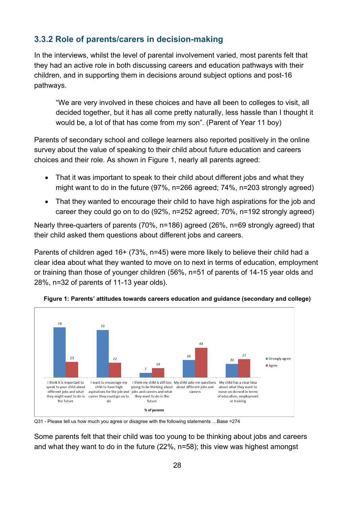### <span id="page-27-0"></span>**3.3.2 Role of parents/carers in decision-making**

In the interviews, whilst the level of parental involvement varied, most parents felt that they had an active role in both discussing careers and education pathways with their children, and in supporting them in decisions around subject options and post-16 pathways.

"We are very involved in these choices and have all been to colleges to visit, all decided together, but it has all come pretty naturally, less hassle than I thought it would be, a lot of that has come from my son". (Parent of Year 11 boy)

Parents of secondary school and college learners also reported positively in the online survey about the value of speaking to their child about future education and careers choices and their role. As shown in Figure 1, nearly all parents agreed:

- That it was important to speak to their child about different jobs and what they might want to do in the future (97%, n=266 agreed; 74%, n=203 strongly agreed)
- That they wanted to encourage their child to have high aspirations for the job and career they could go on to do (92%, n=252 agreed; 70%, n=192 strongly agreed)

Nearly three-quarters of parents (70%, n=186) agreed (26%, n=69 strongly agreed) that their child asked them questions about different jobs and careers.

Parents of children aged 16+ (73%, n=45) were more likely to believe their child had a clear idea about what they wanted to move on to next in terms of education, employment or training than those of younger children (56%, n=51 of parents of 14-15 year olds and 28%, n=32 of parents of 11-13 year olds).

<span id="page-27-1"></span>

**Figure 1: Parents' attitudes towards careers education and guidance (secondary and college)**

Q31 - Please tell us how much you agree or disagree with the following statements …Base =274

Some parents felt that their child was too young to be thinking about jobs and careers and what they want to do in the future (22%, n=58); this view was highest amongst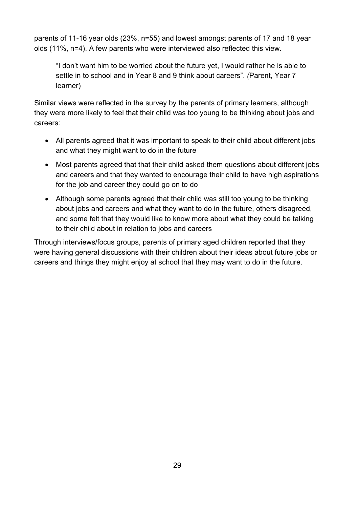parents of 11-16 year olds (23%, n=55) and lowest amongst parents of 17 and 18 year olds (11%, n=4). A few parents who were interviewed also reflected this view.

"I don't want him to be worried about the future yet, I would rather he is able to settle in to school and in Year 8 and 9 think about careers". *(*Parent, Year 7 learner)

Similar views were reflected in the survey by the parents of primary learners, although they were more likely to feel that their child was too young to be thinking about jobs and careers:

- All parents agreed that it was important to speak to their child about different jobs and what they might want to do in the future
- Most parents agreed that that their child asked them questions about different jobs and careers and that they wanted to encourage their child to have high aspirations for the job and career they could go on to do
- Although some parents agreed that their child was still too young to be thinking about jobs and careers and what they want to do in the future, others disagreed, and some felt that they would like to know more about what they could be talking to their child about in relation to jobs and careers

Through interviews/focus groups, parents of primary aged children reported that they were having general discussions with their children about their ideas about future jobs or careers and things they might enjoy at school that they may want to do in the future.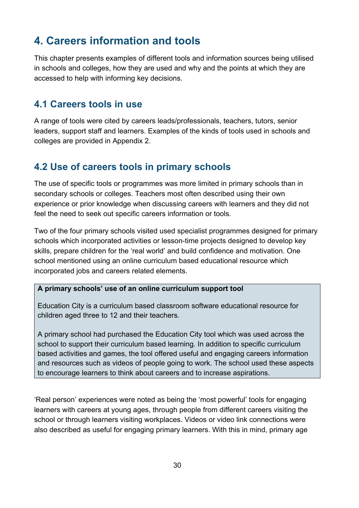# <span id="page-29-0"></span>**4. Careers information and tools**

This chapter presents examples of different tools and information sources being utilised in schools and colleges, how they are used and why and the points at which they are accessed to help with informing key decisions.

### <span id="page-29-1"></span>**4.1 Careers tools in use**

A range of tools were cited by careers leads/professionals, teachers, tutors, senior leaders, support staff and learners. Examples of the kinds of tools used in schools and colleges are provided in Appendix 2.

# <span id="page-29-2"></span>**4.2 Use of careers tools in primary schools**

The use of specific tools or programmes was more limited in primary schools than in secondary schools or colleges. Teachers most often described using their own experience or prior knowledge when discussing careers with learners and they did not feel the need to seek out specific careers information or tools.

Two of the four primary schools visited used specialist programmes designed for primary schools which incorporated activities or lesson-time projects designed to develop key skills, prepare children for the 'real world' and build confidence and motivation. One school mentioned using an online curriculum based educational resource which incorporated jobs and careers related elements.

#### **A primary schools' use of an online curriculum support tool**

Education City is a curriculum based classroom software educational resource for children aged three to 12 and their teachers.

A primary school had purchased the Education City tool which was used across the school to support their curriculum based learning. In addition to specific curriculum based activities and games, the tool offered useful and engaging careers information and resources such as videos of people going to work. The school used these aspects to encourage learners to think about careers and to increase aspirations.

'Real person' experiences were noted as being the 'most powerful' tools for engaging learners with careers at young ages, through people from different careers visiting the school or through learners visiting workplaces. Videos or video link connections were also described as useful for engaging primary learners. With this in mind, primary age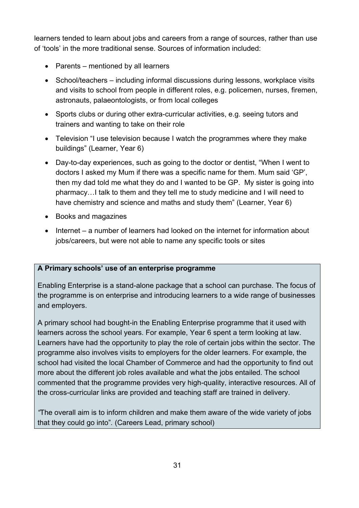learners tended to learn about jobs and careers from a range of sources, rather than use of 'tools' in the more traditional sense. Sources of information included:

- Parents mentioned by all learners
- School/teachers including informal discussions during lessons, workplace visits and visits to school from people in different roles, e.g. policemen, nurses, firemen, astronauts, palaeontologists, or from local colleges
- Sports clubs or during other extra-curricular activities, e.g. seeing tutors and trainers and wanting to take on their role
- Television "I use television because I watch the programmes where they make buildings" (Learner, Year 6)
- Day-to-day experiences, such as going to the doctor or dentist, "When I went to doctors I asked my Mum if there was a specific name for them. Mum said 'GP', then my dad told me what they do and I wanted to be GP. My sister is going into pharmacy…I talk to them and they tell me to study medicine and I will need to have chemistry and science and maths and study them" (Learner, Year 6)
- Books and magazines
- Internet a number of learners had looked on the internet for information about jobs/careers, but were not able to name any specific tools or sites

#### **A Primary schools' use of an enterprise programme**

Enabling Enterprise is a stand-alone package that a school can purchase. The focus of the programme is on enterprise and introducing learners to a wide range of businesses and employers.

A primary school had bought-in the Enabling Enterprise programme that it used with learners across the school years. For example, Year 6 spent a term looking at law. Learners have had the opportunity to play the role of certain jobs within the sector. The programme also involves visits to employers for the older learners. For example, the school had visited the local Chamber of Commerce and had the opportunity to find out more about the different job roles available and what the jobs entailed. The school commented that the programme provides very high-quality, interactive resources. All of the cross-curricular links are provided and teaching staff are trained in delivery.

*"*The overall aim is to inform children and make them aware of the wide variety of jobs that they could go into"*.* (Careers Lead, primary school)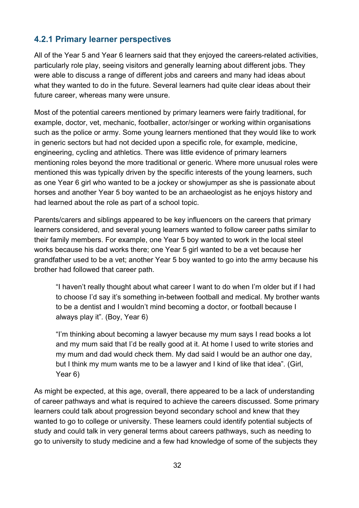### <span id="page-31-0"></span>**4.2.1 Primary learner perspectives**

All of the Year 5 and Year 6 learners said that they enjoyed the careers-related activities, particularly role play, seeing visitors and generally learning about different jobs. They were able to discuss a range of different jobs and careers and many had ideas about what they wanted to do in the future. Several learners had quite clear ideas about their future career, whereas many were unsure.

Most of the potential careers mentioned by primary learners were fairly traditional, for example, doctor, vet, mechanic, footballer, actor/singer or working within organisations such as the police or army. Some young learners mentioned that they would like to work in generic sectors but had not decided upon a specific role, for example, medicine, engineering, cycling and athletics. There was little evidence of primary learners mentioning roles beyond the more traditional or generic. Where more unusual roles were mentioned this was typically driven by the specific interests of the young learners, such as one Year 6 girl who wanted to be a jockey or showjumper as she is passionate about horses and another Year 5 boy wanted to be an archaeologist as he enjoys history and had learned about the role as part of a school topic.

Parents/carers and siblings appeared to be key influencers on the careers that primary learners considered, and several young learners wanted to follow career paths similar to their family members. For example, one Year 5 boy wanted to work in the local steel works because his dad works there; one Year 5 girl wanted to be a vet because her grandfather used to be a vet; another Year 5 boy wanted to go into the army because his brother had followed that career path.

"I haven't really thought about what career I want to do when I'm older but if I had to choose I'd say it's something in-between football and medical. My brother wants to be a dentist and I wouldn't mind becoming a doctor, or football because I always play it"*.* (Boy, Year 6)

"I'm thinking about becoming a lawyer because my mum says I read books a lot and my mum said that I'd be really good at it. At home I used to write stories and my mum and dad would check them. My dad said I would be an author one day, but I think my mum wants me to be a lawyer and I kind of like that idea"*.* (Girl, Year 6)

As might be expected, at this age, overall, there appeared to be a lack of understanding of career pathways and what is required to achieve the careers discussed. Some primary learners could talk about progression beyond secondary school and knew that they wanted to go to college or university. These learners could identify potential subjects of study and could talk in very general terms about careers pathways, such as needing to go to university to study medicine and a few had knowledge of some of the subjects they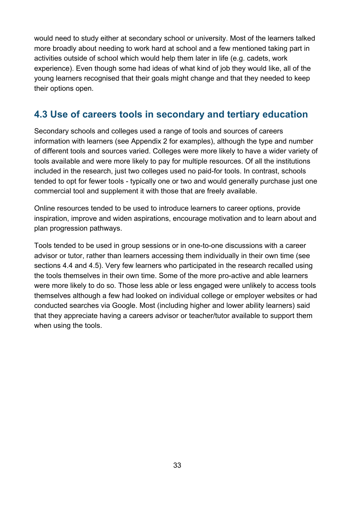would need to study either at secondary school or university. Most of the learners talked more broadly about needing to work hard at school and a few mentioned taking part in activities outside of school which would help them later in life (e.g. cadets, work experience). Even though some had ideas of what kind of job they would like, all of the young learners recognised that their goals might change and that they needed to keep their options open.

## <span id="page-32-0"></span>**4.3 Use of careers tools in secondary and tertiary education**

Secondary schools and colleges used a range of tools and sources of careers information with learners (see Appendix 2 for examples), although the type and number of different tools and sources varied. Colleges were more likely to have a wider variety of tools available and were more likely to pay for multiple resources. Of all the institutions included in the research, just two colleges used no paid-for tools. In contrast, schools tended to opt for fewer tools - typically one or two and would generally purchase just one commercial tool and supplement it with those that are freely available.

Online resources tended to be used to introduce learners to career options, provide inspiration, improve and widen aspirations, encourage motivation and to learn about and plan progression pathways.

Tools tended to be used in group sessions or in one-to-one discussions with a career advisor or tutor, rather than learners accessing them individually in their own time (see sections 4.4 and 4.5). Very few learners who participated in the research recalled using the tools themselves in their own time. Some of the more pro-active and able learners were more likely to do so. Those less able or less engaged were unlikely to access tools themselves although a few had looked on individual college or employer websites or had conducted searches via Google. Most (including higher and lower ability learners) said that they appreciate having a careers advisor or teacher/tutor available to support them when using the tools.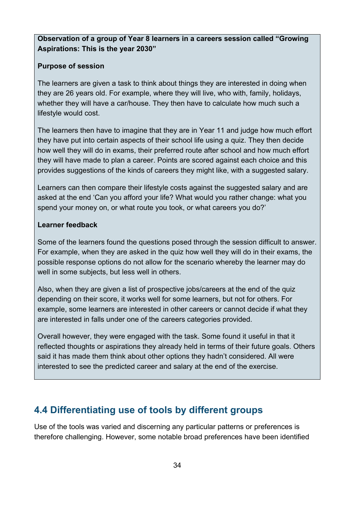#### **Observation of a group of Year 8 learners in a careers session called "Growing Aspirations: This is the year 2030"**

#### **Purpose of session**

The learners are given a task to think about things they are interested in doing when they are 26 years old. For example, where they will live, who with, family, holidays, whether they will have a car/house. They then have to calculate how much such a lifestyle would cost.

The learners then have to imagine that they are in Year 11 and judge how much effort they have put into certain aspects of their school life using a quiz. They then decide how well they will do in exams, their preferred route after school and how much effort they will have made to plan a career. Points are scored against each choice and this provides suggestions of the kinds of careers they might like, with a suggested salary.

Learners can then compare their lifestyle costs against the suggested salary and are asked at the end 'Can you afford your life? What would you rather change: what you spend your money on, or what route you took, or what careers you do?'

#### **Learner feedback**

Some of the learners found the questions posed through the session difficult to answer. For example, when they are asked in the quiz how well they will do in their exams, the possible response options do not allow for the scenario whereby the learner may do well in some subjects, but less well in others.

Also, when they are given a list of prospective jobs/careers at the end of the quiz depending on their score, it works well for some learners, but not for others. For example, some learners are interested in other careers or cannot decide if what they are interested in falls under one of the careers categories provided.

Overall however, they were engaged with the task. Some found it useful in that it reflected thoughts or aspirations they already held in terms of their future goals. Others said it has made them think about other options they hadn't considered. All were interested to see the predicted career and salary at the end of the exercise.

# <span id="page-33-0"></span>**4.4 Differentiating use of tools by different groups**

Use of the tools was varied and discerning any particular patterns or preferences is therefore challenging. However, some notable broad preferences have been identified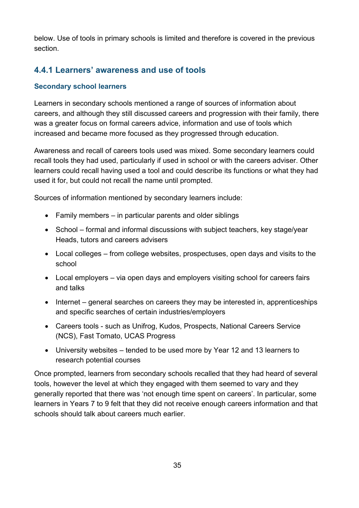below. Use of tools in primary schools is limited and therefore is covered in the previous section.

### <span id="page-34-0"></span>**4.4.1 Learners' awareness and use of tools**

#### **Secondary school learners**

Learners in secondary schools mentioned a range of sources of information about careers, and although they still discussed careers and progression with their family, there was a greater focus on formal careers advice, information and use of tools which increased and became more focused as they progressed through education.

Awareness and recall of careers tools used was mixed. Some secondary learners could recall tools they had used, particularly if used in school or with the careers adviser. Other learners could recall having used a tool and could describe its functions or what they had used it for, but could not recall the name until prompted.

Sources of information mentioned by secondary learners include:

- Family members in particular parents and older siblings
- School formal and informal discussions with subject teachers, key stage/year Heads, tutors and careers advisers
- Local colleges from college websites, prospectuses, open days and visits to the school
- Local employers via open days and employers visiting school for careers fairs and talks
- Internet general searches on careers they may be interested in, apprenticeships and specific searches of certain industries/employers
- Careers tools such as Unifrog, Kudos, Prospects, National Careers Service (NCS), Fast Tomato, UCAS Progress
- University websites tended to be used more by Year 12 and 13 learners to research potential courses

Once prompted, learners from secondary schools recalled that they had heard of several tools, however the level at which they engaged with them seemed to vary and they generally reported that there was 'not enough time spent on careers'. In particular, some learners in Years 7 to 9 felt that they did not receive enough careers information and that schools should talk about careers much earlier.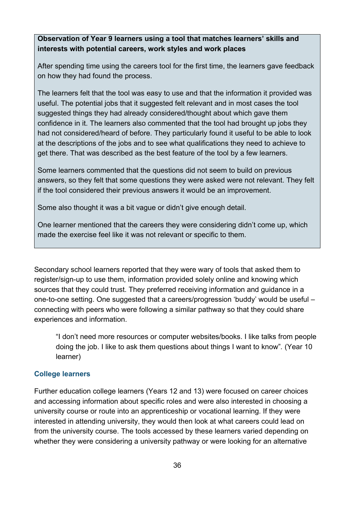#### **Observation of Year 9 learners using a tool that matches learners' skills and interests with potential careers, work styles and work places**

After spending time using the careers tool for the first time, the learners gave feedback on how they had found the process.

The learners felt that the tool was easy to use and that the information it provided was useful. The potential jobs that it suggested felt relevant and in most cases the tool suggested things they had already considered/thought about which gave them confidence in it. The learners also commented that the tool had brought up jobs they had not considered/heard of before. They particularly found it useful to be able to look at the descriptions of the jobs and to see what qualifications they need to achieve to get there. That was described as the best feature of the tool by a few learners.

Some learners commented that the questions did not seem to build on previous answers, so they felt that some questions they were asked were not relevant. They felt if the tool considered their previous answers it would be an improvement.

Some also thought it was a bit vague or didn't give enough detail.

One learner mentioned that the careers they were considering didn't come up, which made the exercise feel like it was not relevant or specific to them.

Secondary school learners reported that they were wary of tools that asked them to register/sign-up to use them, information provided solely online and knowing which sources that they could trust. They preferred receiving information and guidance in a one-to-one setting. One suggested that a careers/progression 'buddy' would be useful – connecting with peers who were following a similar pathway so that they could share experiences and information.

"I don't need more resources or computer websites/books. I like talks from people doing the job. I like to ask them questions about things I want to know"*.* (Year 10 learner)

#### **College learners**

Further education college learners (Years 12 and 13) were focused on career choices and accessing information about specific roles and were also interested in choosing a university course or route into an apprenticeship or vocational learning. If they were interested in attending university, they would then look at what careers could lead on from the university course. The tools accessed by these learners varied depending on whether they were considering a university pathway or were looking for an alternative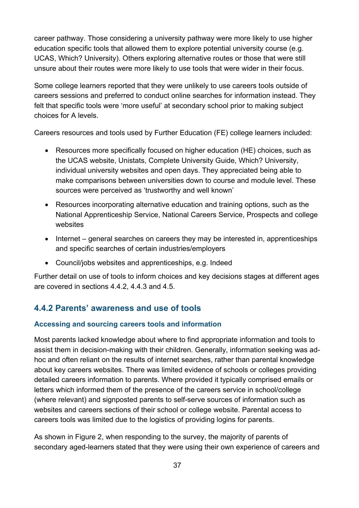career pathway. Those considering a university pathway were more likely to use higher education specific tools that allowed them to explore potential university course (e.g. UCAS, Which? University). Others exploring alternative routes or those that were still unsure about their routes were more likely to use tools that were wider in their focus.

Some college learners reported that they were unlikely to use careers tools outside of careers sessions and preferred to conduct online searches for information instead. They felt that specific tools were 'more useful' at secondary school prior to making subject choices for A levels.

Careers resources and tools used by Further Education (FE) college learners included:

- Resources more specifically focused on higher education (HE) choices, such as the UCAS website, Unistats, Complete University Guide, Which? University, individual university websites and open days. They appreciated being able to make comparisons between universities down to course and module level. These sources were perceived as 'trustworthy and well known'
- Resources incorporating alternative education and training options, such as the National Apprenticeship Service, National Careers Service, Prospects and college websites
- Internet general searches on careers they may be interested in, apprenticeships and specific searches of certain industries/employers
- Council/jobs websites and apprenticeships, e.g. Indeed

Further detail on use of tools to inform choices and key decisions stages at different ages are covered in sections 4.4.2, 4.4.3 and 4.5.

## **4.4.2 Parents' awareness and use of tools**

#### **Accessing and sourcing careers tools and information**

Most parents lacked knowledge about where to find appropriate information and tools to assist them in decision-making with their children. Generally, information seeking was adhoc and often reliant on the results of internet searches, rather than parental knowledge about key careers websites. There was limited evidence of schools or colleges providing detailed careers information to parents. Where provided it typically comprised emails or letters which informed them of the presence of the careers service in school/college (where relevant) and signposted parents to self-serve sources of information such as websites and careers sections of their school or college website. Parental access to careers tools was limited due to the logistics of providing logins for parents.

As shown in Figure 2, when responding to the survey, the majority of parents of secondary aged-learners stated that they were using their own experience of careers and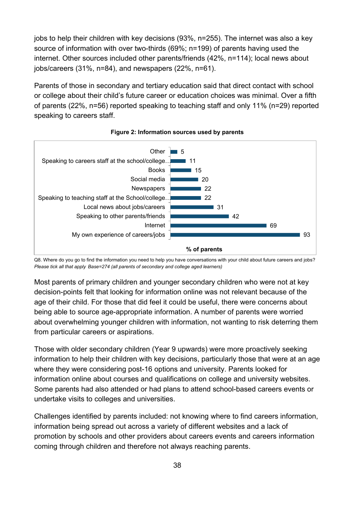jobs to help their children with key decisions (93%, n=255). The internet was also a key source of information with over two-thirds (69%; n=199) of parents having used the internet. Other sources included other parents/friends (42%, n=114); local news about jobs/careers (31%, n=84), and newspapers (22%, n=61).

Parents of those in secondary and tertiary education said that direct contact with school or college about their child's future career or education choices was minimal. Over a fifth of parents (22%, n=56) reported speaking to teaching staff and only 11% (n=29) reported speaking to careers staff.





Q8. Where do you go to find the information you need to help you have conversations with your child about future careers and jobs? *Please tick all that apply Base=274 (all parents of secondary and college aged learners)*

Most parents of primary children and younger secondary children who were not at key decision-points felt that looking for information online was not relevant because of the age of their child. For those that did feel it could be useful, there were concerns about being able to source age-appropriate information. A number of parents were worried about overwhelming younger children with information, not wanting to risk deterring them from particular careers or aspirations.

Those with older secondary children (Year 9 upwards) were more proactively seeking information to help their children with key decisions, particularly those that were at an age where they were considering post-16 options and university. Parents looked for information online about courses and qualifications on college and university websites. Some parents had also attended or had plans to attend school-based careers events or undertake visits to colleges and universities.

Challenges identified by parents included: not knowing where to find careers information, information being spread out across a variety of different websites and a lack of promotion by schools and other providers about careers events and careers information coming through children and therefore not always reaching parents.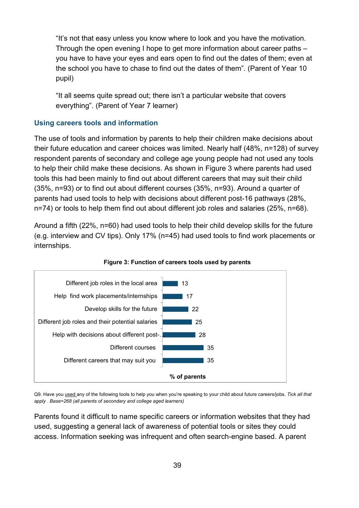"It's not that easy unless you know where to look and you have the motivation. Through the open evening I hope to get more information about career paths – you have to have your eyes and ears open to find out the dates of them; even at the school you have to chase to find out the dates of them"*.* (Parent of Year 10 pupil)

"It all seems quite spread out; there isn't a particular website that covers everything"*.* (Parent of Year 7 learner)

#### **Using careers tools and information**

The use of tools and information by parents to help their children make decisions about their future education and career choices was limited. Nearly half (48%, n=128) of survey respondent parents of secondary and college age young people had not used any tools to help their child make these decisions. As shown in Figure 3 where parents had used tools this had been mainly to find out about different careers that may suit their child (35%, n=93) or to find out about different courses (35%, n=93). Around a quarter of parents had used tools to help with decisions about different post-16 pathways (28%, n=74) or tools to help them find out about different job roles and salaries (25%, n=68).

Around a fifth (22%, n=60) had used tools to help their child develop skills for the future (e.g. interview and CV tips). Only 17% (n=45) had used tools to find work placements or internships.





Q9. Have you used any of the following tools to help you when you're speaking to your child about future careers/jobs. *Tick all that apply* . *Base=268 (all parents of secondary and college aged learners)*

Parents found it difficult to name specific careers or information websites that they had used, suggesting a general lack of awareness of potential tools or sites they could access. Information seeking was infrequent and often search-engine based. A parent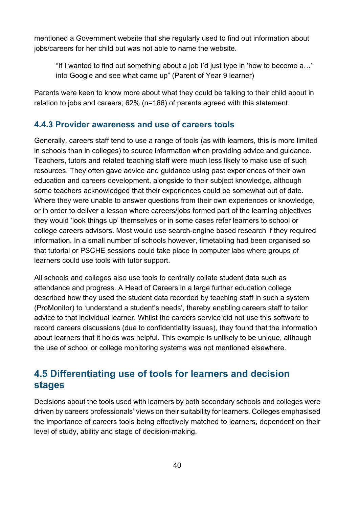mentioned a Government website that she regularly used to find out information about jobs/careers for her child but was not able to name the website.

"If I wanted to find out something about a job I'd just type in 'how to become a…' into Google and see what came up" (Parent of Year 9 learner)

Parents were keen to know more about what they could be talking to their child about in relation to jobs and careers; 62% (n=166) of parents agreed with this statement.

### **4.4.3 Provider awareness and use of careers tools**

Generally, careers staff tend to use a range of tools (as with learners, this is more limited in schools than in colleges) to source information when providing advice and guidance. Teachers, tutors and related teaching staff were much less likely to make use of such resources. They often gave advice and guidance using past experiences of their own education and careers development, alongside to their subject knowledge, although some teachers acknowledged that their experiences could be somewhat out of date. Where they were unable to answer questions from their own experiences or knowledge, or in order to deliver a lesson where careers/jobs formed part of the learning objectives they would 'look things up' themselves or in some cases refer learners to school or college careers advisors. Most would use search-engine based research if they required information. In a small number of schools however, timetabling had been organised so that tutorial or PSCHE sessions could take place in computer labs where groups of learners could use tools with tutor support.

All schools and colleges also use tools to centrally collate student data such as attendance and progress. A Head of Careers in a large further education college described how they used the student data recorded by teaching staff in such a system (ProMonitor) to 'understand a student's needs', thereby enabling careers staff to tailor advice to that individual learner. Whilst the careers service did not use this software to record careers discussions (due to confidentiality issues), they found that the information about learners that it holds was helpful. This example is unlikely to be unique, although the use of school or college monitoring systems was not mentioned elsewhere.

## **4.5 Differentiating use of tools for learners and decision stages**

Decisions about the tools used with learners by both secondary schools and colleges were driven by careers professionals' views on their suitability for learners. Colleges emphasised the importance of careers tools being effectively matched to learners, dependent on their level of study, ability and stage of decision-making.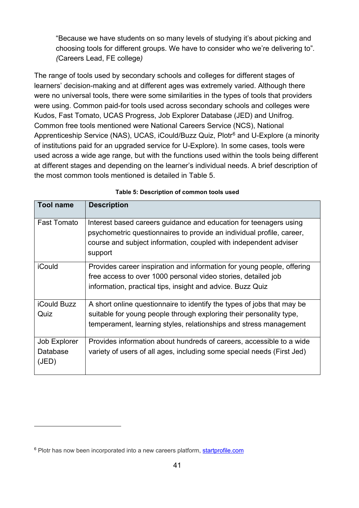"Because we have students on so many levels of studying it's about picking and choosing tools for different groups. We have to consider who we're delivering to"*. (*Careers Lead, FE college*)*

The range of tools used by secondary schools and colleges for different stages of learners' decision-making and at different ages was extremely varied. Although there were no universal tools, there were some similarities in the types of tools that providers were using. Common paid-for tools used across secondary schools and colleges were Kudos, Fast Tomato, UCAS Progress, Job Explorer Database (JED) and Unifrog. Common free tools mentioned were National Careers Service (NCS), National Apprenticeship Service (NAS), UCAS, iCould/Buzz Quiz, Plotr<sup>[6](#page-40-0)</sup> and U-Explore (a minority of institutions paid for an upgraded service for U-Explore). In some cases, tools were used across a wide age range, but with the functions used within the tools being different at different stages and depending on the learner's individual needs. A brief description of the most common tools mentioned is detailed in Table 5.

| <b>Tool name</b>                  | <b>Description</b>                                                                                                                                                                                                        |
|-----------------------------------|---------------------------------------------------------------------------------------------------------------------------------------------------------------------------------------------------------------------------|
| <b>Fast Tomato</b>                | Interest based careers guidance and education for teenagers using<br>psychometric questionnaires to provide an individual profile, career,<br>course and subject information, coupled with independent adviser<br>support |
| iCould                            | Provides career inspiration and information for young people, offering<br>free access to over 1000 personal video stories, detailed job<br>information, practical tips, insight and advice. Buzz Quiz                     |
| <b>iCould Buzz</b><br>Quiz        | A short online questionnaire to identify the types of jobs that may be<br>suitable for young people through exploring their personality type,<br>temperament, learning styles, relationships and stress management        |
| Job Explorer<br>Database<br>(JED) | Provides information about hundreds of careers, accessible to a wide<br>variety of users of all ages, including some special needs (First Jed)                                                                            |

#### **Table 5: Description of common tools used**

 $\overline{a}$ 

<span id="page-40-0"></span><sup>&</sup>lt;sup>6</sup> Plotr has now been incorporated into a new careers platform, [startprofile.com](http://startprofile.com/)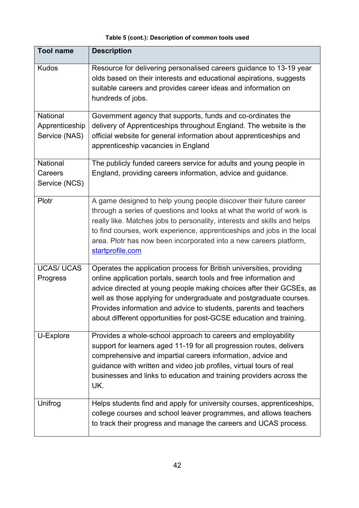#### **Table 5 (cont.): Description of common tools used**

| <b>Tool name</b>                            | <b>Description</b>                                                                                                                                                                                                                                                                                                                                                                                                                  |
|---------------------------------------------|-------------------------------------------------------------------------------------------------------------------------------------------------------------------------------------------------------------------------------------------------------------------------------------------------------------------------------------------------------------------------------------------------------------------------------------|
| <b>Kudos</b>                                | Resource for delivering personalised careers guidance to 13-19 year<br>olds based on their interests and educational aspirations, suggests<br>suitable careers and provides career ideas and information on<br>hundreds of jobs.                                                                                                                                                                                                    |
| National<br>Apprenticeship<br>Service (NAS) | Government agency that supports, funds and co-ordinates the<br>delivery of Apprenticeships throughout England. The website is the<br>official website for general information about apprenticeships and<br>apprenticeship vacancies in England                                                                                                                                                                                      |
| National<br>Careers<br>Service (NCS)        | The publicly funded careers service for adults and young people in<br>England, providing careers information, advice and guidance.                                                                                                                                                                                                                                                                                                  |
| Plotr                                       | A game designed to help young people discover their future career<br>through a series of questions and looks at what the world of work is<br>really like. Matches jobs to personality, interests and skills and helps<br>to find courses, work experience, apprenticeships and jobs in the local<br>area. Plotr has now been incorporated into a new careers platform,<br>startprofile.com                                          |
| <b>UCAS/ UCAS</b><br>Progress               | Operates the application process for British universities, providing<br>online application portals, search tools and free information and<br>advice directed at young people making choices after their GCSEs, as<br>well as those applying for undergraduate and postgraduate courses.<br>Provides information and advice to students, parents and teachers<br>about different opportunities for post-GCSE education and training. |
| U-Explore                                   | Provides a whole-school approach to careers and employability<br>support for learners aged 11-19 for all progression routes, delivers<br>comprehensive and impartial careers information, advice and<br>guidance with written and video job profiles, virtual tours of real<br>businesses and links to education and training providers across the<br>UK.                                                                           |
| Unifrog                                     | Helps students find and apply for university courses, apprenticeships,<br>college courses and school leaver programmes, and allows teachers<br>to track their progress and manage the careers and UCAS process.                                                                                                                                                                                                                     |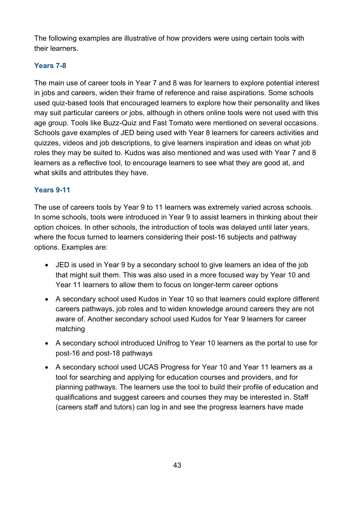The following examples are illustrative of how providers were using certain tools with their learners.

### **Years 7-8**

The main use of career tools in Year 7 and 8 was for learners to explore potential interest in jobs and careers, widen their frame of reference and raise aspirations. Some schools used quiz-based tools that encouraged learners to explore how their personality and likes may suit particular careers or jobs, although in others online tools were not used with this age group. Tools like Buzz-Quiz and Fast Tomato were mentioned on several occasions. Schools gave examples of JED being used with Year 8 learners for careers activities and quizzes, videos and job descriptions, to give learners inspiration and ideas on what job roles they may be suited to. Kudos was also mentioned and was used with Year 7 and 8 learners as a reflective tool, to encourage learners to see what they are good at, and what skills and attributes they have.

### **Years 9-11**

The use of careers tools by Year 9 to 11 learners was extremely varied across schools. In some schools, tools were introduced in Year 9 to assist learners in thinking about their option choices. In other schools, the introduction of tools was delayed until later years, where the focus turned to learners considering their post-16 subjects and pathway options. Examples are:

- JED is used in Year 9 by a secondary school to give learners an idea of the job that might suit them. This was also used in a more focused way by Year 10 and Year 11 learners to allow them to focus on longer-term career options
- A secondary school used Kudos in Year 10 so that learners could explore different careers pathways, job roles and to widen knowledge around careers they are not aware of. Another secondary school used Kudos for Year 9 learners for career matching
- A secondary school introduced Unifrog to Year 10 learners as the portal to use for post-16 and post-18 pathways
- A secondary school used UCAS Progress for Year 10 and Year 11 learners as a tool for searching and applying for education courses and providers, and for planning pathways. The learners use the tool to build their profile of education and qualifications and suggest careers and courses they may be interested in. Staff (careers staff and tutors) can log in and see the progress learners have made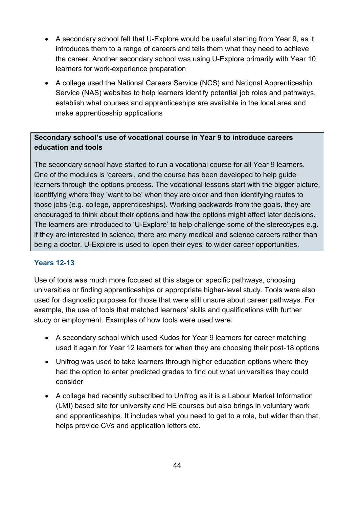- A secondary school felt that U-Explore would be useful starting from Year 9, as it introduces them to a range of careers and tells them what they need to achieve the career. Another secondary school was using U-Explore primarily with Year 10 learners for work-experience preparation
- A college used the National Careers Service (NCS) and National Apprenticeship Service (NAS) websites to help learners identify potential job roles and pathways, establish what courses and apprenticeships are available in the local area and make apprenticeship applications

### **Secondary school's use of vocational course in Year 9 to introduce careers education and tools**

The secondary school have started to run a vocational course for all Year 9 learners. One of the modules is 'careers', and the course has been developed to help guide learners through the options process. The vocational lessons start with the bigger picture, identifying where they 'want to be' when they are older and then identifying routes to those jobs (e.g. college, apprenticeships). Working backwards from the goals, they are encouraged to think about their options and how the options might affect later decisions. The learners are introduced to 'U-Explore' to help challenge some of the stereotypes e.g. if they are interested in science, there are many medical and science careers rather than being a doctor. U-Explore is used to 'open their eyes' to wider career opportunities.

#### **Years 12-13**

Use of tools was much more focused at this stage on specific pathways, choosing universities or finding apprenticeships or appropriate higher-level study. Tools were also used for diagnostic purposes for those that were still unsure about career pathways. For example, the use of tools that matched learners' skills and qualifications with further study or employment. Examples of how tools were used were:

- A secondary school which used Kudos for Year 9 learners for career matching used it again for Year 12 learners for when they are choosing their post-18 options
- Unifrog was used to take learners through higher education options where they had the option to enter predicted grades to find out what universities they could consider
- A college had recently subscribed to Unifrog as it is a Labour Market Information (LMI) based site for university and HE courses but also brings in voluntary work and apprenticeships. It includes what you need to get to a role, but wider than that, helps provide CVs and application letters etc.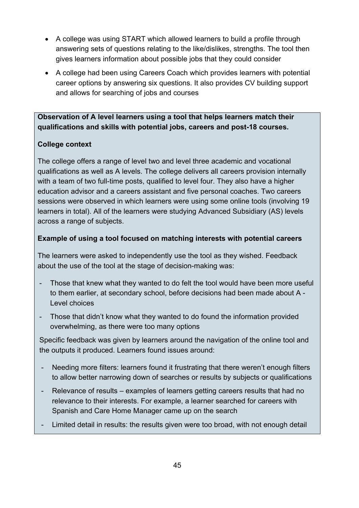- A college was using START which allowed learners to build a profile through answering sets of questions relating to the like/dislikes, strengths. The tool then gives learners information about possible jobs that they could consider
- A college had been using Careers Coach which provides learners with potential career options by answering six questions. It also provides CV building support and allows for searching of jobs and courses

**Observation of A level learners using a tool that helps learners match their qualifications and skills with potential jobs, careers and post-18 courses.** 

#### **College context**

The college offers a range of level two and level three academic and vocational qualifications as well as A levels. The college delivers all careers provision internally with a team of two full-time posts, qualified to level four. They also have a higher education advisor and a careers assistant and five personal coaches. Two careers sessions were observed in which learners were using some online tools (involving 19 learners in total). All of the learners were studying Advanced Subsidiary (AS) levels across a range of subjects.

#### **Example of using a tool focused on matching interests with potential careers**

The learners were asked to independently use the tool as they wished. Feedback about the use of the tool at the stage of decision-making was:

- Those that knew what they wanted to do felt the tool would have been more useful to them earlier, at secondary school, before decisions had been made about A - Level choices
- Those that didn't know what they wanted to do found the information provided overwhelming, as there were too many options

Specific feedback was given by learners around the navigation of the online tool and the outputs it produced. Learners found issues around:

- Needing more filters: learners found it frustrating that there weren't enough filters to allow better narrowing down of searches or results by subjects or qualifications
- Relevance of results examples of learners getting careers results that had no relevance to their interests. For example, a learner searched for careers with Spanish and Care Home Manager came up on the search
- Limited detail in results: the results given were too broad, with not enough detail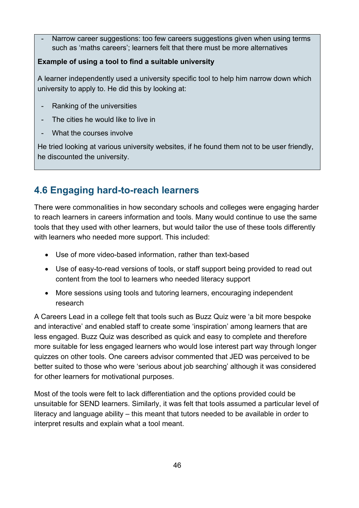Narrow career suggestions: too few careers suggestions given when using terms such as 'maths careers'; learners felt that there must be more alternatives

#### **Example of using a tool to find a suitable university**

A learner independently used a university specific tool to help him narrow down which university to apply to. He did this by looking at:

- Ranking of the universities
- The cities he would like to live in
- What the courses involve

He tried looking at various university websites, if he found them not to be user friendly, he discounted the university.

## **4.6 Engaging hard-to-reach learners**

There were commonalities in how secondary schools and colleges were engaging harder to reach learners in careers information and tools. Many would continue to use the same tools that they used with other learners, but would tailor the use of these tools differently with learners who needed more support. This included:

- Use of more video-based information, rather than text-based
- Use of easy-to-read versions of tools, or staff support being provided to read out content from the tool to learners who needed literacy support
- More sessions using tools and tutoring learners, encouraging independent research

A Careers Lead in a college felt that tools such as Buzz Quiz were 'a bit more bespoke and interactive' and enabled staff to create some 'inspiration' among learners that are less engaged. Buzz Quiz was described as quick and easy to complete and therefore more suitable for less engaged learners who would lose interest part way through longer quizzes on other tools. One careers advisor commented that JED was perceived to be better suited to those who were 'serious about job searching' although it was considered for other learners for motivational purposes.

Most of the tools were felt to lack differentiation and the options provided could be unsuitable for SEND learners. Similarly, it was felt that tools assumed a particular level of literacy and language ability – this meant that tutors needed to be available in order to interpret results and explain what a tool meant.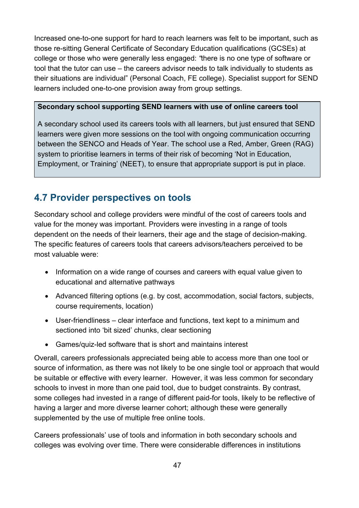Increased one-to-one support for hard to reach learners was felt to be important, such as those re-sitting General Certificate of Secondary Education qualifications (GCSEs) at college or those who were generally less engaged: *"*there is no one type of software or tool that the tutor can use – the careers advisor needs to talk individually to students as their situations are individual" (Personal Coach, FE college). Specialist support for SEND learners included one-to-one provision away from group settings.

#### **Secondary school supporting SEND learners with use of online careers tool**

A secondary school used its careers tools with all learners, but just ensured that SEND learners were given more sessions on the tool with ongoing communication occurring between the SENCO and Heads of Year. The school use a Red, Amber, Green (RAG) system to prioritise learners in terms of their risk of becoming 'Not in Education, Employment, or Training' (NEET), to ensure that appropriate support is put in place.

## **4.7 Provider perspectives on tools**

Secondary school and college providers were mindful of the cost of careers tools and value for the money was important. Providers were investing in a range of tools dependent on the needs of their learners, their age and the stage of decision-making. The specific features of careers tools that careers advisors/teachers perceived to be most valuable were:

- Information on a wide range of courses and careers with equal value given to educational and alternative pathways
- Advanced filtering options (e.g. by cost, accommodation, social factors, subjects, course requirements, location)
- User-friendliness clear interface and functions, text kept to a minimum and sectioned into 'bit sized' chunks, clear sectioning
- Games/quiz-led software that is short and maintains interest

Overall, careers professionals appreciated being able to access more than one tool or source of information, as there was not likely to be one single tool or approach that would be suitable or effective with every learner. However, it was less common for secondary schools to invest in more than one paid tool, due to budget constraints. By contrast, some colleges had invested in a range of different paid-for tools, likely to be reflective of having a larger and more diverse learner cohort; although these were generally supplemented by the use of multiple free online tools.

Careers professionals' use of tools and information in both secondary schools and colleges was evolving over time. There were considerable differences in institutions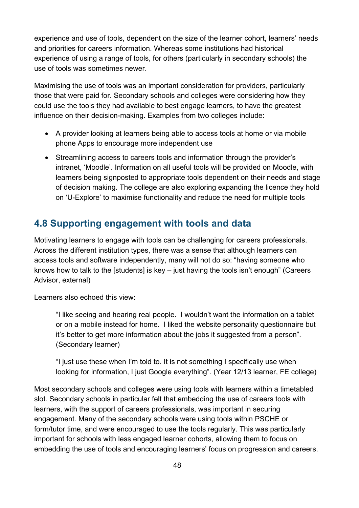experience and use of tools, dependent on the size of the learner cohort, learners' needs and priorities for careers information. Whereas some institutions had historical experience of using a range of tools, for others (particularly in secondary schools) the use of tools was sometimes newer.

Maximising the use of tools was an important consideration for providers, particularly those that were paid for. Secondary schools and colleges were considering how they could use the tools they had available to best engage learners, to have the greatest influence on their decision-making. Examples from two colleges include:

- A provider looking at learners being able to access tools at home or via mobile phone Apps to encourage more independent use
- Streamlining access to careers tools and information through the provider's intranet, 'Moodle'. Information on all useful tools will be provided on Moodle, with learners being signposted to appropriate tools dependent on their needs and stage of decision making. The college are also exploring expanding the licence they hold on 'U-Explore' to maximise functionality and reduce the need for multiple tools

## **4.8 Supporting engagement with tools and data**

Motivating learners to engage with tools can be challenging for careers professionals. Across the different institution types, there was a sense that although learners can access tools and software independently, many will not do so: "having someone who knows how to talk to the [students] is key – just having the tools isn't enough" (Careers Advisor, external)

Learners also echoed this view:

"I like seeing and hearing real people. I wouldn't want the information on a tablet or on a mobile instead for home. I liked the website personality questionnaire but it's better to get more information about the jobs it suggested from a person". (Secondary learner)

"I just use these when I'm told to. It is not something I specifically use when looking for information, I just Google everything"*.* (Year 12/13 learner, FE college)

Most secondary schools and colleges were using tools with learners within a timetabled slot. Secondary schools in particular felt that embedding the use of careers tools with learners, with the support of careers professionals, was important in securing engagement. Many of the secondary schools were using tools within PSCHE or form/tutor time, and were encouraged to use the tools regularly. This was particularly important for schools with less engaged learner cohorts, allowing them to focus on embedding the use of tools and encouraging learners' focus on progression and careers.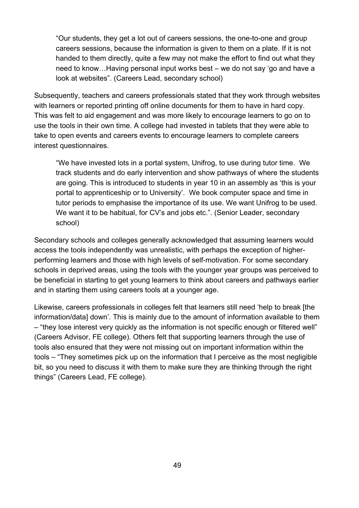"Our students, they get a lot out of careers sessions, the one-to-one and group careers sessions, because the information is given to them on a plate. If it is not handed to them directly, quite a few may not make the effort to find out what they need to know…Having personal input works best – we do not say 'go and have a look at websites". (Careers Lead, secondary school)

Subsequently, teachers and careers professionals stated that they work through websites with learners or reported printing off online documents for them to have in hard copy. This was felt to aid engagement and was more likely to encourage learners to go on to use the tools in their own time. A college had invested in tablets that they were able to take to open events and careers events to encourage learners to complete careers interest questionnaires.

"We have invested lots in a portal system, Unifrog, to use during tutor time. We track students and do early intervention and show pathways of where the students are going. This is introduced to students in year 10 in an assembly as 'this is your portal to apprenticeship or to University'. We book computer space and time in tutor periods to emphasise the importance of its use. We want Unifrog to be used. We want it to be habitual, for CV's and jobs etc.". (Senior Leader, secondary school)

Secondary schools and colleges generally acknowledged that assuming learners would access the tools independently was unrealistic, with perhaps the exception of higherperforming learners and those with high levels of self-motivation. For some secondary schools in deprived areas, using the tools with the younger year groups was perceived to be beneficial in starting to get young learners to think about careers and pathways earlier and in starting them using careers tools at a younger age.

Likewise, careers professionals in colleges felt that learners still need 'help to break [the information/data] down'. This is mainly due to the amount of information available to them – "they lose interest very quickly as the information is not specific enough or filtered well" (Careers Advisor, FE college). Others felt that supporting learners through the use of tools also ensured that they were not missing out on important information within the tools – "They sometimes pick up on the information that I perceive as the most negligible bit, so you need to discuss it with them to make sure they are thinking through the right things" (Careers Lead, FE college).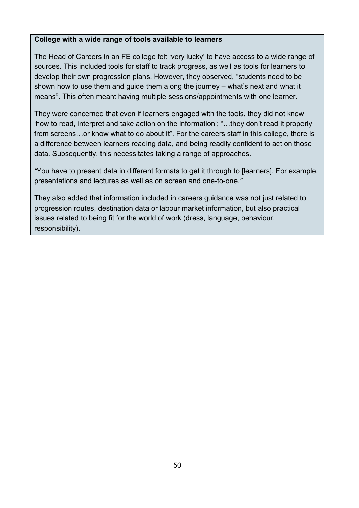#### **College with a wide range of tools available to learners**

The Head of Careers in an FE college felt 'very lucky' to have access to a wide range of sources. This included tools for staff to track progress, as well as tools for learners to develop their own progression plans. However, they observed, "students need to be shown how to use them and guide them along the journey – what's next and what it means". This often meant having multiple sessions/appointments with one learner.

They were concerned that even if learners engaged with the tools, they did not know 'how to read, interpret and take action on the information'; "…they don't read it properly from screens…or know what to do about it". For the careers staff in this college, there is a difference between learners reading data, and being readily confident to act on those data. Subsequently, this necessitates taking a range of approaches.

*"*You have to present data in different formats to get it through to [learners]. For example, presentations and lectures as well as on screen and one-to-one*."*

They also added that information included in careers guidance was not just related to progression routes, destination data or labour market information, but also practical issues related to being fit for the world of work (dress, language, behaviour, responsibility).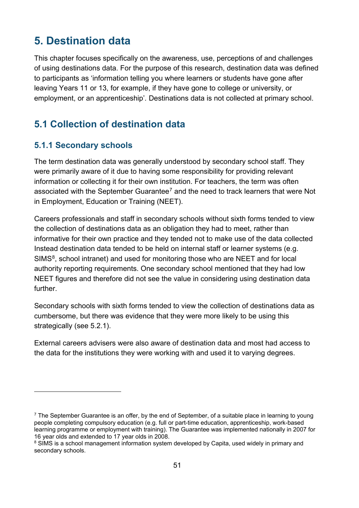# **5. Destination data**

This chapter focuses specifically on the awareness, use, perceptions of and challenges of using destinations data. For the purpose of this research, destination data was defined to participants as 'information telling you where learners or students have gone after leaving Years 11 or 13, for example, if they have gone to college or university, or employment, or an apprenticeship'*.* Destinations data is not collected at primary school.

## **5.1 Collection of destination data**

### **5.1.1 Secondary schools**

 $\overline{a}$ 

The term destination data was generally understood by secondary school staff. They were primarily aware of it due to having some responsibility for providing relevant information or collecting it for their own institution. For teachers, the term was often associated with the September Guarantee<sup>[7](#page-50-0)</sup> and the need to track learners that were Not in Employment, Education or Training (NEET).

Careers professionals and staff in secondary schools without sixth forms tended to view the collection of destinations data as an obligation they had to meet, rather than informative for their own practice and they tended not to make use of the data collected Instead destination data tended to be held on internal staff or learner systems (e.g. SIMS<sup>8</sup>, school intranet) and used for monitoring those who are NEET and for local authority reporting requirements. One secondary school mentioned that they had low NEET figures and therefore did not see the value in considering using destination data further.

Secondary schools with sixth forms tended to view the collection of destinations data as cumbersome, but there was evidence that they were more likely to be using this strategically (see 5.2.1).

External careers advisers were also aware of destination data and most had access to the data for the institutions they were working with and used it to varying degrees.

<span id="page-50-0"></span> $7$  The September Guarantee is an offer, by the end of September, of a suitable place in learning to young people completing compulsory education (e.g. full or part-time education, apprenticeship, work-based learning programme or employment with training). The Guarantee was implemented nationally in 2007 for 16 year olds and extended to 17 year olds in 2008.

<span id="page-50-1"></span><sup>&</sup>lt;sup>8</sup> SIMS is a school management information system developed by Capita, used widely in primary and secondary schools.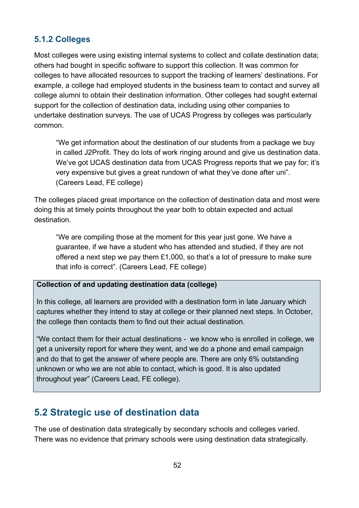### **5.1.2 Colleges**

Most colleges were using existing internal systems to collect and collate destination data; others had bought in specific software to support this collection. It was common for colleges to have allocated resources to support the tracking of learners' destinations. For example, a college had employed students in the business team to contact and survey all college alumni to obtain their destination information. Other colleges had sought external support for the collection of destination data, including using other companies to undertake destination surveys. The use of UCAS Progress by colleges was particularly common.

"We get information about the destination of our students from a package we buy in called J2Profit. They do lots of work ringing around and give us destination data. We've got UCAS destination data from UCAS Progress reports that we pay for; it's very expensive but gives a great rundown of what they've done after uni". (Careers Lead, FE college)

The colleges placed great importance on the collection of destination data and most were doing this at timely points throughout the year both to obtain expected and actual destination.

"We are compiling those at the moment for this year just gone. We have a guarantee, if we have a student who has attended and studied, if they are not offered a next step we pay them £1,000, so that's a lot of pressure to make sure that info is correct". (Careers Lead, FE college)

#### **Collection of and updating destination data (college)**

In this college, all learners are provided with a destination form in late January which captures whether they intend to stay at college or their planned next steps. In October, the college then contacts them to find out their actual destination.

"We contact them for their actual destinations - we know who is enrolled in college, we get a university report for where they went, and we do a phone and email campaign and do that to get the answer of where people are. There are only 6% outstanding unknown or who we are not able to contact, which is good. It is also updated throughout year" (Careers Lead, FE college).

## **5.2 Strategic use of destination data**

The use of destination data strategically by secondary schools and colleges varied. There was no evidence that primary schools were using destination data strategically.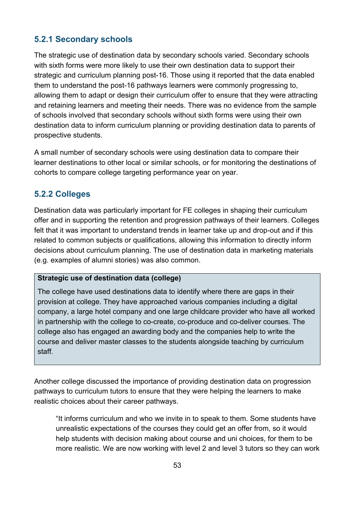### **5.2.1 Secondary schools**

The strategic use of destination data by secondary schools varied. Secondary schools with sixth forms were more likely to use their own destination data to support their strategic and curriculum planning post-16. Those using it reported that the data enabled them to understand the post-16 pathways learners were commonly progressing to, allowing them to adapt or design their curriculum offer to ensure that they were attracting and retaining learners and meeting their needs. There was no evidence from the sample of schools involved that secondary schools without sixth forms were using their own destination data to inform curriculum planning or providing destination data to parents of prospective students.

A small number of secondary schools were using destination data to compare their learner destinations to other local or similar schools, or for monitoring the destinations of cohorts to compare college targeting performance year on year.

### **5.2.2 Colleges**

Destination data was particularly important for FE colleges in shaping their curriculum offer and in supporting the retention and progression pathways of their learners. Colleges felt that it was important to understand trends in learner take up and drop-out and if this related to common subjects or qualifications, allowing this information to directly inform decisions about curriculum planning. The use of destination data in marketing materials (e.g. examples of alumni stories) was also common.

#### **Strategic use of destination data (college)**

The college have used destinations data to identify where there are gaps in their provision at college. They have approached various companies including a digital company, a large hotel company and one large childcare provider who have all worked in partnership with the college to co-create, co-produce and co-deliver courses. The college also has engaged an awarding body and the companies help to write the course and deliver master classes to the students alongside teaching by curriculum staff.

Another college discussed the importance of providing destination data on progression pathways to curriculum tutors to ensure that they were helping the learners to make realistic choices about their career pathways.

"It informs curriculum and who we invite in to speak to them. Some students have unrealistic expectations of the courses they could get an offer from, so it would help students with decision making about course and uni choices, for them to be more realistic. We are now working with level 2 and level 3 tutors so they can work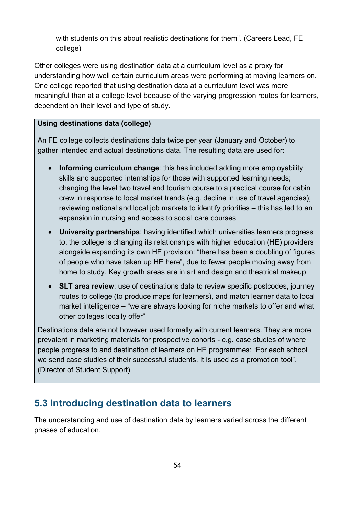with students on this about realistic destinations for them". (Careers Lead, FE college)

Other colleges were using destination data at a curriculum level as a proxy for understanding how well certain curriculum areas were performing at moving learners on. One college reported that using destination data at a curriculum level was more meaningful than at a college level because of the varying progression routes for learners, dependent on their level and type of study.

#### **Using destinations data (college)**

An FE college collects destinations data twice per year (January and October) to gather intended and actual destinations data. The resulting data are used for:

- **Informing curriculum change**: this has included adding more employability skills and supported internships for those with supported learning needs; changing the level two travel and tourism course to a practical course for cabin crew in response to local market trends (e.g. decline in use of travel agencies); reviewing national and local job markets to identify priorities – this has led to an expansion in nursing and access to social care courses
- **University partnerships**: having identified which universities learners progress to, the college is changing its relationships with higher education (HE) providers alongside expanding its own HE provision: "there has been a doubling of figures of people who have taken up HE here", due to fewer people moving away from home to study. Key growth areas are in art and design and theatrical makeup
- **SLT area review**: use of destinations data to review specific postcodes, journey routes to college (to produce maps for learners), and match learner data to local market intelligence – "we are always looking for niche markets to offer and what other colleges locally offer"

Destinations data are not however used formally with current learners. They are more prevalent in marketing materials for prospective cohorts - e.g. case studies of where people progress to and destination of learners on HE programmes: "For each school we send case studies of their successful students. It is used as a promotion tool". (Director of Student Support)

## **5.3 Introducing destination data to learners**

The understanding and use of destination data by learners varied across the different phases of education.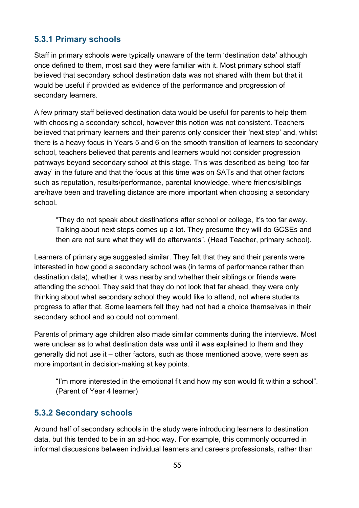### **5.3.1 Primary schools**

Staff in primary schools were typically unaware of the term 'destination data' although once defined to them, most said they were familiar with it. Most primary school staff believed that secondary school destination data was not shared with them but that it would be useful if provided as evidence of the performance and progression of secondary learners.

A few primary staff believed destination data would be useful for parents to help them with choosing a secondary school, however this notion was not consistent. Teachers believed that primary learners and their parents only consider their 'next step' and, whilst there is a heavy focus in Years 5 and 6 on the smooth transition of learners to secondary school, teachers believed that parents and learners would not consider progression pathways beyond secondary school at this stage. This was described as being 'too far away' in the future and that the focus at this time was on SATs and that other factors such as reputation, results/performance, parental knowledge, where friends/siblings are/have been and travelling distance are more important when choosing a secondary school.

"They do not speak about destinations after school or college, it's too far away. Talking about next steps comes up a lot. They presume they will do GCSEs and then are not sure what they will do afterwards". (Head Teacher, primary school).

Learners of primary age suggested similar. They felt that they and their parents were interested in how good a secondary school was (in terms of performance rather than destination data), whether it was nearby and whether their siblings or friends were attending the school. They said that they do not look that far ahead, they were only thinking about what secondary school they would like to attend, not where students progress to after that. Some learners felt they had not had a choice themselves in their secondary school and so could not comment.

Parents of primary age children also made similar comments during the interviews. Most were unclear as to what destination data was until it was explained to them and they generally did not use it – other factors, such as those mentioned above, were seen as more important in decision-making at key points.

"I'm more interested in the emotional fit and how my son would fit within a school". (Parent of Year 4 learner)

### **5.3.2 Secondary schools**

Around half of secondary schools in the study were introducing learners to destination data, but this tended to be in an ad-hoc way. For example, this commonly occurred in informal discussions between individual learners and careers professionals, rather than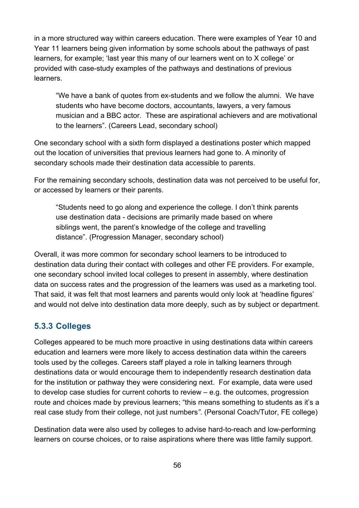in a more structured way within careers education. There were examples of Year 10 and Year 11 learners being given information by some schools about the pathways of past learners, for example; 'last year this many of our learners went on to X college' or provided with case-study examples of the pathways and destinations of previous **learners** 

"We have a bank of quotes from ex-students and we follow the alumni. We have students who have become doctors, accountants, lawyers, a very famous musician and a BBC actor. These are aspirational achievers and are motivational to the learners". (Careers Lead, secondary school)

One secondary school with a sixth form displayed a destinations poster which mapped out the location of universities that previous learners had gone to. A minority of secondary schools made their destination data accessible to parents.

For the remaining secondary schools, destination data was not perceived to be useful for, or accessed by learners or their parents.

"Students need to go along and experience the college. I don't think parents use destination data - decisions are primarily made based on where siblings went, the parent's knowledge of the college and travelling distance". (Progression Manager, secondary school)

Overall, it was more common for secondary school learners to be introduced to destination data during their contact with colleges and other FE providers. For example, one secondary school invited local colleges to present in assembly, where destination data on success rates and the progression of the learners was used as a marketing tool. That said, it was felt that most learners and parents would only look at 'headline figures' and would not delve into destination data more deeply, such as by subject or department.

#### **5.3.3 Colleges**

Colleges appeared to be much more proactive in using destinations data within careers education and learners were more likely to access destination data within the careers tools used by the colleges. Careers staff played a role in talking learners through destinations data or would encourage them to independently research destination data for the institution or pathway they were considering next. For example, data were used to develop case studies for current cohorts to review – e.g. the outcomes, progression route and choices made by previous learners; "this means something to students as it's a real case study from their college, not just numbers*"*. (Personal Coach/Tutor, FE college)

Destination data were also used by colleges to advise hard-to-reach and low-performing learners on course choices, or to raise aspirations where there was little family support.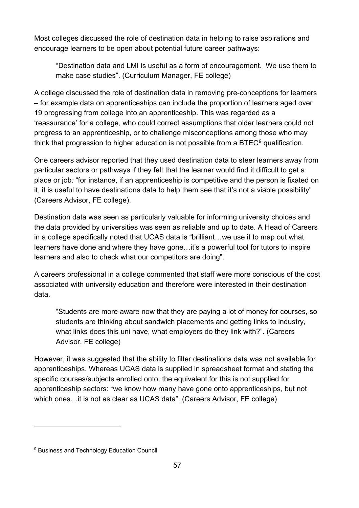Most colleges discussed the role of destination data in helping to raise aspirations and encourage learners to be open about potential future career pathways:

"Destination data and LMI is useful as a form of encouragement. We use them to make case studies". (Curriculum Manager, FE college)

A college discussed the role of destination data in removing pre-conceptions for learners – for example data on apprenticeships can include the proportion of learners aged over 19 progressing from college into an apprenticeship. This was regarded as a 'reassurance' for a college, who could correct assumptions that older learners could not progress to an apprenticeship, or to challenge misconceptions among those who may think that progression to higher education is not possible from a  $BTEC<sup>9</sup>$  $BTEC<sup>9</sup>$  $BTEC<sup>9</sup>$  qualification.

One careers advisor reported that they used destination data to steer learners away from particular sectors or pathways if they felt that the learner would find it difficult to get a place or job*:* "for instance, if an apprenticeship is competitive and the person is fixated on it, it is useful to have destinations data to help them see that it's not a viable possibility" (Careers Advisor, FE college).

Destination data was seen as particularly valuable for informing university choices and the data provided by universities was seen as reliable and up to date. A Head of Careers in a college specifically noted that UCAS data is "brilliant…we use it to map out what learners have done and where they have gone…it's a powerful tool for tutors to inspire learners and also to check what our competitors are doing".

A careers professional in a college commented that staff were more conscious of the cost associated with university education and therefore were interested in their destination data.

"Students are more aware now that they are paying a lot of money for courses, so students are thinking about sandwich placements and getting links to industry, what links does this uni have, what employers do they link with?". (Careers Advisor, FE college)

However, it was suggested that the ability to filter destinations data was not available for apprenticeships. Whereas UCAS data is supplied in spreadsheet format and stating the specific courses/subjects enrolled onto, the equivalent for this is not supplied for apprenticeship sectors: "we know how many have gone onto apprenticeships, but not which ones…it is not as clear as UCAS data". (Careers Advisor, FE college)

 $\overline{a}$ 

<span id="page-56-0"></span><sup>9</sup> Business and Technology Education Council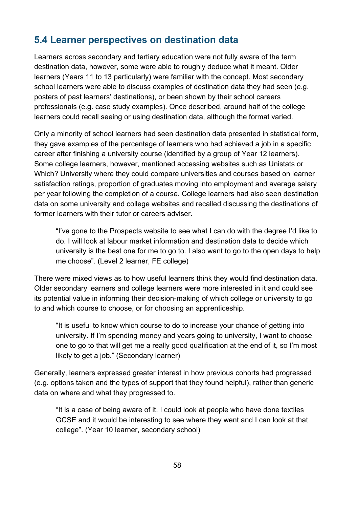## **5.4 Learner perspectives on destination data**

Learners across secondary and tertiary education were not fully aware of the term destination data, however, some were able to roughly deduce what it meant. Older learners (Years 11 to 13 particularly) were familiar with the concept. Most secondary school learners were able to discuss examples of destination data they had seen (e.g. posters of past learners' destinations), or been shown by their school careers professionals (e.g. case study examples). Once described, around half of the college learners could recall seeing or using destination data, although the format varied.

Only a minority of school learners had seen destination data presented in statistical form, they gave examples of the percentage of learners who had achieved a job in a specific career after finishing a university course (identified by a group of Year 12 learners). Some college learners, however, mentioned accessing websites such as Unistats or Which? University where they could compare universities and courses based on learner satisfaction ratings, proportion of graduates moving into employment and average salary per year following the completion of a course. College learners had also seen destination data on some university and college websites and recalled discussing the destinations of former learners with their tutor or careers adviser.

"I've gone to the Prospects website to see what I can do with the degree I'd like to do. I will look at labour market information and destination data to decide which university is the best one for me to go to. I also want to go to the open days to help me choose". (Level 2 learner, FE college)

There were mixed views as to how useful learners think they would find destination data. Older secondary learners and college learners were more interested in it and could see its potential value in informing their decision-making of which college or university to go to and which course to choose, or for choosing an apprenticeship.

"It is useful to know which course to do to increase your chance of getting into university. If I'm spending money and years going to university, I want to choose one to go to that will get me a really good qualification at the end of it, so I'm most likely to get a job." (Secondary learner)

Generally, learners expressed greater interest in how previous cohorts had progressed (e.g. options taken and the types of support that they found helpful), rather than generic data on where and what they progressed to.

"It is a case of being aware of it. I could look at people who have done textiles GCSE and it would be interesting to see where they went and I can look at that college". (Year 10 learner, secondary school)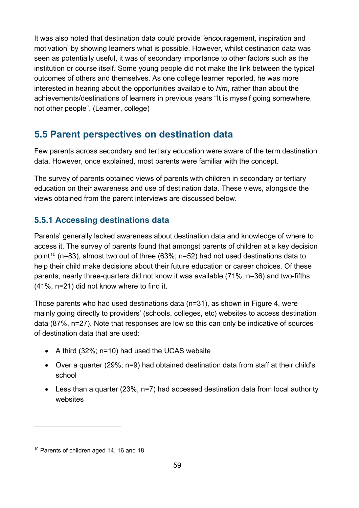It was also noted that destination data could provide *'*encouragement, inspiration and motivation' by showing learners what is possible. However, whilst destination data was seen as potentially useful, it was of secondary importance to other factors such as the institution or course itself. Some young people did not make the link between the typical outcomes of others and themselves. As one college learner reported, he was more interested in hearing about the opportunities available to *him*, rather than about the achievements/destinations of learners in previous years "It is myself going somewhere, not other people". (Learner, college)

## **5.5 Parent perspectives on destination data**

Few parents across secondary and tertiary education were aware of the term destination data. However, once explained, most parents were familiar with the concept.

The survey of parents obtained views of parents with children in secondary or tertiary education on their awareness and use of destination data. These views, alongside the views obtained from the parent interviews are discussed below.

## **5.5.1 Accessing destinations data**

Parents' generally lacked awareness about destination data and knowledge of where to access it. The survey of parents found that amongst parents of children at a key decision point<sup>[10](#page-58-0)</sup> (n=83), almost two out of three (63%; n=52) had not used destinations data to help their child make decisions about their future education or career choices. Of these parents, nearly three-quarters did not know it was available (71%; n=36) and two-fifths (41%, n=21) did not know where to find it.

Those parents who had used destinations data (n=31), as shown in Figure 4, were mainly going directly to providers' (schools, colleges, etc) websites to access destination data (87%, n=27). Note that responses are low so this can only be indicative of sources of destination data that are used:

- A third (32%; n=10) had used the UCAS website
- Over a quarter (29%; n=9) had obtained destination data from staff at their child's school
- Less than a quarter (23%, n=7) had accessed destination data from local authority websites

 $\overline{a}$ 

<span id="page-58-0"></span><sup>&</sup>lt;sup>10</sup> Parents of children aged 14, 16 and 18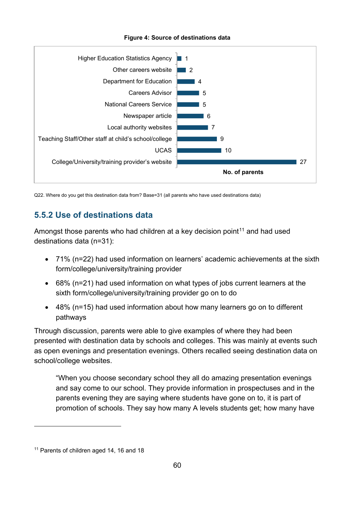

#### **Figure 4: Source of destinations data**

Q22. Where do you get this destination data from? Base=31 (all parents who have used destinations data)

### **5.5.2 Use of destinations data**

Amongst those parents who had children at a key decision point<sup>[11](#page-59-0)</sup> and had used destinations data (n=31):

- 71% (n=22) had used information on learners' academic achievements at the sixth form/college/university/training provider
- 68% (n=21) had used information on what types of jobs current learners at the sixth form/college/university/training provider go on to do
- 48% (n=15) had used information about how many learners go on to different pathways

Through discussion, parents were able to give examples of where they had been presented with destination data by schools and colleges. This was mainly at events such as open evenings and presentation evenings. Others recalled seeing destination data on school/college websites.

"When you choose secondary school they all do amazing presentation evenings and say come to our school. They provide information in prospectuses and in the parents evening they are saying where students have gone on to, it is part of promotion of schools. They say how many A levels students get; how many have

 $\overline{a}$ 

<span id="page-59-0"></span><sup>&</sup>lt;sup>11</sup> Parents of children aged 14, 16 and 18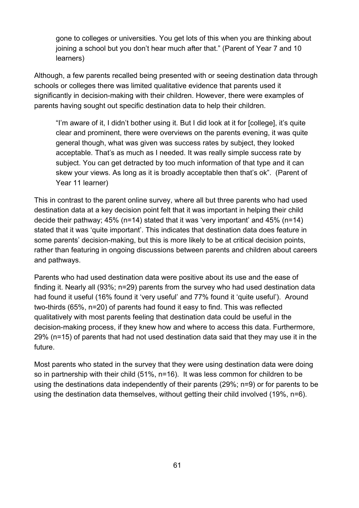gone to colleges or universities. You get lots of this when you are thinking about joining a school but you don't hear much after that." (Parent of Year 7 and 10 learners)

Although, a few parents recalled being presented with or seeing destination data through schools or colleges there was limited qualitative evidence that parents used it significantly in decision-making with their children. However, there were examples of parents having sought out specific destination data to help their children.

"I'm aware of it, I didn't bother using it. But I did look at it for [college], it's quite clear and prominent, there were overviews on the parents evening, it was quite general though, what was given was success rates by subject, they looked acceptable. That's as much as I needed. It was really simple success rate by subject. You can get detracted by too much information of that type and it can skew your views. As long as it is broadly acceptable then that's ok". (Parent of Year 11 learner)

This in contrast to the parent online survey, where all but three parents who had used destination data at a key decision point felt that it was important in helping their child decide their pathway; 45% (n=14) stated that it was 'very important' and 45% (n=14) stated that it was 'quite important'. This indicates that destination data does feature in some parents' decision-making, but this is more likely to be at critical decision points, rather than featuring in ongoing discussions between parents and children about careers and pathways.

Parents who had used destination data were positive about its use and the ease of finding it. Nearly all (93%; n=29) parents from the survey who had used destination data had found it useful (16% found it 'very useful' and 77% found it 'quite useful'). Around two-thirds (65%, n=20) of parents had found it easy to find. This was reflected qualitatively with most parents feeling that destination data could be useful in the decision-making process, if they knew how and where to access this data. Furthermore, 29% (n=15) of parents that had not used destination data said that they may use it in the future.

Most parents who stated in the survey that they were using destination data were doing so in partnership with their child (51%, n=16). It was less common for children to be using the destinations data independently of their parents (29%; n=9) or for parents to be using the destination data themselves, without getting their child involved (19%, n=6).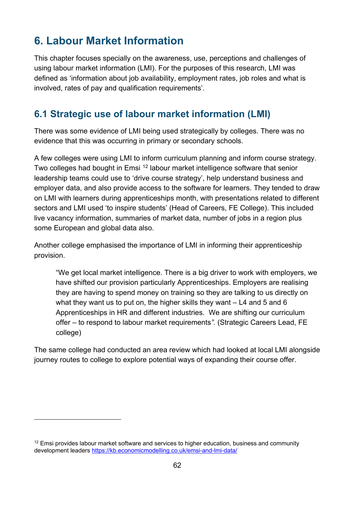# **6. Labour Market Information**

This chapter focuses specially on the awareness, use, perceptions and challenges of using labour market information (LMI). For the purposes of this research, LMI was defined as 'information about job availability, employment rates, job roles and what is involved, rates of pay and qualification requirements'*.*

## **6.1 Strategic use of labour market information (LMI)**

There was some evidence of LMI being used strategically by colleges. There was no evidence that this was occurring in primary or secondary schools.

A few colleges were using LMI to inform curriculum planning and inform course strategy. Two colleges had bought in Emsi <sup>[12](#page-61-0)</sup> labour market intelligence software that senior leadership teams could use to 'drive course strategy', help understand business and employer data, and also provide access to the software for learners. They tended to draw on LMI with learners during apprenticeships month, with presentations related to different sectors and LMI used 'to inspire students' (Head of Careers, FE College). This included live vacancy information, summaries of market data, number of jobs in a region plus some European and global data also.

Another college emphasised the importance of LMI in informing their apprenticeship provision.

"We get local market intelligence. There is a big driver to work with employers, we have shifted our provision particularly Apprenticeships. Employers are realising they are having to spend money on training so they are talking to us directly on what they want us to put on, the higher skills they want – L4 and 5 and 6 Apprenticeships in HR and different industries. We are shifting our curriculum offer – to respond to labour market requirements*".* (Strategic Careers Lead, FE college)

The same college had conducted an area review which had looked at local LMI alongside journey routes to college to explore potential ways of expanding their course offer.

 $\overline{a}$ 

<span id="page-61-0"></span> $12$  Emsi provides labour market software and services to higher education, business and community development leaders<https://kb.economicmodelling.co.uk/emsi-and-lmi-data/>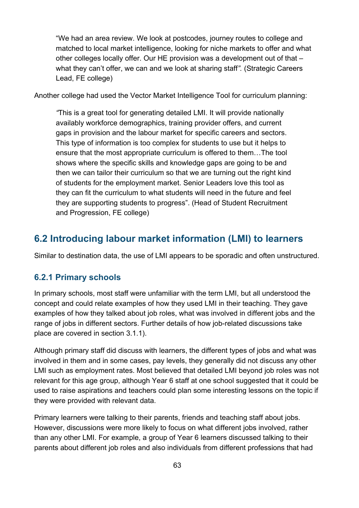"We had an area review. We look at postcodes, journey routes to college and matched to local market intelligence, looking for niche markets to offer and what other colleges locally offer. Our HE provision was a development out of that – what they can't offer, we can and we look at sharing staff*".* (Strategic Careers Lead, FE college)

Another college had used the Vector Market Intelligence Tool for curriculum planning:

*"*This is a great tool for generating detailed LMI. It will provide nationally availably workforce demographics, training provider offers, and current gaps in provision and the labour market for specific careers and sectors. This type of information is too complex for students to use but it helps to ensure that the most appropriate curriculum is offered to them…The tool shows where the specific skills and knowledge gaps are going to be and then we can tailor their curriculum so that we are turning out the right kind of students for the employment market. Senior Leaders love this tool as they can fit the curriculum to what students will need in the future and feel they are supporting students to progress". (Head of Student Recruitment and Progression, FE college)

## **6.2 Introducing labour market information (LMI) to learners**

Similar to destination data, the use of LMI appears to be sporadic and often unstructured.

#### **6.2.1 Primary schools**

In primary schools, most staff were unfamiliar with the term LMI, but all understood the concept and could relate examples of how they used LMI in their teaching. They gave examples of how they talked about job roles, what was involved in different jobs and the range of jobs in different sectors. Further details of how job-related discussions take place are covered in section 3.1.1).

Although primary staff did discuss with learners, the different types of jobs and what was involved in them and in some cases, pay levels, they generally did not discuss any other LMI such as employment rates. Most believed that detailed LMI beyond job roles was not relevant for this age group, although Year 6 staff at one school suggested that it could be used to raise aspirations and teachers could plan some interesting lessons on the topic if they were provided with relevant data.

Primary learners were talking to their parents, friends and teaching staff about jobs. However, discussions were more likely to focus on what different jobs involved, rather than any other LMI. For example, a group of Year 6 learners discussed talking to their parents about different job roles and also individuals from different professions that had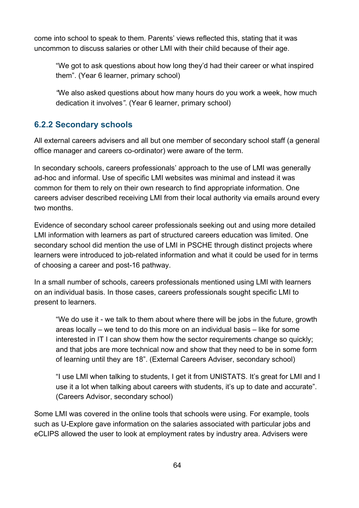come into school to speak to them. Parents' views reflected this, stating that it was uncommon to discuss salaries or other LMI with their child because of their age.

"We got to ask questions about how long they'd had their career or what inspired them". (Year 6 learner, primary school)

*"*We also asked questions about how many hours do you work a week, how much dedication it involves*"*. (Year 6 learner, primary school)

### **6.2.2 Secondary schools**

All external careers advisers and all but one member of secondary school staff (a general office manager and careers co-ordinator) were aware of the term.

In secondary schools, careers professionals' approach to the use of LMI was generally ad-hoc and informal. Use of specific LMI websites was minimal and instead it was common for them to rely on their own research to find appropriate information. One careers adviser described receiving LMI from their local authority via emails around every two months.

Evidence of secondary school career professionals seeking out and using more detailed LMI information with learners as part of structured careers education was limited. One secondary school did mention the use of LMI in PSCHE through distinct projects where learners were introduced to job-related information and what it could be used for in terms of choosing a career and post-16 pathway.

In a small number of schools, careers professionals mentioned using LMI with learners on an individual basis. In those cases, careers professionals sought specific LMI to present to learners.

"We do use it - we talk to them about where there will be jobs in the future, growth areas locally – we tend to do this more on an individual basis – like for some interested in IT I can show them how the sector requirements change so quickly; and that jobs are more technical now and show that they need to be in some form of learning until they are 18". (External Careers Adviser, secondary school)

"I use LMI when talking to students, I get it from UNISTATS. It's great for LMI and I use it a lot when talking about careers with students, it's up to date and accurate". (Careers Advisor, secondary school)

Some LMI was covered in the online tools that schools were using. For example, tools such as U-Explore gave information on the salaries associated with particular jobs and eCLIPS allowed the user to look at employment rates by industry area. Advisers were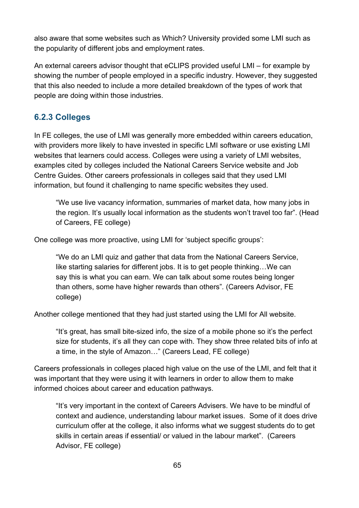also aware that some websites such as Which? University provided some LMI such as the popularity of different jobs and employment rates.

An external careers advisor thought that eCLIPS provided useful LMI – for example by showing the number of people employed in a specific industry. However, they suggested that this also needed to include a more detailed breakdown of the types of work that people are doing within those industries.

## **6.2.3 Colleges**

In FE colleges, the use of LMI was generally more embedded within careers education, with providers more likely to have invested in specific LMI software or use existing LMI websites that learners could access. Colleges were using a variety of LMI websites, examples cited by colleges included the National Careers Service website and Job Centre Guides. Other careers professionals in colleges said that they used LMI information, but found it challenging to name specific websites they used.

"We use live vacancy information, summaries of market data, how many jobs in the region. It's usually local information as the students won't travel too far". (Head of Careers, FE college)

One college was more proactive, using LMI for 'subject specific groups':

"We do an LMI quiz and gather that data from the National Careers Service, like starting salaries for different jobs. It is to get people thinking…We can say this is what you can earn. We can talk about some routes being longer than others, some have higher rewards than others"*.* (Careers Advisor, FE college)

Another college mentioned that they had just started using the LMI for All website.

"It's great, has small bite-sized info, the size of a mobile phone so it's the perfect size for students, it's all they can cope with. They show three related bits of info at a time, in the style of Amazon…" (Careers Lead, FE college)

Careers professionals in colleges placed high value on the use of the LMI, and felt that it was important that they were using it with learners in order to allow them to make informed choices about career and education pathways.

"It's very important in the context of Careers Advisers. We have to be mindful of context and audience, understanding labour market issues. Some of it does drive curriculum offer at the college, it also informs what we suggest students do to get skills in certain areas if essential/ or valued in the labour market".(Careers Advisor, FE college)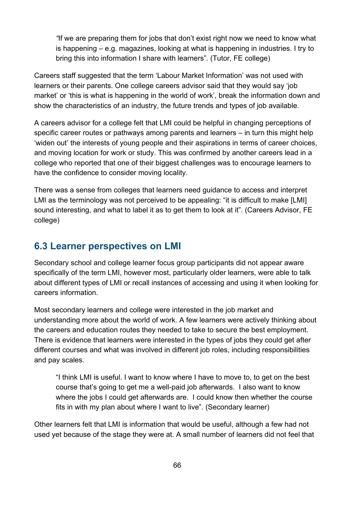*"*If we are preparing them for jobs that don't exist right now we need to know what is happening – e.g. magazines, looking at what is happening in industries. I try to bring this into information I share with learners". (Tutor, FE college)

Careers staff suggested that the term 'Labour Market Information' was not used with learners or their parents. One college careers advisor said that they would say 'job market' or 'this is what is happening in the world of work', break the information down and show the characteristics of an industry, the future trends and types of job available.

A careers advisor for a college felt that LMI could be helpful in changing perceptions of specific career routes or pathways among parents and learners – in turn this might help 'widen out' the interests of young people and their aspirations in terms of career choices, and moving location for work or study. This was confirmed by another careers lead in a college who reported that one of their biggest challenges was to encourage learners to have the confidence to consider moving locality.

There was a sense from colleges that learners need guidance to access and interpret LMI as the terminology was not perceived to be appealing: "it is difficult to make [LMI] sound interesting, and what to label it as to get them to look at it". (Careers Advisor, FE college)

## **6.3 Learner perspectives on LMI**

Secondary school and college learner focus group participants did not appear aware specifically of the term LMI, however most, particularly older learners, were able to talk about different types of LMI or recall instances of accessing and using it when looking for careers information.

Most secondary learners and college were interested in the job market and understanding more about the world of work. A few learners were actively thinking about the careers and education routes they needed to take to secure the best employment. There is evidence that learners were interested in the types of jobs they could get after different courses and what was involved in different job roles, including responsibilities and pay scales.

"I think LMI is useful. I want to know where I have to move to, to get on the best course that's going to get me a well-paid job afterwards. I also want to know where the jobs I could get afterwards are. I could know then whether the course fits in with my plan about where I want to live". (Secondary learner)

Other learners felt that LMI is information that would be useful, although a few had not used yet because of the stage they were at. A small number of learners did not feel that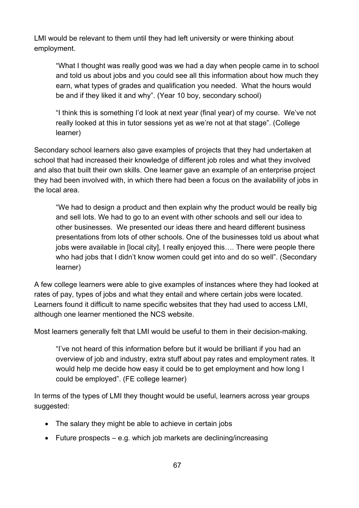LMI would be relevant to them until they had left university or were thinking about employment.

"What I thought was really good was we had a day when people came in to school and told us about jobs and you could see all this information about how much they earn, what types of grades and qualification you needed. What the hours would be and if they liked it and why". (Year 10 boy, secondary school)

"I think this is something I'd look at next year (final year) of my course. We've not really looked at this in tutor sessions yet as we're not at that stage". (College learner)

Secondary school learners also gave examples of projects that they had undertaken at school that had increased their knowledge of different job roles and what they involved and also that built their own skills. One learner gave an example of an enterprise project they had been involved with, in which there had been a focus on the availability of jobs in the local area.

"We had to design a product and then explain why the product would be really big and sell lots. We had to go to an event with other schools and sell our idea to other businesses. We presented our ideas there and heard different business presentations from lots of other schools. One of the businesses told us about what jobs were available in [local city], I really enjoyed this…. There were people there who had jobs that I didn't know women could get into and do so well". (Secondary learner)

A few college learners were able to give examples of instances where they had looked at rates of pay, types of jobs and what they entail and where certain jobs were located. Learners found it difficult to name specific websites that they had used to access LMI, although one learner mentioned the NCS website.

Most learners generally felt that LMI would be useful to them in their decision-making.

"I've not heard of this information before but it would be brilliant if you had an overview of job and industry, extra stuff about pay rates and employment rates. It would help me decide how easy it could be to get employment and how long I could be employed". (FE college learner)

In terms of the types of LMI they thought would be useful, learners across year groups suggested:

- The salary they might be able to achieve in certain jobs
- Future prospects e.g. which job markets are declining/increasing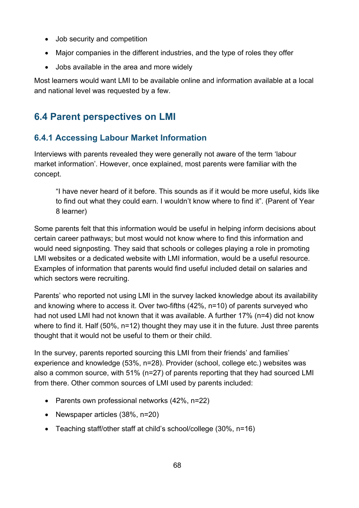- Job security and competition
- Major companies in the different industries, and the type of roles they offer
- Jobs available in the area and more widely

Most learners would want LMI to be available online and information available at a local and national level was requested by a few.

## **6.4 Parent perspectives on LMI**

## **6.4.1 Accessing Labour Market Information**

Interviews with parents revealed they were generally not aware of the term 'labour market information'. However, once explained, most parents were familiar with the concept.

"I have never heard of it before. This sounds as if it would be more useful, kids like to find out what they could earn. I wouldn't know where to find it". (Parent of Year 8 learner)

Some parents felt that this information would be useful in helping inform decisions about certain career pathways; but most would not know where to find this information and would need signposting. They said that schools or colleges playing a role in promoting LMI websites or a dedicated website with LMI information, would be a useful resource. Examples of information that parents would find useful included detail on salaries and which sectors were recruiting.

Parents' who reported not using LMI in the survey lacked knowledge about its availability and knowing where to access it. Over two-fifths (42%, n=10) of parents surveyed who had not used LMI had not known that it was available. A further 17% (n=4) did not know where to find it. Half (50%, n=12) thought they may use it in the future. Just three parents thought that it would not be useful to them or their child.

In the survey, parents reported sourcing this LMI from their friends' and families' experience and knowledge (53%, n=28). Provider (school, college etc.) websites was also a common source, with 51% (n=27) of parents reporting that they had sourced LMI from there. Other common sources of LMI used by parents included:

- Parents own professional networks (42%, n=22)
- Newspaper articles (38%, n=20)
- Teaching staff/other staff at child's school/college (30%, n=16)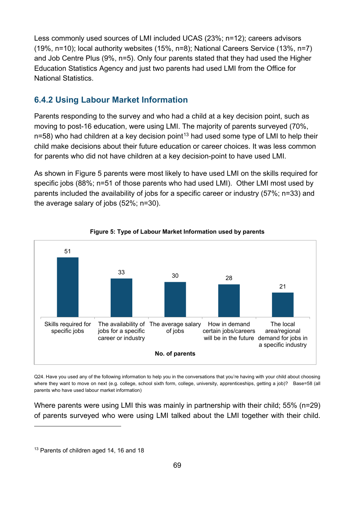Less commonly used sources of LMI included UCAS (23%; n=12); careers advisors (19%, n=10); local authority websites (15%, n=8); National Careers Service (13%, n=7) and Job Centre Plus (9%, n=5). Only four parents stated that they had used the Higher Education Statistics Agency and just two parents had used LMI from the Office for National Statistics.

### **6.4.2 Using Labour Market Information**

Parents responding to the survey and who had a child at a key decision point, such as moving to post-16 education, were using LMI. The majority of parents surveyed (70%,  $n=58$ ) who had children at a key decision point<sup>[13](#page-68-0)</sup> had used some type of LMI to help their child make decisions about their future education or career choices. It was less common for parents who did not have children at a key decision-point to have used LMI.

As shown in Figure 5 parents were most likely to have used LMI on the skills required for specific jobs (88%; n=51 of those parents who had used LMI). Other LMI most used by parents included the availability of jobs for a specific career or industry (57%; n=33) and the average salary of jobs (52%; n=30).





Q24. Have you used any of the following information to help you in the conversations that you're having with your child about choosing where they want to move on next (e.g. college, school sixth form, college, university, apprenticeships, getting a job)? Base=58 (all parents who have used labour market information)

Where parents were using LMI this was mainly in partnership with their child; 55% (n=29) of parents surveyed who were using LMI talked about the LMI together with their child.

 $\overline{a}$ 

<span id="page-68-0"></span><sup>&</sup>lt;sup>13</sup> Parents of children aged 14, 16 and 18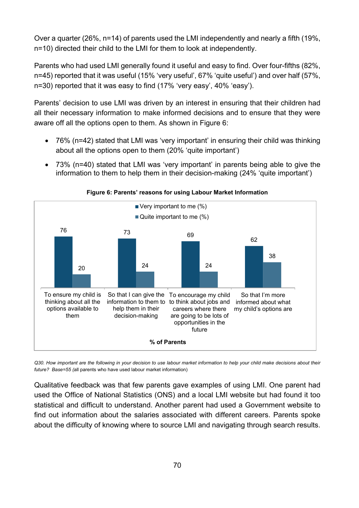Over a quarter (26%, n=14) of parents used the LMI independently and nearly a fifth (19%, n=10) directed their child to the LMI for them to look at independently.

Parents who had used LMI generally found it useful and easy to find. Over four-fifths (82%, n=45) reported that it was useful (15% 'very useful', 67% 'quite useful') and over half (57%, n=30) reported that it was easy to find (17% 'very easy', 40% 'easy').

Parents' decision to use LMI was driven by an interest in ensuring that their children had all their necessary information to make informed decisions and to ensure that they were aware off all the options open to them. As shown in Figure 6:

- 76% (n=42) stated that LMI was 'very important' in ensuring their child was thinking about all the options open to them (20% 'quite important')
- 73% (n=40) stated that LMI was 'very important' in parents being able to give the information to them to help them in their decision-making (24% 'quite important')



**Figure 6: Parents' reasons for using Labour Market Information**

*Q30. How important are the following in your decision to use labour market information to help your child make decisions about their future? Base=55 (*all parents who have used labour market information)

Qualitative feedback was that few parents gave examples of using LMI. One parent had used the Office of National Statistics (ONS) and a local LMI website but had found it too statistical and difficult to understand. Another parent had used a Government website to find out information about the salaries associated with different careers. Parents spoke about the difficulty of knowing where to source LMI and navigating through search results.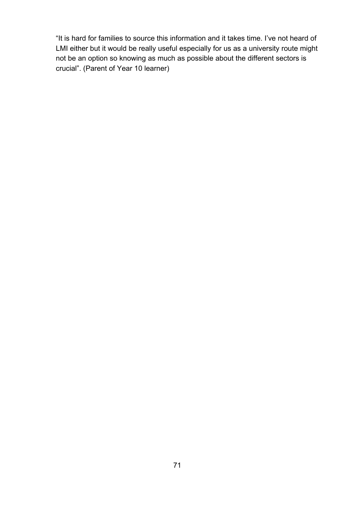"It is hard for families to source this information and it takes time. I've not heard of LMI either but it would be really useful especially for us as a university route might not be an option so knowing as much as possible about the different sectors is crucial". (Parent of Year 10 learner)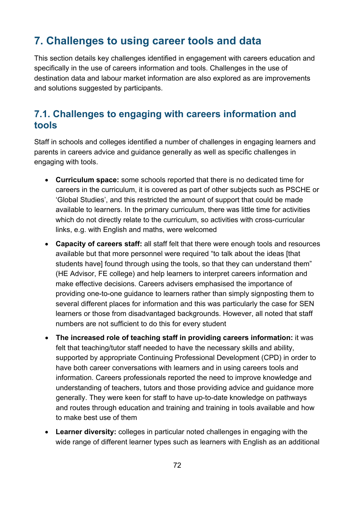# **7. Challenges to using career tools and data**

This section details key challenges identified in engagement with careers education and specifically in the use of careers information and tools. Challenges in the use of destination data and labour market information are also explored as are improvements and solutions suggested by participants.

## **7.1. Challenges to engaging with careers information and tools**

Staff in schools and colleges identified a number of challenges in engaging learners and parents in careers advice and guidance generally as well as specific challenges in engaging with tools.

- **Curriculum space:** some schools reported that there is no dedicated time for careers in the curriculum, it is covered as part of other subjects such as PSCHE or 'Global Studies', and this restricted the amount of support that could be made available to learners. In the primary curriculum, there was little time for activities which do not directly relate to the curriculum, so activities with cross-curricular links, e.g. with English and maths, were welcomed
- **Capacity of careers staff:** all staff felt that there were enough tools and resources available but that more personnel were required "to talk about the ideas [that students have] found through using the tools, so that they can understand them" (HE Advisor, FE college) and help learners to interpret careers information and make effective decisions. Careers advisers emphasised the importance of providing one-to-one guidance to learners rather than simply signposting them to several different places for information and this was particularly the case for SEN learners or those from disadvantaged backgrounds. However, all noted that staff numbers are not sufficient to do this for every student
- **The increased role of teaching staff in providing careers information:** it was felt that teaching/tutor staff needed to have the necessary skills and ability, supported by appropriate Continuing Professional Development (CPD) in order to have both career conversations with learners and in using careers tools and information. Careers professionals reported the need to improve knowledge and understanding of teachers, tutors and those providing advice and guidance more generally. They were keen for staff to have up-to-date knowledge on pathways and routes through education and training and training in tools available and how to make best use of them
- **Learner diversity:** colleges in particular noted challenges in engaging with the wide range of different learner types such as learners with English as an additional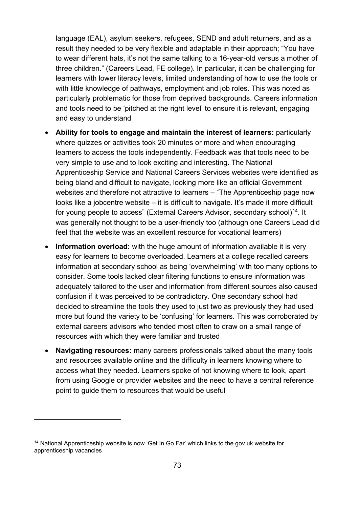language (EAL), asylum seekers, refugees, SEND and adult returners, and as a result they needed to be very flexible and adaptable in their approach; "You have to wear different hats, it's not the same talking to a 16-year-old versus a mother of three children." (Careers Lead, FE college). In particular, it can be challenging for learners with lower literacy levels, limited understanding of how to use the tools or with little knowledge of pathways, employment and job roles. This was noted as particularly problematic for those from deprived backgrounds. Careers information and tools need to be 'pitched at the right level' to ensure it is relevant, engaging and easy to understand

- **Ability for tools to engage and maintain the interest of learners:** particularly where quizzes or activities took 20 minutes or more and when encouraging learners to access the tools independently. Feedback was that tools need to be very simple to use and to look exciting and interesting. The National Apprenticeship Service and National Careers Services websites were identified as being bland and difficult to navigate, looking more like an official Government websites and therefore not attractive to learners – *"*The Apprenticeship page now looks like a jobcentre website – it is difficult to navigate. It's made it more difficult for young people to access" (External Careers Advisor, secondary school)<sup>14</sup>. It was generally not thought to be a user-friendly too (although one Careers Lead did feel that the website was an excellent resource for vocational learners)
- **Information overload:** with the huge amount of information available it is very easy for learners to become overloaded. Learners at a college recalled careers information at secondary school as being 'overwhelming' with too many options to consider. Some tools lacked clear filtering functions to ensure information was adequately tailored to the user and information from different sources also caused confusion if it was perceived to be contradictory. One secondary school had decided to streamline the tools they used to just two as previously they had used more but found the variety to be 'confusing' for learners. This was corroborated by external careers advisors who tended most often to draw on a small range of resources with which they were familiar and trusted
- **Navigating resources:** many careers professionals talked about the many tools and resources available online and the difficulty in learners knowing where to access what they needed. Learners spoke of not knowing where to look, apart from using Google or provider websites and the need to have a central reference point to guide them to resources that would be useful

<span id="page-72-0"></span><sup>&</sup>lt;sup>14</sup> National Apprenticeship website is now 'Get In Go Far' which links to the gov.uk website for apprenticeship vacancies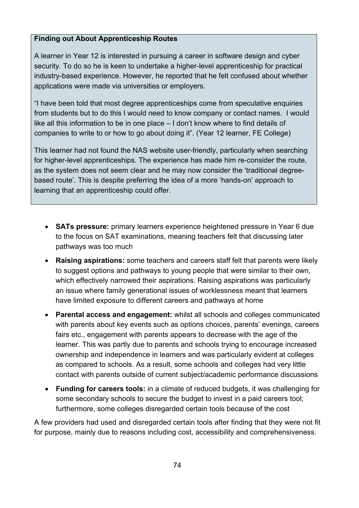#### **Finding out About Apprenticeship Routes**

A learner in Year 12 is interested in pursuing a career in software design and cyber security. To do so he is keen to undertake a higher-level apprenticeship for practical industry-based experience. However, he reported that he felt confused about whether applications were made via universities or employers.

"I have been told that most degree apprenticeships come from speculative enquiries from students but to do this I would need to know company or contact names. I would like all this information to be in one place – I don't know where to find details of companies to write to or how to go about doing it". (Year 12 learner, FE College)

This learner had not found the NAS website user-friendly, particularly when searching for higher-level apprenticeships. The experience has made him re-consider the route, as the system does not seem clear and he may now consider the 'traditional degreebased route'. This is despite preferring the idea of a more 'hands-on' approach to learning that an apprenticeship could offer.

- **SATs pressure:** primary learners experience heightened pressure in Year 6 due to the focus on SAT examinations, meaning teachers felt that discussing later pathways was too much
- **Raising aspirations:** some teachers and careers staff felt that parents were likely to suggest options and pathways to young people that were similar to their own, which effectively narrowed their aspirations. Raising aspirations was particularly an issue where family generational issues of worklessness meant that learners have limited exposure to different careers and pathways at home
- **Parental access and engagement:** whilst all schools and colleges communicated with parents about key events such as options choices, parents' evenings, careers fairs etc., engagement with parents appears to decrease with the age of the learner. This was partly due to parents and schools trying to encourage increased ownership and independence in learners and was particularly evident at colleges as compared to schools. As a result, some schools and colleges had very little contact with parents outside of current subject/academic performance discussions
- **Funding for careers tools:** in a climate of reduced budgets, it was challenging for some secondary schools to secure the budget to invest in a paid careers tool; furthermore, some colleges disregarded certain tools because of the cost

A few providers had used and disregarded certain tools after finding that they were not fit for purpose, mainly due to reasons including cost, accessibility and comprehensiveness.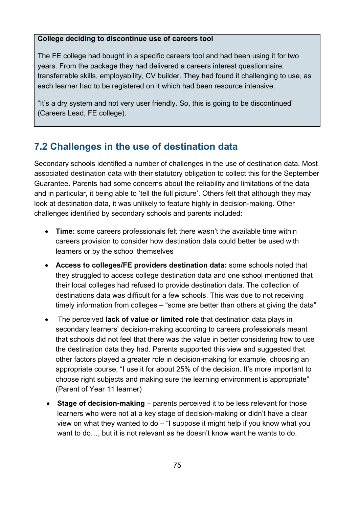#### **College deciding to discontinue use of careers tool**

The FE college had bought in a specific careers tool and had been using it for two years. From the package they had delivered a careers interest questionnaire, transferrable skills, employability, CV builder. They had found it challenging to use, as each learner had to be registered on it which had been resource intensive.

"It's a dry system and not very user friendly. So, this is going to be discontinued" (Careers Lead, FE college).

# **7.2 Challenges in the use of destination data**

Secondary schools identified a number of challenges in the use of destination data. Most associated destination data with their statutory obligation to collect this for the September Guarantee. Parents had some concerns about the reliability and limitations of the data and in particular, it being able to 'tell the full picture'. Others felt that although they may look at destination data, it was unlikely to feature highly in decision-making. Other challenges identified by secondary schools and parents included:

- **Time:** some careers professionals felt there wasn't the available time within careers provision to consider how destination data could better be used with learners or by the school themselves
- **Access to colleges/FE providers destination data:** some schools noted that they struggled to access college destination data and one school mentioned that their local colleges had refused to provide destination data. The collection of destinations data was difficult for a few schools. This was due to not receiving timely information from colleges – "some are better than others at giving the data"
- The perceived **lack of value or limited role** that destination data plays in secondary learners' decision-making according to careers professionals meant that schools did not feel that there was the value in better considering how to use the destination data they had. Parents supported this view and suggested that other factors played a greater role in decision-making for example, choosing an appropriate course, "I use it for about 25% of the decision. It's more important to choose right subjects and making sure the learning environment is appropriate" (Parent of Year 11 learner)
- **Stage of decision-making** parents perceived it to be less relevant for those learners who were not at a key stage of decision-making or didn't have a clear view on what they wanted to do – "I suppose it might help if you know what you want to do…, but it is not relevant as he doesn't know want he wants to do.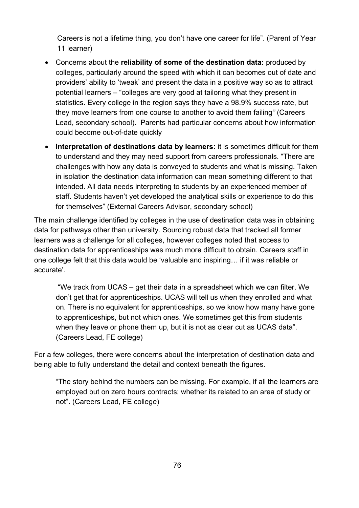Careers is not a lifetime thing, you don't have one career for life". (Parent of Year 11 learner)

- Concerns about the **reliability of some of the destination data:** produced by colleges, particularly around the speed with which it can becomes out of date and providers' ability to 'tweak' and present the data in a positive way so as to attract potential learners – "colleges are very good at tailoring what they present in statistics. Every college in the region says they have a 98.9% success rate, but they move learners from one course to another to avoid them failing*"* (Careers Lead, secondary school). Parents had particular concerns about how information could become out-of-date quickly
- **Interpretation of destinations data by learners:** it is sometimes difficult for them to understand and they may need support from careers professionals. "There are challenges with how any data is conveyed to students and what is missing. Taken in isolation the destination data information can mean something different to that intended. All data needs interpreting to students by an experienced member of staff. Students haven't yet developed the analytical skills or experience to do this for themselves" (External Careers Advisor, secondary school)

The main challenge identified by colleges in the use of destination data was in obtaining data for pathways other than university. Sourcing robust data that tracked all former learners was a challenge for all colleges, however colleges noted that access to destination data for apprenticeships was much more difficult to obtain. Careers staff in one college felt that this data would be 'valuable and inspiring… if it was reliable or accurate'.

"We track from UCAS – get their data in a spreadsheet which we can filter. We don't get that for apprenticeships. UCAS will tell us when they enrolled and what on. There is no equivalent for apprenticeships, so we know how many have gone to apprenticeships, but not which ones. We sometimes get this from students when they leave or phone them up, but it is not as clear cut as UCAS data". (Careers Lead, FE college)

For a few colleges, there were concerns about the interpretation of destination data and being able to fully understand the detail and context beneath the figures.

"The story behind the numbers can be missing. For example, if all the learners are employed but on zero hours contracts; whether its related to an area of study or not". (Careers Lead, FE college)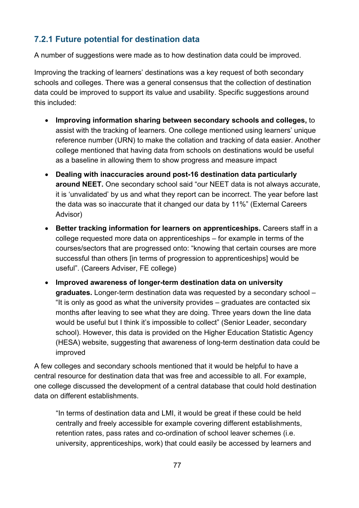## **7.2.1 Future potential for destination data**

A number of suggestions were made as to how destination data could be improved.

Improving the tracking of learners' destinations was a key request of both secondary schools and colleges. There was a general consensus that the collection of destination data could be improved to support its value and usability. Specific suggestions around this included:

- **Improving information sharing between secondary schools and colleges,** to assist with the tracking of learners. One college mentioned using learners' unique reference number (URN) to make the collation and tracking of data easier. Another college mentioned that having data from schools on destinations would be useful as a baseline in allowing them to show progress and measure impact
- **Dealing with inaccuracies around post-16 destination data particularly around NEET.** One secondary school said "our NEET data is not always accurate, it is 'unvalidated' by us and what they report can be incorrect. The year before last the data was so inaccurate that it changed our data by 11%" (External Careers Advisor)
- **Better tracking information for learners on apprenticeships.** Careers staff in a college requested more data on apprenticeships – for example in terms of the courses/sectors that are progressed onto: "knowing that certain courses are more successful than others [in terms of progression to apprenticeships] would be useful". (Careers Adviser, FE college)
- **Improved awareness of longer-term destination data on university graduates.** Longer-term destination data was requested by a secondary school *–* "It is only as good as what the university provides – graduates are contacted six months after leaving to see what they are doing. Three years down the line data would be useful but I think it's impossible to collect" (Senior Leader, secondary school). However, this data is provided on the Higher Education Statistic Agency (HESA) website, suggesting that awareness of long-term destination data could be improved

A few colleges and secondary schools mentioned that it would be helpful to have a central resource for destination data that was free and accessible to all. For example, one college discussed the development of a central database that could hold destination data on different establishments.

"In terms of destination data and LMI, it would be great if these could be held centrally and freely accessible for example covering different establishments, retention rates, pass rates and co-ordination of school leaver schemes (i.e. university, apprenticeships, work) that could easily be accessed by learners and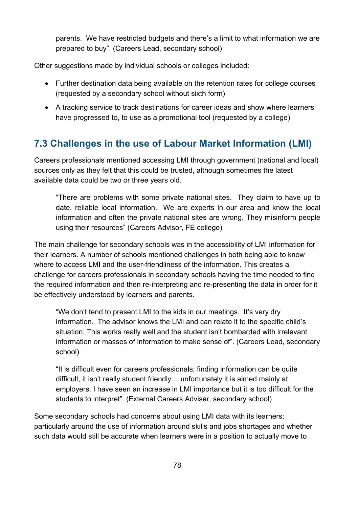parents. We have restricted budgets and there's a limit to what information we are prepared to buy". (Careers Lead, secondary school)

Other suggestions made by individual schools or colleges included:

- Further destination data being available on the retention rates for college courses (requested by a secondary school without sixth form)
- A tracking service to track destinations for career ideas and show where learners have progressed to, to use as a promotional tool (requested by a college)

# **7.3 Challenges in the use of Labour Market Information (LMI)**

Careers professionals mentioned accessing LMI through government (national and local) sources only as they felt that this could be trusted, although sometimes the latest available data could be two or three years old.

"There are problems with some private national sites. They claim to have up to date, reliable local information. We are experts in our area and know the local information and often the private national sites are wrong. They misinform people using their resources" (Careers Advisor, FE college)

The main challenge for secondary schools was in the accessibility of LMI information for their learners. A number of schools mentioned challenges in both being able to know where to access LMI and the user-friendliness of the information. This creates a challenge for careers professionals in secondary schools having the time needed to find the required information and then re-interpreting and re-presenting the data in order for it be effectively understood by learners and parents.

"We don't tend to present LMI to the kids in our meetings. It's very dry information. The advisor knows the LMI and can relate it to the specific child's situation. This works really well and the student isn't bombarded with irrelevant information or masses of information to make sense of". (Careers Lead, secondary school)

"It is difficult even for careers professionals; finding information can be quite difficult, it isn't really student friendly… unfortunately it is aimed mainly at employers. I have seen an increase in LMI importance but it is too difficult for the students to interpret". (External Careers Adviser, secondary school)

Some secondary schools had concerns about using LMI data with its learners; particularly around the use of information around skills and jobs shortages and whether such data would still be accurate when learners were in a position to actually move to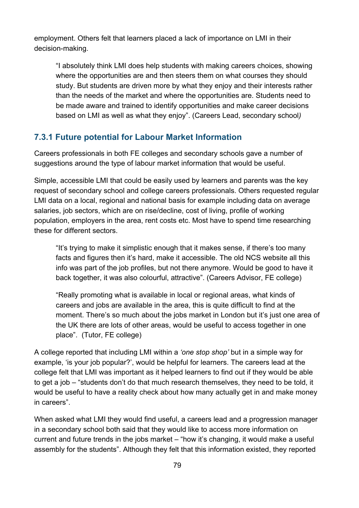employment. Others felt that learners placed a lack of importance on LMI in their decision-making.

"I absolutely think LMI does help students with making careers choices, showing where the opportunities are and then steers them on what courses they should study. But students are driven more by what they enjoy and their interests rather than the needs of the market and where the opportunities are. Students need to be made aware and trained to identify opportunities and make career decisions based on LMI as well as what they enjoy". (Careers Lead, secondary school*)*

### **7.3.1 Future potential for Labour Market Information**

Careers professionals in both FE colleges and secondary schools gave a number of suggestions around the type of labour market information that would be useful.

Simple, accessible LMI that could be easily used by learners and parents was the key request of secondary school and college careers professionals. Others requested regular LMI data on a local, regional and national basis for example including data on average salaries, job sectors, which are on rise/decline, cost of living, profile of working population, employers in the area, rent costs etc. Most have to spend time researching these for different sectors.

"It's trying to make it simplistic enough that it makes sense, if there's too many facts and figures then it's hard, make it accessible. The old NCS website all this info was part of the job profiles, but not there anymore. Would be good to have it back together, it was also colourful, attractive". (Careers Advisor, FE college)

"Really promoting what is available in local or regional areas, what kinds of careers and jobs are available in the area, this is quite difficult to find at the moment. There's so much about the jobs market in London but it's just one area of the UK there are lots of other areas, would be useful to access together in one place". (Tutor, FE college)

A college reported that including LMI within a *'one stop shop'* but in a simple way for example, 'is your job popular?', would be helpful for learners. The careers lead at the college felt that LMI was important as it helped learners to find out if they would be able to get a job – "students don't do that much research themselves, they need to be told, it would be useful to have a reality check about how many actually get in and make money in careers".

When asked what LMI they would find useful, a careers lead and a progression manager in a secondary school both said that they would like to access more information on current and future trends in the jobs market *–* "how it's changing, it would make a useful assembly for the students". Although they felt that this information existed, they reported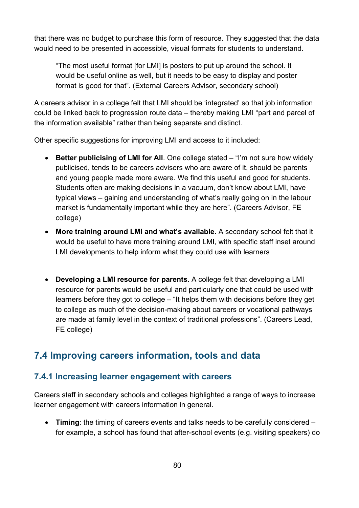that there was no budget to purchase this form of resource. They suggested that the data would need to be presented in accessible, visual formats for students to understand.

"The most useful format [for LMI] is posters to put up around the school. It would be useful online as well, but it needs to be easy to display and poster format is good for that". (External Careers Advisor, secondary school)

A careers advisor in a college felt that LMI should be 'integrated' so that job information could be linked back to progression route data – thereby making LMI "part and parcel of the information available" rather than being separate and distinct.

Other specific suggestions for improving LMI and access to it included:

- **Better publicising of LMI for All**. One college stated "I'm not sure how widely publicised, tends to be careers advisers who are aware of it, should be parents and young people made more aware. We find this useful and good for students. Students often are making decisions in a vacuum, don't know about LMI, have typical views – gaining and understanding of what's really going on in the labour market is fundamentally important while they are here". (Careers Advisor, FE college)
- **More training around LMI and what's available.** A secondary school felt that it would be useful to have more training around LMI, with specific staff inset around LMI developments to help inform what they could use with learners
- **Developing a LMI resource for parents.** A college felt that developing a LMI resource for parents would be useful and particularly one that could be used with learners before they got to college – "It helps them with decisions before they get to college as much of the decision-making about careers or vocational pathways are made at family level in the context of traditional professions". (Careers Lead, FE college)

# **7.4 Improving careers information, tools and data**

### **7.4.1 Increasing learner engagement with careers**

Careers staff in secondary schools and colleges highlighted a range of ways to increase learner engagement with careers information in general.

• **Timing**: the timing of careers events and talks needs to be carefully considered – for example, a school has found that after-school events (e.g. visiting speakers) do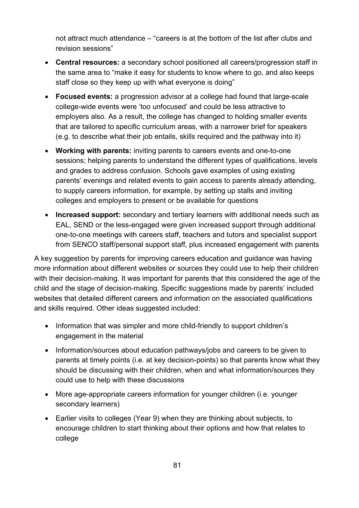not attract much attendance – "careers is at the bottom of the list after clubs and revision sessions"

- **Central resources:** a secondary school positioned all careers/progression staff in the same area to "make it easy for students to know where to go, and also keeps staff close so they keep up with what everyone is doing"
- **Focused events:** a progression advisor at a college had found that large-scale college-wide events were 'too unfocused' and could be less attractive to employers also. As a result, the college has changed to holding smaller events that are tailored to specific curriculum areas, with a narrower brief for speakers (e.g. to describe what their job entails, skills required and the pathway into it)
- **Working with parents:** inviting parents to careers events and one-to-one sessions; helping parents to understand the different types of qualifications, levels and grades to address confusion. Schools gave examples of using existing parents' evenings and related events to gain access to parents already attending, to supply careers information, for example, by setting up stalls and inviting colleges and employers to present or be available for questions
- **Increased support:** secondary and tertiary learners with additional needs such as EAL, SEND or the less-engaged were given increased support through additional one-to-one meetings with careers staff, teachers and tutors and specialist support from SENCO staff/personal support staff, plus increased engagement with parents

A key suggestion by parents for improving careers education and guidance was having more information about different websites or sources they could use to help their children with their decision-making. It was important for parents that this considered the age of the child and the stage of decision-making. Specific suggestions made by parents' included websites that detailed different careers and information on the associated qualifications and skills required. Other ideas suggested included:

- Information that was simpler and more child-friendly to support children's engagement in the material
- Information/sources about education pathways/jobs and careers to be given to parents at timely points (i.e. at key decision-points) so that parents know what they should be discussing with their children, when and what information/sources they could use to help with these discussions
- More age-appropriate careers information for younger children (i.e. younger secondary learners)
- Earlier visits to colleges (Year 9) when they are thinking about subjects, to encourage children to start thinking about their options and how that relates to college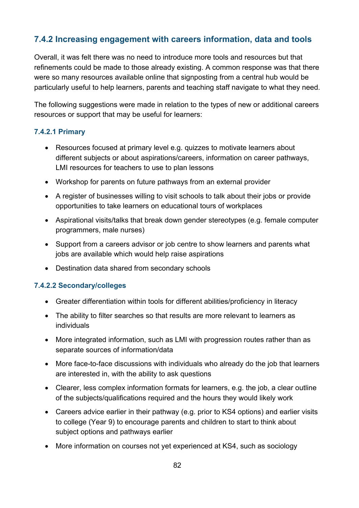### **7.4.2 Increasing engagement with careers information, data and tools**

Overall, it was felt there was no need to introduce more tools and resources but that refinements could be made to those already existing. A common response was that there were so many resources available online that signposting from a central hub would be particularly useful to help learners, parents and teaching staff navigate to what they need.

The following suggestions were made in relation to the types of new or additional careers resources or support that may be useful for learners:

#### **7.4.2.1 Primary**

- Resources focused at primary level e.g. quizzes to motivate learners about different subjects or about aspirations/careers, information on career pathways, LMI resources for teachers to use to plan lessons
- Workshop for parents on future pathways from an external provider
- A register of businesses willing to visit schools to talk about their jobs or provide opportunities to take learners on educational tours of workplaces
- Aspirational visits/talks that break down gender stereotypes (e.g. female computer programmers, male nurses)
- Support from a careers advisor or job centre to show learners and parents what jobs are available which would help raise aspirations
- Destination data shared from secondary schools

#### **7.4.2.2 Secondary/colleges**

- Greater differentiation within tools for different abilities/proficiency in literacy
- The ability to filter searches so that results are more relevant to learners as individuals
- More integrated information, such as LMI with progression routes rather than as separate sources of information/data
- More face-to-face discussions with individuals who already do the job that learners are interested in, with the ability to ask questions
- Clearer, less complex information formats for learners, e.g. the job, a clear outline of the subjects/qualifications required and the hours they would likely work
- Careers advice earlier in their pathway (e.g. prior to KS4 options) and earlier visits to college (Year 9) to encourage parents and children to start to think about subject options and pathways earlier
- More information on courses not yet experienced at KS4, such as sociology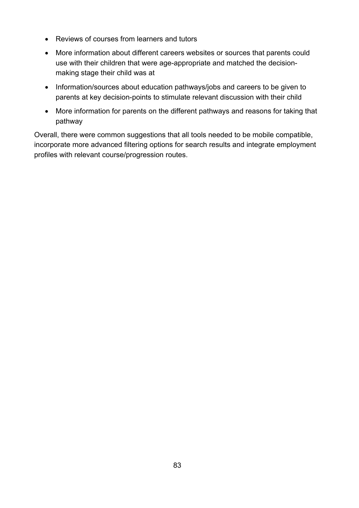- Reviews of courses from learners and tutors
- More information about different careers websites or sources that parents could use with their children that were age-appropriate and matched the decisionmaking stage their child was at
- Information/sources about education pathways/jobs and careers to be given to parents at key decision-points to stimulate relevant discussion with their child
- More information for parents on the different pathways and reasons for taking that pathway

Overall, there were common suggestions that all tools needed to be mobile compatible, incorporate more advanced filtering options for search results and integrate employment profiles with relevant course/progression routes.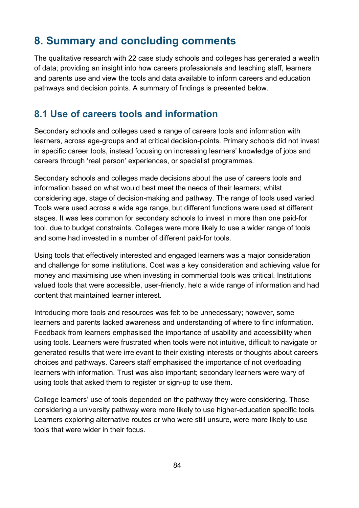# **8. Summary and concluding comments**

The qualitative research with 22 case study schools and colleges has generated a wealth of data; providing an insight into how careers professionals and teaching staff, learners and parents use and view the tools and data available to inform careers and education pathways and decision points. A summary of findings is presented below.

## **8.1 Use of careers tools and information**

Secondary schools and colleges used a range of careers tools and information with learners, across age-groups and at critical decision-points. Primary schools did not invest in specific career tools, instead focusing on increasing learners' knowledge of jobs and careers through 'real person' experiences, or specialist programmes.

Secondary schools and colleges made decisions about the use of careers tools and information based on what would best meet the needs of their learners; whilst considering age, stage of decision-making and pathway. The range of tools used varied. Tools were used across a wide age range, but different functions were used at different stages. It was less common for secondary schools to invest in more than one paid-for tool, due to budget constraints. Colleges were more likely to use a wider range of tools and some had invested in a number of different paid-for tools.

Using tools that effectively interested and engaged learners was a major consideration and challenge for some institutions. Cost was a key consideration and achieving value for money and maximising use when investing in commercial tools was critical. Institutions valued tools that were accessible, user-friendly, held a wide range of information and had content that maintained learner interest.

Introducing more tools and resources was felt to be unnecessary; however, some learners and parents lacked awareness and understanding of where to find information. Feedback from learners emphasised the importance of usability and accessibility when using tools. Learners were frustrated when tools were not intuitive, difficult to navigate or generated results that were irrelevant to their existing interests or thoughts about careers choices and pathways. Careers staff emphasised the importance of not overloading learners with information. Trust was also important; secondary learners were wary of using tools that asked them to register or sign-up to use them.

College learners' use of tools depended on the pathway they were considering. Those considering a university pathway were more likely to use higher-education specific tools. Learners exploring alternative routes or who were still unsure, were more likely to use tools that were wider in their focus.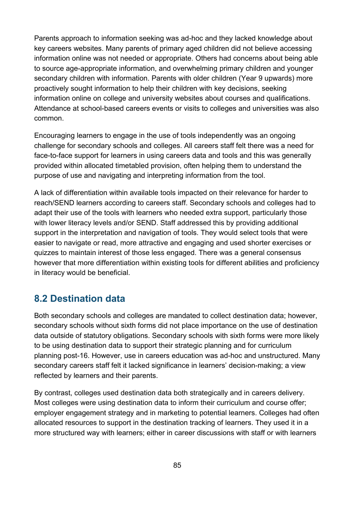Parents approach to information seeking was ad-hoc and they lacked knowledge about key careers websites. Many parents of primary aged children did not believe accessing information online was not needed or appropriate. Others had concerns about being able to source age-appropriate information, and overwhelming primary children and younger secondary children with information. Parents with older children (Year 9 upwards) more proactively sought information to help their children with key decisions, seeking information online on college and university websites about courses and qualifications. Attendance at school-based careers events or visits to colleges and universities was also common.

Encouraging learners to engage in the use of tools independently was an ongoing challenge for secondary schools and colleges. All careers staff felt there was a need for face-to-face support for learners in using careers data and tools and this was generally provided within allocated timetabled provision, often helping them to understand the purpose of use and navigating and interpreting information from the tool.

A lack of differentiation within available tools impacted on their relevance for harder to reach/SEND learners according to careers staff. Secondary schools and colleges had to adapt their use of the tools with learners who needed extra support, particularly those with lower literacy levels and/or SEND. Staff addressed this by providing additional support in the interpretation and navigation of tools. They would select tools that were easier to navigate or read, more attractive and engaging and used shorter exercises or quizzes to maintain interest of those less engaged. There was a general consensus however that more differentiation within existing tools for different abilities and proficiency in literacy would be beneficial.

# **8.2 Destination data**

Both secondary schools and colleges are mandated to collect destination data; however, secondary schools without sixth forms did not place importance on the use of destination data outside of statutory obligations. Secondary schools with sixth forms were more likely to be using destination data to support their strategic planning and for curriculum planning post-16. However, use in careers education was ad-hoc and unstructured. Many secondary careers staff felt it lacked significance in learners' decision-making; a view reflected by learners and their parents.

By contrast, colleges used destination data both strategically and in careers delivery. Most colleges were using destination data to inform their curriculum and course offer; employer engagement strategy and in marketing to potential learners. Colleges had often allocated resources to support in the destination tracking of learners. They used it in a more structured way with learners; either in career discussions with staff or with learners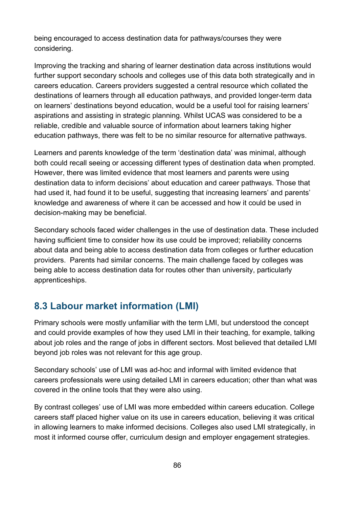being encouraged to access destination data for pathways/courses they were considering.

Improving the tracking and sharing of learner destination data across institutions would further support secondary schools and colleges use of this data both strategically and in careers education. Careers providers suggested a central resource which collated the destinations of learners through all education pathways, and provided longer-term data on learners' destinations beyond education, would be a useful tool for raising learners' aspirations and assisting in strategic planning. Whilst UCAS was considered to be a reliable, credible and valuable source of information about learners taking higher education pathways, there was felt to be no similar resource for alternative pathways.

Learners and parents knowledge of the term 'destination data' was minimal, although both could recall seeing or accessing different types of destination data when prompted. However, there was limited evidence that most learners and parents were using destination data to inform decisions' about education and career pathways. Those that had used it, had found it to be useful, suggesting that increasing learners' and parents' knowledge and awareness of where it can be accessed and how it could be used in decision-making may be beneficial.

Secondary schools faced wider challenges in the use of destination data. These included having sufficient time to consider how its use could be improved; reliability concerns about data and being able to access destination data from colleges or further education providers. Parents had similar concerns. The main challenge faced by colleges was being able to access destination data for routes other than university, particularly apprenticeships.

# **8.3 Labour market information (LMI)**

Primary schools were mostly unfamiliar with the term LMI, but understood the concept and could provide examples of how they used LMI in their teaching, for example, talking about job roles and the range of jobs in different sectors. Most believed that detailed LMI beyond job roles was not relevant for this age group.

Secondary schools' use of LMI was ad-hoc and informal with limited evidence that careers professionals were using detailed LMI in careers education; other than what was covered in the online tools that they were also using.

By contrast colleges' use of LMI was more embedded within careers education. College careers staff placed higher value on its use in careers education, believing it was critical in allowing learners to make informed decisions. Colleges also used LMI strategically, in most it informed course offer, curriculum design and employer engagement strategies.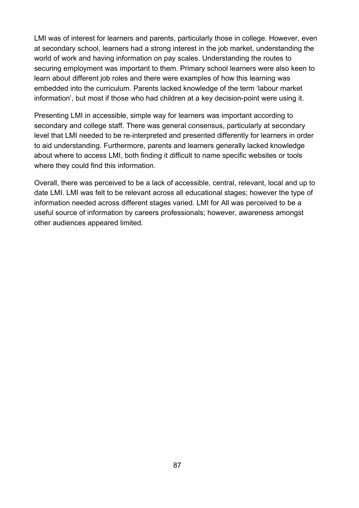LMI was of interest for learners and parents, particularly those in college. However, even at secondary school, learners had a strong interest in the job market, understanding the world of work and having information on pay scales. Understanding the routes to securing employment was important to them. Primary school learners were also keen to learn about different job roles and there were examples of how this learning was embedded into the curriculum. Parents lacked knowledge of the term 'labour market information', but most if those who had children at a key decision-point were using it.

Presenting LMI in accessible, simple way for learners was important according to secondary and college staff. There was general consensus, particularly at secondary level that LMI needed to be re-interpreted and presented differently for learners in order to aid understanding. Furthermore, parents and learners generally lacked knowledge about where to access LMI, both finding it difficult to name specific websites or tools where they could find this information.

Overall, there was perceived to be a lack of accessible, central, relevant, local and up to date LMI. LMI was felt to be relevant across all educational stages; however the type of information needed across different stages varied. LMI for All was perceived to be a useful source of information by careers professionals; however, awareness amongst other audiences appeared limited.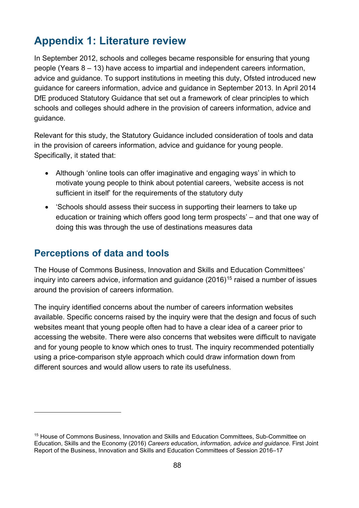# **Appendix 1: Literature review**

In September 2012, schools and colleges became responsible for ensuring that young people (Years 8 – 13) have access to impartial and independent careers information, advice and guidance. To support institutions in meeting this duty, Ofsted introduced new guidance for careers information, advice and guidance in September 2013. In April 2014 DfE produced Statutory Guidance that set out a framework of clear principles to which schools and colleges should adhere in the provision of careers information, advice and guidance.

Relevant for this study, the Statutory Guidance included consideration of tools and data in the provision of careers information, advice and guidance for young people. Specifically, it stated that:

- Although 'online tools can offer imaginative and engaging ways' in which to motivate young people to think about potential careers, 'website access is not sufficient in itself' for the requirements of the statutory duty
- 'Schools should assess their success in supporting their learners to take up education or training which offers good long term prospects' – and that one way of doing this was through the use of destinations measures data

# **Perceptions of data and tools**

 $\overline{a}$ 

The House of Commons Business, Innovation and Skills and Education Committees' inquiry into careers advice, information and guidance  $(2016)^{15}$  $(2016)^{15}$  $(2016)^{15}$  raised a number of issues around the provision of careers information.

The inquiry identified concerns about the number of careers information websites available. Specific concerns raised by the inquiry were that the design and focus of such websites meant that young people often had to have a clear idea of a career prior to accessing the website. There were also concerns that websites were difficult to navigate and for young people to know which ones to trust. The inquiry recommended potentially using a price-comparison style approach which could draw information down from different sources and would allow users to rate its usefulness.

<span id="page-87-0"></span><sup>15</sup> House of Commons Business, Innovation and Skills and Education Committees, Sub-Committee on Education, Skills and the Economy (2016) *Careers education, information, advice and guidance.* First Joint Report of the Business, Innovation and Skills and Education Committees of Session 2016–17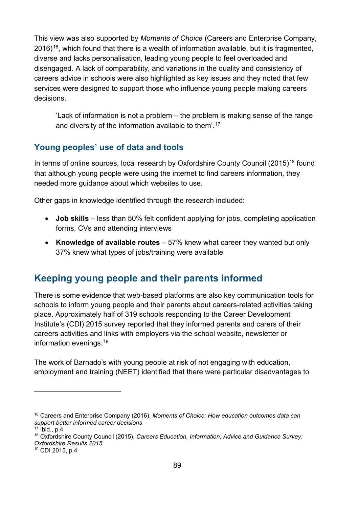This view was also supported by *Moments of Choice* (Careers and Enterprise Company,  $2016$ <sup>16</sup>, which found that there is a wealth of information available, but it is fragmented, diverse and lacks personalisation, leading young people to feel overloaded and disengaged. A lack of comparability, and variations in the quality and consistency of careers advice in schools were also highlighted as key issues and they noted that few services were designed to support those who influence young people making careers decisions.

'Lack of information is not a problem – the problem is making sense of the range and diversity of the information available to them'. [17](#page-88-1)

## **Young peoples' use of data and tools**

In terms of online sources, local research by Oxfordshire County Council (2015)<sup>[18](#page-88-2)</sup> found that although young people were using the internet to find careers information, they needed more guidance about which websites to use.

Other gaps in knowledge identified through the research included:

- **Job skills** less than 50% felt confident applying for jobs, completing application forms, CVs and attending interviews
- **Knowledge of available routes**  57% knew what career they wanted but only 37% knew what types of jobs/training were available

# **Keeping young people and their parents informed**

There is some evidence that web-based platforms are also key communication tools for schools to inform young people and their parents about careers-related activities taking place. Approximately half of 319 schools responding to the Career Development Institute's (CDI) 2015 survey reported that they informed parents and carers of their careers activities and links with employers via the school website, newsletter or information evenings.[19](#page-88-3)

The work of Barnado's with young people at risk of not engaging with education, employment and training (NEET) identified that there were particular disadvantages to

<span id="page-88-0"></span><sup>16</sup> Careers and Enterprise Company (2016), *Moments of Choice: How education outcomes data can support better informed career decisions*

<span id="page-88-1"></span><sup>17</sup> Ibid., p.4

<span id="page-88-2"></span><sup>18</sup> Oxfordshire County Council (2015), *Careers Education, Information, Advice and Guidance Survey: Oxfordshire Results 2015*

<span id="page-88-3"></span><sup>19</sup> CDI 2015, p.4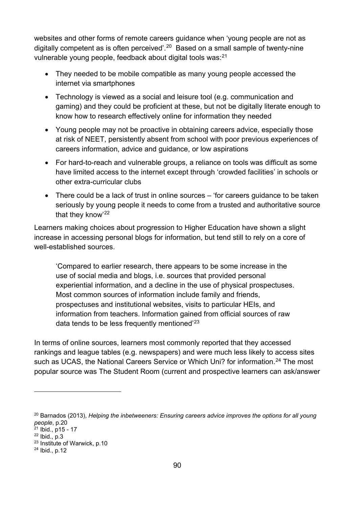websites and other forms of remote careers guidance when 'young people are not as digitally competent as is often perceived'.<sup>20</sup> Based on a small sample of twenty-nine vulnerable young people, feedback about digital tools was:<sup>[21](#page-89-1)</sup>

- They needed to be mobile compatible as many young people accessed the internet via smartphones
- Technology is viewed as a social and leisure tool (e.g. communication and gaming) and they could be proficient at these, but not be digitally literate enough to know how to research effectively online for information they needed
- Young people may not be proactive in obtaining careers advice, especially those at risk of NEET, persistently absent from school with poor previous experiences of careers information, advice and guidance, or low aspirations
- For hard-to-reach and vulnerable groups, a reliance on tools was difficult as some have limited access to the internet except through 'crowded facilities' in schools or other extra-curricular clubs
- There could be a lack of trust in online sources 'for careers guidance to be taken seriously by young people it needs to come from a trusted and authoritative source that they know'[22](#page-89-2)

Learners making choices about progression to Higher Education have shown a slight increase in accessing personal blogs for information, but tend still to rely on a core of well-established sources.

'Compared to earlier research, there appears to be some increase in the use of social media and blogs, i.e. sources that provided personal experiential information, and a decline in the use of physical prospectuses. Most common sources of information include family and friends, prospectuses and institutional websites, visits to particular HEIs, and information from teachers. Information gained from official sources of raw data tends to be less frequently mentioned'<sup>[23](#page-89-3)</sup>

In terms of online sources, learners most commonly reported that they accessed rankings and league tables (e.g. newspapers) and were much less likely to access sites such as UCAS, the National Careers Service or Which Uni? for information.<sup>[24](#page-89-4)</sup> The most popular source was The Student Room (current and prospective learners can ask/answer

<span id="page-89-0"></span><sup>20</sup> Barnados (2013), *Helping the inbetweeners: Ensuring careers advice improves the options for all young people*, p.20

<span id="page-89-1"></span> $21$  Ibid., p15 - 17

<span id="page-89-2"></span><sup>22</sup> Ibid., p.3

<span id="page-89-3"></span><sup>23</sup> Institute of Warwick, p.10

<span id="page-89-4"></span><sup>24</sup> Ibid., p.12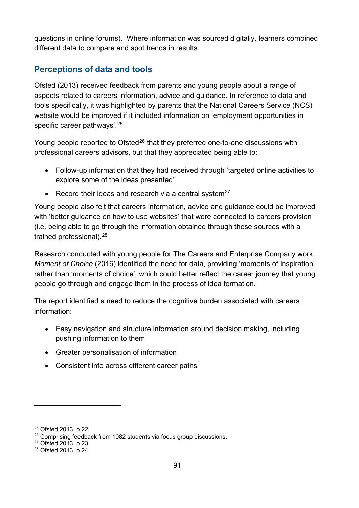questions in online forums). Where information was sourced digitally, learners combined different data to compare and spot trends in results.

## **Perceptions of data and tools**

Ofsted (2013) received feedback from parents and young people about a range of aspects related to careers information, advice and guidance. In reference to data and tools specifically, it was highlighted by parents that the National Careers Service (NCS) website would be improved if it included information on 'employment opportunities in specific career pathways'.[25](#page-90-0)

Young people reported to Ofsted<sup>[26](#page-90-1)</sup> that they preferred one-to-one discussions with professional careers advisors, but that they appreciated being able to:

- Follow-up information that they had received through 'targeted online activities to explore some of the ideas presented'
- Record their ideas and research via a central system $27$

Young people also felt that careers information, advice and guidance could be improved with 'better guidance on how to use websites' that were connected to careers provision (i.e. being able to go through the information obtained through these sources with a trained professional).<sup>[28](#page-90-3)</sup>

Research conducted with young people for The Careers and Enterprise Company work, *Moment of Choice* (2016) identified the need for data, providing 'moments of inspiration' rather than 'moments of choice', which could better reflect the career journey that young people go through and engage them in the process of idea formation.

The report identified a need to reduce the cognitive burden associated with careers information:

- Easy navigation and structure information around decision making, including pushing information to them
- Greater personalisation of information
- Consistent info across different career paths

<span id="page-90-0"></span><sup>25</sup> Ofsted 2013, p.22

<span id="page-90-1"></span><sup>&</sup>lt;sup>26</sup> Comprising feedback from 1082 students via focus group discussions.

<span id="page-90-2"></span><sup>27</sup> Ofsted 2013, p.23

<span id="page-90-3"></span><sup>28</sup> Ofsted 2013, p.24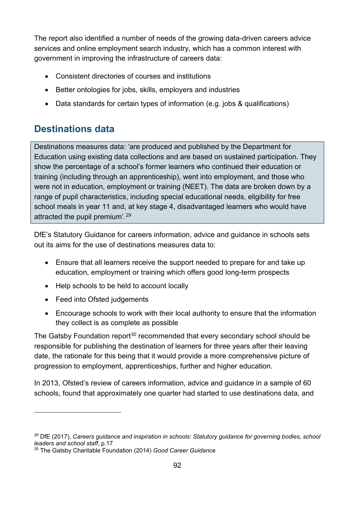The report also identified a number of needs of the growing data-driven careers advice services and online employment search industry, which has a common interest with government in improving the infrastructure of careers data:

- Consistent directories of courses and institutions
- Better ontologies for jobs, skills, employers and industries
- Data standards for certain types of information (e.g. jobs & qualifications)

# **Destinations data**

Destinations measures data: 'are produced and published by the Department for Education using existing data collections and are based on sustained participation. They show the percentage of a school's former learners who continued their education or training (including through an apprenticeship), went into employment, and those who were not in education, employment or training (NEET). The data are broken down by a range of pupil characteristics, including special educational needs, eligibility for free school meals in year 11 and, at key stage 4, disadvantaged learners who would have attracted the pupil premium'*. [29](#page-91-0)*

DfE's Statutory Guidance for careers information, advice and guidance in schools sets out its aims for the use of destinations measures data to:

- Ensure that all learners receive the support needed to prepare for and take up education, employment or training which offers good long-term prospects
- Help schools to be held to account locally
- Feed into Ofsted judgements

 $\overline{a}$ 

• Encourage schools to work with their local authority to ensure that the information they collect is as complete as possible

The Gatsby Foundation report<sup>[30](#page-91-1)</sup> recommended that every secondary school should be responsible for publishing the destination of learners for three years after their leaving date, the rationale for this being that it would provide a more comprehensive picture of progression to employment, apprenticeships, further and higher education.

In 2013, Ofsted's review of careers information, advice and guidance in a sample of 60 schools, found that approximately one quarter had started to use destinations data, and

<span id="page-91-0"></span><sup>29</sup> DfE (2017), *Careers guidance and inspiration in schools: Statutory guidance for governing bodies, school leaders and school staff*, p.17

<span id="page-91-1"></span><sup>30</sup> The Gatsby Charitable Foundation (2014) *Good Career Guidance*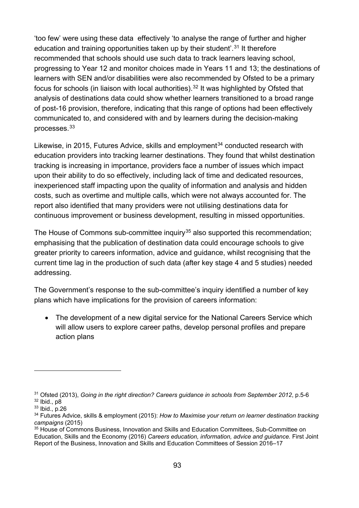'too few' were using these data effectively 'to analyse the range of further and higher education and training opportunities taken up by their student'.<sup>[31](#page-92-0)</sup> It therefore recommended that schools should use such data to track learners leaving school, progressing to Year 12 and monitor choices made in Years 11 and 13; the destinations of learners with SEN and/or disabilities were also recommended by Ofsted to be a primary focus for schools (in liaison with local authorities).<sup>[32](#page-92-1)</sup> It was highlighted by Ofsted that analysis of destinations data could show whether learners transitioned to a broad range of post-16 provision, therefore, indicating that this range of options had been effectively communicated to, and considered with and by learners during the decision-making processes.[33](#page-92-2)

Likewise, in 2015, Futures Advice, skills and employment<sup>[34](#page-92-3)</sup> conducted research with education providers into tracking learner destinations. They found that whilst destination tracking is increasing in importance, providers face a number of issues which impact upon their ability to do so effectively, including lack of time and dedicated resources, inexperienced staff impacting upon the quality of information and analysis and hidden costs, such as overtime and multiple calls, which were not always accounted for. The report also identified that many providers were not utilising destinations data for continuous improvement or business development, resulting in missed opportunities.

The House of Commons sub-committee inquiry<sup>[35](#page-92-4)</sup> also supported this recommendation; emphasising that the publication of destination data could encourage schools to give greater priority to careers information, advice and guidance, whilst recognising that the current time lag in the production of such data (after key stage 4 and 5 studies) needed addressing.

The Government's response to the sub-committee's inquiry identified a number of key plans which have implications for the provision of careers information:

• The development of a new digital service for the National Careers Service which will allow users to explore career paths, develop personal profiles and prepare action plans

<span id="page-92-1"></span><span id="page-92-0"></span><sup>31</sup> Ofsted (2013), *Going in the right direction? Careers guidance in schools from September 2012*, p.5-6  $32$  Ibid., p $8$ 

<span id="page-92-2"></span><sup>33</sup> Ibid., p.26

<span id="page-92-3"></span><sup>34</sup> Futures Advice, skills & employment (2015): *How to Maximise your return on learner destination tracking campaigns* (2015)

<span id="page-92-4"></span><sup>35</sup> House of Commons Business, Innovation and Skills and Education Committees, Sub-Committee on Education, Skills and the Economy (2016) *Careers education, information, advice and guidance.* First Joint Report of the Business, Innovation and Skills and Education Committees of Session 2016–17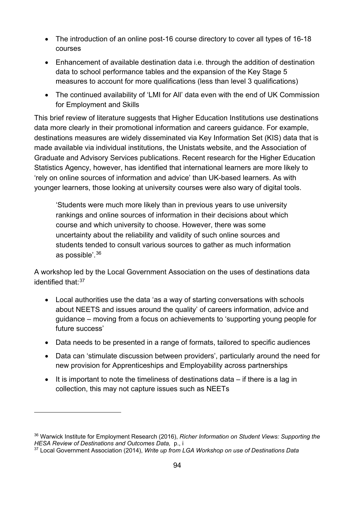- The introduction of an online post-16 course directory to cover all types of 16-18 courses
- Enhancement of available destination data i.e. through the addition of destination data to school performance tables and the expansion of the Key Stage 5 measures to account for more qualifications (less than level 3 qualifications)
- The continued availability of 'LMI for All' data even with the end of UK Commission for Employment and Skills

This brief review of literature suggests that Higher Education Institutions use destinations data more clearly in their promotional information and careers guidance. For example, destinations measures are widely disseminated via Key Information Set (KIS) data that is made available via individual institutions, the Unistats website, and the Association of Graduate and Advisory Services publications. Recent research for the Higher Education Statistics Agency, however, has identified that international learners are more likely to 'rely on online sources of information and advice' than UK-based learners. As with younger learners, those looking at university courses were also wary of digital tools.

'Students were much more likely than in previous years to use university rankings and online sources of information in their decisions about which course and which university to choose. However, there was some uncertainty about the reliability and validity of such online sources and students tended to consult various sources to gather as much information as possible'. [36](#page-93-0)

A workshop led by the Local Government Association on the uses of destinations data identified that: [37](#page-93-1)

- Local authorities use the data 'as a way of starting conversations with schools about NEETS and issues around the quality' of careers information, advice and guidance – moving from a focus on achievements to 'supporting young people for future success'
- Data needs to be presented in a range of formats, tailored to specific audiences
- Data can 'stimulate discussion between providers', particularly around the need for new provision for Apprenticeships and Employability across partnerships
- It is important to note the timeliness of destinations data if there is a lag in collection, this may not capture issues such as NEETs

<span id="page-93-0"></span><sup>36</sup> Warwick Institute for Employment Research (2016), *Richer Information on Student Views: Supporting the HESA Review of Destinations and Outcomes Data,* p., i

<span id="page-93-1"></span><sup>37</sup> Local Government Association (2014), *Write up from LGA Workshop on use of Destinations Data*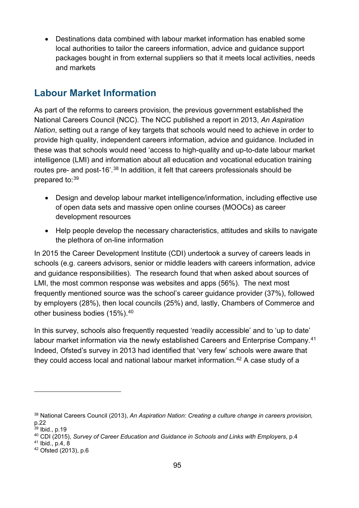• Destinations data combined with labour market information has enabled some local authorities to tailor the careers information, advice and guidance support packages bought in from external suppliers so that it meets local activities, needs and markets

# **Labour Market Information**

As part of the reforms to careers provision, the previous government established the National Careers Council (NCC). The NCC published a report in 2013, *An Aspiration Nation*, setting out a range of key targets that schools would need to achieve in order to provide high quality, independent careers information, advice and guidance. Included in these was that schools would need 'access to high-quality and up-to-date labour market intelligence (LMI) and information about all education and vocational education training routes pre- and post-16'.[38](#page-94-0) In addition, it felt that careers professionals should be prepared to:[39](#page-94-1)

- Design and develop labour market intelligence/information, including effective use of open data sets and massive open online courses (MOOCs) as career development resources
- Help people develop the necessary characteristics, attitudes and skills to navigate the plethora of on-line information

In 2015 the Career Development Institute (CDI) undertook a survey of careers leads in schools (e.g. careers advisors, senior or middle leaders with careers information, advice and guidance responsibilities). The research found that when asked about sources of LMI, the most common response was websites and apps (56%). The next most frequently mentioned source was the school's career guidance provider (37%), followed by employers (28%), then local councils (25%) and, lastly, Chambers of Commerce and other business bodies (15%).<sup>[40](#page-94-2)</sup>

In this survey, schools also frequently requested 'readily accessible' and to 'up to date' labour market information via the newly established Careers and Enterprise Company.<sup>[41](#page-94-3)</sup> Indeed, Ofsted's survey in 2013 had identified that 'very few' schools were aware that they could access local and national labour market information. [42](#page-94-4) A case study of a

<span id="page-94-0"></span><sup>38</sup> National Careers Council (2013), *An Aspiration Nation: Creating a culture change in careers provision,*  p.22

<span id="page-94-1"></span> $39$  Ibid., p.19

<span id="page-94-2"></span><sup>40</sup> CDI (2015), *Survey of Career Education and Guidance in Schools and Links with Employers*, p.4

<span id="page-94-3"></span><sup>41</sup> Ibid., p.4, 8

<span id="page-94-4"></span><sup>42</sup> Ofsted (2013), p.6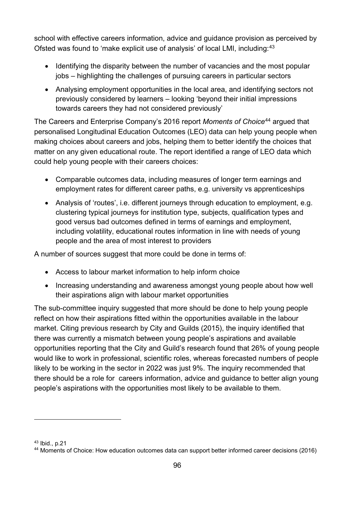school with effective careers information, advice and guidance provision as perceived by Ofsted was found to 'make explicit use of analysis' of local LMI, including:<sup>[43](#page-95-0)</sup>

- Identifying the disparity between the number of vacancies and the most popular jobs – highlighting the challenges of pursuing careers in particular sectors
- Analysing employment opportunities in the local area, and identifying sectors not previously considered by learners – looking 'beyond their initial impressions towards careers they had not considered previously'

The Careers and Enterprise Company's 2016 report *Moments of Choice*[44](#page-95-1) argued that personalised Longitudinal Education Outcomes (LEO) data can help young people when making choices about careers and jobs, helping them to better identify the choices that matter on any given educational route. The report identified a range of LEO data which could help young people with their careers choices:

- Comparable outcomes data, including measures of longer term earnings and employment rates for different career paths, e.g. university vs apprenticeships
- Analysis of 'routes', i.e. different journeys through education to employment, e.g. clustering typical journeys for institution type, subjects, qualification types and good versus bad outcomes defined in terms of earnings and employment, including volatility, educational routes information in line with needs of young people and the area of most interest to providers

A number of sources suggest that more could be done in terms of:

- Access to labour market information to help inform choice
- Increasing understanding and awareness amongst young people about how well their aspirations align with labour market opportunities

The sub-committee inquiry suggested that more should be done to help young people reflect on how their aspirations fitted within the opportunities available in the labour market. Citing previous research by City and Guilds (2015), the inquiry identified that there was currently a mismatch between young people's aspirations and available opportunities reporting that the City and Guild's research found that 26% of young people would like to work in professional, scientific roles, whereas forecasted numbers of people likely to be working in the sector in 2022 was just 9%. The inquiry recommended that there should be a role for careers information, advice and guidance to better align young people's aspirations with the opportunities most likely to be available to them.

<span id="page-95-0"></span><sup>43</sup> Ibid., p.21

<span id="page-95-1"></span><sup>44</sup> Moments of Choice: How education outcomes data can support better informed career decisions (2016)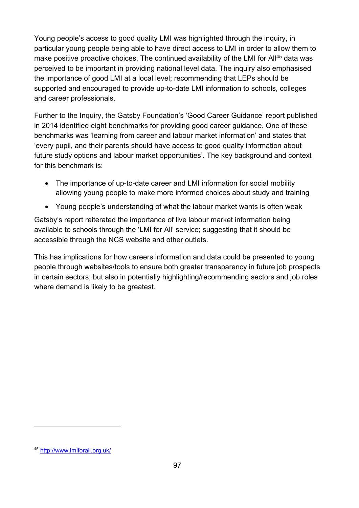Young people's access to good quality LMI was highlighted through the inquiry, in particular young people being able to have direct access to LMI in order to allow them to make positive proactive choices. The continued availability of the LMI for All<sup>[45](#page-96-0)</sup> data was perceived to be important in providing national level data. The inquiry also emphasised the importance of good LMI at a local level; recommending that LEPs should be supported and encouraged to provide up-to-date LMI information to schools, colleges and career professionals.

Further to the Inquiry, the Gatsby Foundation's 'Good Career Guidance' report published in 2014 identified eight benchmarks for providing good career guidance. One of these benchmarks was 'learning from career and labour market information' and states that 'every pupil, and their parents should have access to good quality information about future study options and labour market opportunities'. The key background and context for this benchmark is:

- The importance of up-to-date career and LMI information for social mobility allowing young people to make more informed choices about study and training
- Young people's understanding of what the labour market wants is often weak

Gatsby's report reiterated the importance of live labour market information being available to schools through the 'LMI for All' service; suggesting that it should be accessible through the NCS website and other outlets.

This has implications for how careers information and data could be presented to young people through websites/tools to ensure both greater transparency in future job prospects in certain sectors; but also in potentially highlighting/recommending sectors and job roles where demand is likely to be greatest.

<span id="page-96-0"></span><sup>45</sup> <http://www.lmiforall.org.uk/>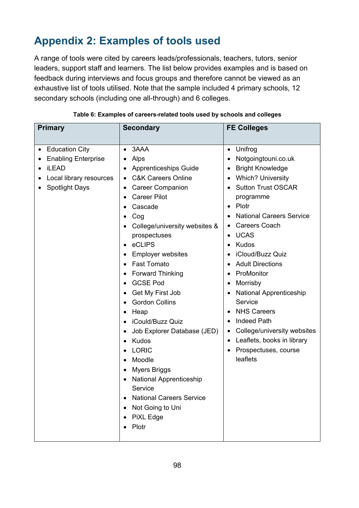# **Appendix 2: Examples of tools used**

A range of tools were cited by careers leads/professionals, teachers, tutors, senior leaders, support staff and learners. The list below provides examples and is based on feedback during interviews and focus groups and therefore cannot be viewed as an exhaustive list of tools utilised. Note that the sample included 4 primary schools, 12 secondary schools (including one all-through) and 6 colleges.

| <b>Primary</b>                                                                                                                       | <b>Secondary</b>                                                                                                                                                                                                                                                                                                                                                                                                                                                                                                                                                                                                                                                                                                           | <b>FE Colleges</b>                                                                                                                                                                                                                                                                                                                                                                                                                                                                                                                                                                                                                                                     |
|--------------------------------------------------------------------------------------------------------------------------------------|----------------------------------------------------------------------------------------------------------------------------------------------------------------------------------------------------------------------------------------------------------------------------------------------------------------------------------------------------------------------------------------------------------------------------------------------------------------------------------------------------------------------------------------------------------------------------------------------------------------------------------------------------------------------------------------------------------------------------|------------------------------------------------------------------------------------------------------------------------------------------------------------------------------------------------------------------------------------------------------------------------------------------------------------------------------------------------------------------------------------------------------------------------------------------------------------------------------------------------------------------------------------------------------------------------------------------------------------------------------------------------------------------------|
| <b>Education City</b><br>$\bullet$<br><b>Enabling Enterprise</b><br><b>iLEAD</b><br>Local library resources<br><b>Spotlight Days</b> | 3AAA<br>$\bullet$<br>Alps<br><b>Apprenticeships Guide</b><br><b>C&amp;K Careers Online</b><br><b>Career Companion</b><br><b>Career Pilot</b><br>Cascade<br>Cog<br>College/university websites &<br>prospectuses<br>eCLIPS<br>$\bullet$<br><b>Employer websites</b><br><b>Fast Tomato</b><br>$\bullet$<br><b>Forward Thinking</b><br>٠<br><b>GCSE Pod</b><br>Get My First Job<br>$\bullet$<br><b>Gordon Collins</b><br>Heap<br>$\bullet$<br>iCould/Buzz Quiz<br>Job Explorer Database (JED)<br>٠<br>Kudos<br>$\bullet$<br><b>LORIC</b><br>Moodle<br>$\bullet$<br><b>Myers Briggs</b><br><b>National Apprenticeship</b><br>Service<br><b>National Careers Service</b><br>$\bullet$<br>Not Going to Uni<br>PiXL Edge<br>Plotr | Unifrog<br>$\bullet$<br>Notgoingtouni.co.uk<br>٠<br><b>Bright Knowledge</b><br>$\bullet$<br><b>Which? University</b><br>$\bullet$<br><b>Sutton Trust OSCAR</b><br>programme<br>Plotr<br>$\bullet$<br><b>National Careers Service</b><br><b>Careers Coach</b><br>٠<br><b>UCAS</b><br>$\bullet$<br>Kudos<br>iCloud/Buzz Quiz<br><b>Adult Directions</b><br>$\bullet$<br>ProMonitor<br>٠<br>Morrisby<br>$\bullet$<br><b>National Apprenticeship</b><br>$\bullet$<br>Service<br><b>NHS Careers</b><br>٠<br><b>Indeed Path</b><br>$\bullet$<br>College/university websites<br>٠<br>Leaflets, books in library<br>$\bullet$<br>Prospectuses, course<br>$\bullet$<br>leaflets |

|  | Table 6: Examples of careers-related tools used by schools and colleges |
|--|-------------------------------------------------------------------------|
|--|-------------------------------------------------------------------------|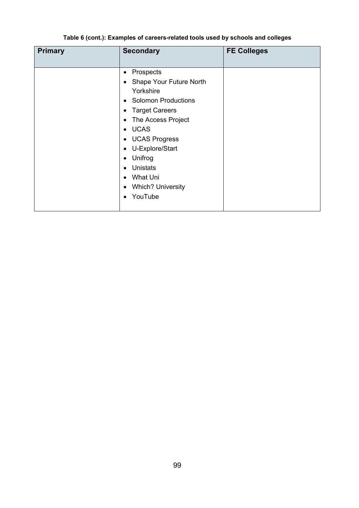#### **Table 6 (cont.): Examples of careers-related tools used by schools and colleges**

| <b>Primary</b> | <b>Secondary</b>                                                                                                                                                                                                                                                                                                                     | <b>FE Colleges</b> |
|----------------|--------------------------------------------------------------------------------------------------------------------------------------------------------------------------------------------------------------------------------------------------------------------------------------------------------------------------------------|--------------------|
|                | Prospects<br>٠<br>• Shape Your Future North<br>Yorkshire<br><b>Solomon Productions</b><br>$\bullet$<br><b>Target Careers</b><br>٠<br>The Access Project<br>• UCAS<br>• UCAS Progress<br>U-Explore/Start<br>$\bullet$<br>Unifrog<br><b>Unistats</b><br>What Uni<br>$\bullet$<br><b>Which? University</b><br>٠<br>YouTube<br>$\bullet$ |                    |
|                |                                                                                                                                                                                                                                                                                                                                      |                    |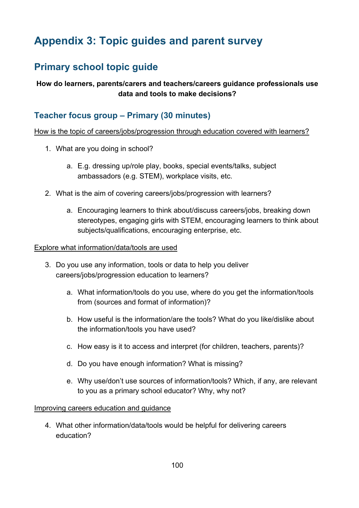# **Appendix 3: Topic guides and parent survey**

# **Primary school topic guide**

#### **How do learners, parents/carers and teachers/careers guidance professionals use data and tools to make decisions?**

### **Teacher focus group – Primary (30 minutes)**

#### How is the topic of careers/jobs/progression through education covered with learners?

- 1. What are you doing in school?
	- a. E.g. dressing up/role play, books, special events/talks, subject ambassadors (e.g. STEM), workplace visits, etc.
- 2. What is the aim of covering careers/jobs/progression with learners?
	- a. Encouraging learners to think about/discuss careers/jobs, breaking down stereotypes, engaging girls with STEM, encouraging learners to think about subjects/qualifications, encouraging enterprise, etc.

#### Explore what information/data/tools are used

- 3. Do you use any information, tools or data to help you deliver careers/jobs/progression education to learners?
	- a. What information/tools do you use, where do you get the information/tools from (sources and format of information)?
	- b. How useful is the information/are the tools? What do you like/dislike about the information/tools you have used?
	- c. How easy is it to access and interpret (for children, teachers, parents)?
	- d. Do you have enough information? What is missing?
	- e. Why use/don't use sources of information/tools? Which, if any, are relevant to you as a primary school educator? Why, why not?

#### Improving careers education and guidance

4. What other information/data/tools would be helpful for delivering careers education?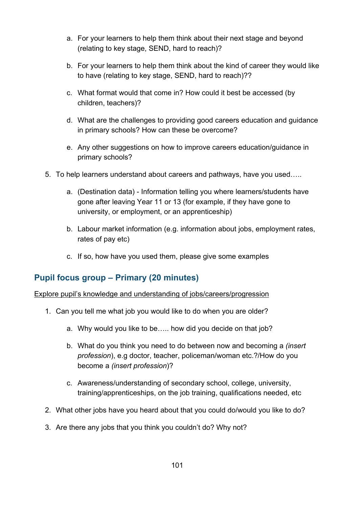- a. For your learners to help them think about their next stage and beyond (relating to key stage, SEND, hard to reach)?
- b. For your learners to help them think about the kind of career they would like to have (relating to key stage, SEND, hard to reach)??
- c. What format would that come in? How could it best be accessed (by children, teachers)?
- d. What are the challenges to providing good careers education and guidance in primary schools? How can these be overcome?
- e. Any other suggestions on how to improve careers education/guidance in primary schools?
- 5. To help learners understand about careers and pathways, have you used…..
	- a. (Destination data) Information telling you where learners/students have gone after leaving Year 11 or 13 (for example, if they have gone to university, or employment, or an apprenticeship)
	- b. Labour market information (e.g. information about jobs, employment rates, rates of pay etc)
	- c. If so, how have you used them, please give some examples

### **Pupil focus group – Primary (20 minutes)**

Explore pupil's knowledge and understanding of jobs/careers/progression

- 1. Can you tell me what job you would like to do when you are older?
	- a. Why would you like to be….. how did you decide on that job?
	- b. What do you think you need to do between now and becoming a *(insert profession*), e.g doctor, teacher, policeman/woman etc.?/How do you become a *(insert profession*)?
	- c. Awareness/understanding of secondary school, college, university, training/apprenticeships, on the job training, qualifications needed, etc
- 2. What other jobs have you heard about that you could do/would you like to do?
- 3. Are there any jobs that you think you couldn't do? Why not?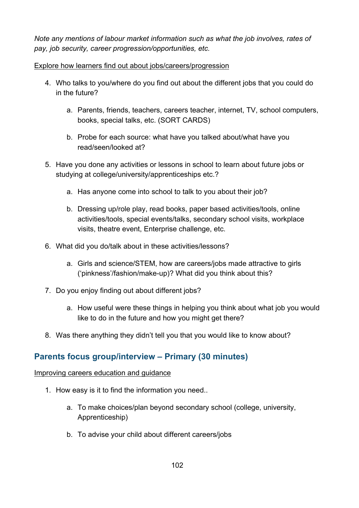*Note any mentions of labour market information such as what the job involves, rates of pay, job security, career progression/opportunities, etc.*

#### Explore how learners find out about jobs/careers/progression

- 4. Who talks to you/where do you find out about the different jobs that you could do in the future?
	- a. Parents, friends, teachers, careers teacher, internet, TV, school computers, books, special talks, etc. (SORT CARDS)
	- b. Probe for each source: what have you talked about/what have you read/seen/looked at?
- 5. Have you done any activities or lessons in school to learn about future jobs or studying at college/university/apprenticeships etc.?
	- a. Has anyone come into school to talk to you about their job?
	- b. Dressing up/role play, read books, paper based activities/tools, online activities/tools, special events/talks, secondary school visits, workplace visits, theatre event, Enterprise challenge, etc.
- 6. What did you do/talk about in these activities/lessons?
	- a. Girls and science/STEM, how are careers/jobs made attractive to girls ('pinkness'/fashion/make-up)? What did you think about this?
- 7. Do you enjoy finding out about different jobs?
	- a. How useful were these things in helping you think about what job you would like to do in the future and how you might get there?
- 8. Was there anything they didn't tell you that you would like to know about?

### **Parents focus group/interview – Primary (30 minutes)**

#### Improving careers education and guidance

- 1. How easy is it to find the information you need..
	- a. To make choices/plan beyond secondary school (college, university, Apprenticeship)
	- b. To advise your child about different careers/jobs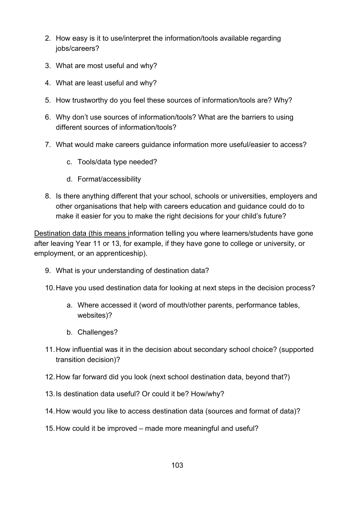- 2. How easy is it to use/interpret the information/tools available regarding jobs/careers?
- 3. What are most useful and why?
- 4. What are least useful and why?
- 5. How trustworthy do you feel these sources of information/tools are? Why?
- 6. Why don't use sources of information/tools? What are the barriers to using different sources of information/tools?
- 7. What would make careers guidance information more useful/easier to access?
	- c. Tools/data type needed?
	- d. Format/accessibility
- 8. Is there anything different that your school, schools or universities, employers and other organisations that help with careers education and guidance could do to make it easier for you to make the right decisions for your child's future?

Destination data (this means information telling you where learners/students have gone after leaving Year 11 or 13, for example, if they have gone to college or university, or employment, or an apprenticeship).

9. What is your understanding of destination data?

10.Have you used destination data for looking at next steps in the decision process?

- a. Where accessed it (word of mouth/other parents, performance tables, websites)?
- b. Challenges?
- 11.How influential was it in the decision about secondary school choice? (supported transition decision)?
- 12.How far forward did you look (next school destination data, beyond that?)
- 13.Is destination data useful? Or could it be? How/why?
- 14.How would you like to access destination data (sources and format of data)?
- 15.How could it be improved made more meaningful and useful?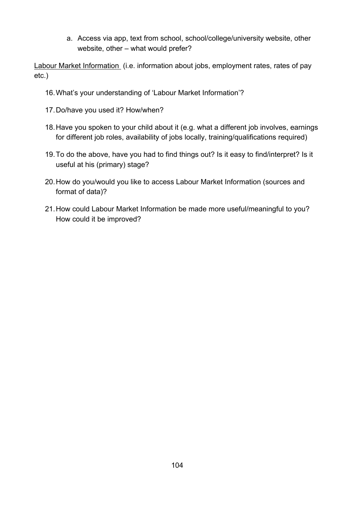a. Access via app, text from school, school/college/university website, other website, other – what would prefer?

Labour Market Information (i.e. information about jobs, employment rates, rates of pay etc.)

- 16.What's your understanding of 'Labour Market Information'?
- 17.Do/have you used it? How/when?
- 18.Have you spoken to your child about it (e.g. what a different job involves, earnings for different job roles, availability of jobs locally, training/qualifications required)
- 19.To do the above, have you had to find things out? Is it easy to find/interpret? Is it useful at his (primary) stage?
- 20.How do you/would you like to access Labour Market Information (sources and format of data)?
- 21.How could Labour Market Information be made more useful/meaningful to you? How could it be improved?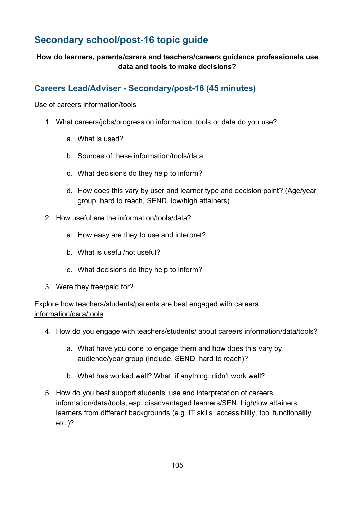# **Secondary school/post-16 topic guide**

#### **How do learners, parents/carers and teachers/careers guidance professionals use data and tools to make decisions?**

## **Careers Lead/Adviser - Secondary/post-16 (45 minutes)**

#### Use of careers information/tools

- 1. What careers/jobs/progression information, tools or data do you use?
	- a. What is used?
	- b. Sources of these information/tools/data
	- c. What decisions do they help to inform?
	- d. How does this vary by user and learner type and decision point? (Age/year group, hard to reach, SEND, low/high attainers)
- 2. How useful are the information/tools/data?
	- a. How easy are they to use and interpret?
	- b. What is useful/not useful?
	- c. What decisions do they help to inform?
- 3. Were they free/paid for?

Explore how teachers/students/parents are best engaged with careers information/data/tools

- 4. How do you engage with teachers/students/ about careers information/data/tools?
	- a. What have you done to engage them and how does this vary by audience/year group (include, SEND, hard to reach)?
	- b. What has worked well? What, if anything, didn't work well?
- 5. How do you best support students' use and interpretation of careers information/data/tools, esp. disadvantaged learners/SEN, high/low attainers, learners from different backgrounds (e.g. IT skills, accessibility, tool functionality etc.)?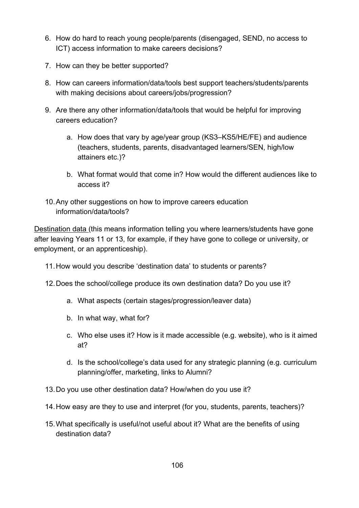- 6. How do hard to reach young people/parents (disengaged, SEND, no access to ICT) access information to make careers decisions?
- 7. How can they be better supported?
- 8. How can careers information/data/tools best support teachers/students/parents with making decisions about careers/jobs/progression?
- 9. Are there any other information/data/tools that would be helpful for improving careers education?
	- a. How does that vary by age/year group (KS3–KS5/HE/FE) and audience (teachers, students, parents, disadvantaged learners/SEN, high/low attainers etc.)?
	- b. What format would that come in? How would the different audiences like to access it?
- 10.Any other suggestions on how to improve careers education information/data/tools?

Destination data (this means information telling you where learners/students have gone after leaving Years 11 or 13, for example, if they have gone to college or university, or employment, or an apprenticeship).

- 11.How would you describe 'destination data' to students or parents?
- 12.Does the school/college produce its own destination data? Do you use it?
	- a. What aspects (certain stages/progression/leaver data)
	- b. In what way, what for?
	- c. Who else uses it? How is it made accessible (e.g. website), who is it aimed at?
	- d. Is the school/college's data used for any strategic planning (e.g. curriculum planning/offer, marketing, links to Alumni?
- 13.Do you use other destination data? How/when do you use it?
- 14.How easy are they to use and interpret (for you, students, parents, teachers)?
- 15.What specifically is useful/not useful about it? What are the benefits of using destination data?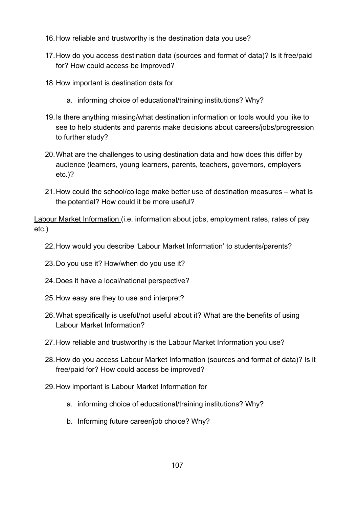- 16.How reliable and trustworthy is the destination data you use?
- 17.How do you access destination data (sources and format of data)? Is it free/paid for? How could access be improved?
- 18.How important is destination data for
	- a. informing choice of educational/training institutions? Why?
- 19.Is there anything missing/what destination information or tools would you like to see to help students and parents make decisions about careers/jobs/progression to further study?
- 20.What are the challenges to using destination data and how does this differ by audience (learners, young learners, parents, teachers, governors, employers etc.)?
- 21.How could the school/college make better use of destination measures what is the potential? How could it be more useful?

Labour Market Information (i.e. information about jobs, employment rates, rates of pay etc.)

- 22.How would you describe 'Labour Market Information' to students/parents?
- 23.Do you use it? How/when do you use it?
- 24.Does it have a local/national perspective?
- 25.How easy are they to use and interpret?
- 26.What specifically is useful/not useful about it? What are the benefits of using Labour Market Information?
- 27.How reliable and trustworthy is the Labour Market Information you use?
- 28.How do you access Labour Market Information (sources and format of data)? Is it free/paid for? How could access be improved?
- 29.How important is Labour Market Information for
	- a. informing choice of educational/training institutions? Why?
	- b. Informing future career/job choice? Why?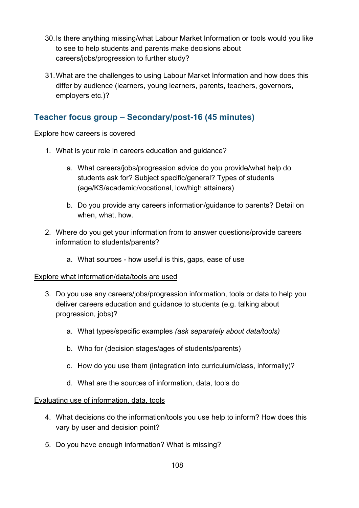- 30.Is there anything missing/what Labour Market Information or tools would you like to see to help students and parents make decisions about careers/jobs/progression to further study?
- 31.What are the challenges to using Labour Market Information and how does this differ by audience (learners, young learners, parents, teachers, governors, employers etc.)?

## **Teacher focus group – Secondary/post-16 (45 minutes)**

#### Explore how careers is covered

- 1. What is your role in careers education and guidance?
	- a. What careers/jobs/progression advice do you provide/what help do students ask for? Subject specific/general? Types of students (age/KS/academic/vocational, low/high attainers)
	- b. Do you provide any careers information/guidance to parents? Detail on when, what, how.
- 2. Where do you get your information from to answer questions/provide careers information to students/parents?
	- a. What sources how useful is this, gaps, ease of use

#### Explore what information/data/tools are used

- 3. Do you use any careers/jobs/progression information, tools or data to help you deliver careers education and guidance to students (e.g. talking about progression, jobs)?
	- a. What types/specific examples *(ask separately about data/tools)*
	- b. Who for (decision stages/ages of students/parents)
	- c. How do you use them (integration into curriculum/class, informally)?
	- d. What are the sources of information, data, tools do

#### Evaluating use of information, data, tools

- 4. What decisions do the information/tools you use help to inform? How does this vary by user and decision point?
- 5. Do you have enough information? What is missing?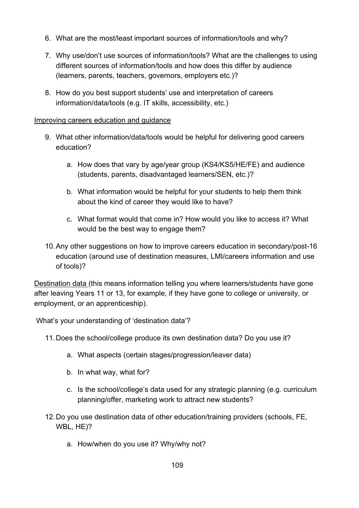- 6. What are the most/least important sources of information/tools and why?
- 7. Why use/don't use sources of information/tools? What are the challenges to using different sources of information/tools and how does this differ by audience (learners, parents, teachers, governors, employers etc.)?
- 8. How do you best support students' use and interpretation of careers information/data/tools (e.g. IT skills, accessibility, etc.)

#### Improving careers education and guidance

- 9. What other information/data/tools would be helpful for delivering good careers education?
	- a. How does that vary by age/year group (KS4/KS5/HE/FE) and audience (students, parents, disadvantaged learners/SEN, etc.)?
	- b. What information would be helpful for your students to help them think about the kind of career they would like to have?
	- c. What format would that come in? How would you like to access it? What would be the best way to engage them?
- 10.Any other suggestions on how to improve careers education in secondary/post-16 education (around use of destination measures, LMI/careers information and use of tools)?

Destination data (this means information telling you where learners/students have gone after leaving Years 11 or 13, for example, if they have gone to college or university, or employment, or an apprenticeship).

What's your understanding of 'destination data'?

- 11.Does the school/college produce its own destination data? Do you use it?
	- a. What aspects (certain stages/progression/leaver data)
	- b. In what way, what for?
	- c. Is the school/college's data used for any strategic planning (e.g. curriculum planning/offer, marketing work to attract new students?
- 12.Do you use destination data of other education/training providers (schools, FE, WBL, HE)?
	- a. How/when do you use it? Why/why not?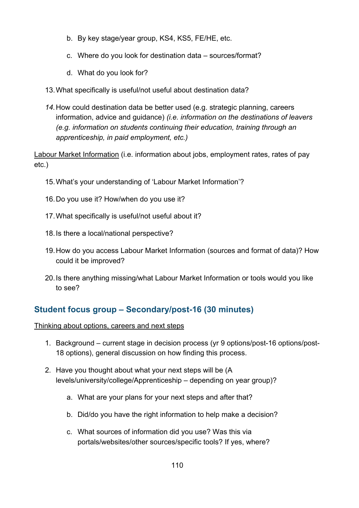- b. By key stage/year group, KS4, KS5, FE/HE, etc.
- c. Where do you look for destination data sources/format?
- d. What do you look for?
- 13.What specifically is useful/not useful about destination data?
- *14.*How could destination data be better used (e.g. strategic planning, careers information, advice and guidance) *(i.e. information on the destinations of leavers (e.g. information on students continuing their education, training through an apprenticeship, in paid employment, etc.)*

Labour Market Information (i.e. information about jobs, employment rates, rates of pay etc.)

- 15.What's your understanding of 'Labour Market Information'?
- 16.Do you use it? How/when do you use it?
- 17.What specifically is useful/not useful about it?
- 18.Is there a local/national perspective?
- 19.How do you access Labour Market Information (sources and format of data)? How could it be improved?
- 20.Is there anything missing/what Labour Market Information or tools would you like to see?

# **Student focus group – Secondary/post-16 (30 minutes)**

#### Thinking about options, careers and next steps

- 1. Background current stage in decision process (yr 9 options/post-16 options/post-18 options), general discussion on how finding this process.
- 2. Have you thought about what your next steps will be (A levels/university/college/Apprenticeship – depending on year group)?
	- a. What are your plans for your next steps and after that?
	- b. Did/do you have the right information to help make a decision?
	- c. What sources of information did you use? Was this via portals/websites/other sources/specific tools? If yes, where?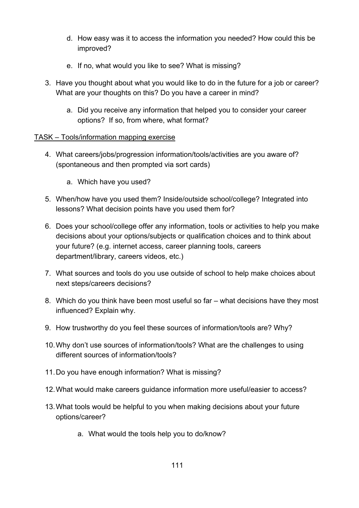- d. How easy was it to access the information you needed? How could this be improved?
- e. If no, what would you like to see? What is missing?
- 3. Have you thought about what you would like to do in the future for a job or career? What are your thoughts on this? Do you have a career in mind?
	- a. Did you receive any information that helped you to consider your career options? If so, from where, what format?

#### TASK – Tools/information mapping exercise

- 4. What careers/jobs/progression information/tools/activities are you aware of? (spontaneous and then prompted via sort cards)
	- a. Which have you used?
- 5. When/how have you used them? Inside/outside school/college? Integrated into lessons? What decision points have you used them for?
- 6. Does your school/college offer any information, tools or activities to help you make decisions about your options/subjects or qualification choices and to think about your future? (e.g. internet access, career planning tools, careers department/library, careers videos, etc.)
- 7. What sources and tools do you use outside of school to help make choices about next steps/careers decisions?
- 8. Which do you think have been most useful so far what decisions have they most influenced? Explain why.
- 9. How trustworthy do you feel these sources of information/tools are? Why?
- 10.Why don't use sources of information/tools? What are the challenges to using different sources of information/tools?
- 11.Do you have enough information? What is missing?
- 12.What would make careers guidance information more useful/easier to access?
- 13.What tools would be helpful to you when making decisions about your future options/career?
	- a. What would the tools help you to do/know?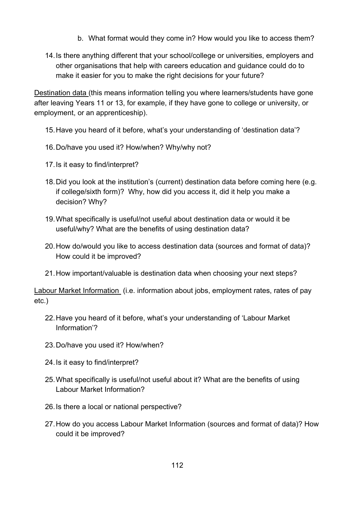- b. What format would they come in? How would you like to access them?
- 14.Is there anything different that your school/college or universities, employers and other organisations that help with careers education and guidance could do to make it easier for you to make the right decisions for your future?

Destination data (this means information telling you where learners/students have gone after leaving Years 11 or 13, for example, if they have gone to college or university, or employment, or an apprenticeship).

- 15.Have you heard of it before, what's your understanding of 'destination data'?
- 16.Do/have you used it? How/when? Why/why not?
- 17.Is it easy to find/interpret?
- 18.Did you look at the institution's (current) destination data before coming here (e.g. if college/sixth form)? Why, how did you access it, did it help you make a decision? Why?
- 19.What specifically is useful/not useful about destination data or would it be useful/why? What are the benefits of using destination data?
- 20.How do/would you like to access destination data (sources and format of data)? How could it be improved?
- 21.How important/valuable is destination data when choosing your next steps?

Labour Market Information (i.e. information about jobs, employment rates, rates of pay etc.)

- 22.Have you heard of it before, what's your understanding of 'Labour Market Information'?
- 23.Do/have you used it? How/when?
- 24.Is it easy to find/interpret?
- 25.What specifically is useful/not useful about it? What are the benefits of using Labour Market Information?
- 26.Is there a local or national perspective?
- 27.How do you access Labour Market Information (sources and format of data)? How could it be improved?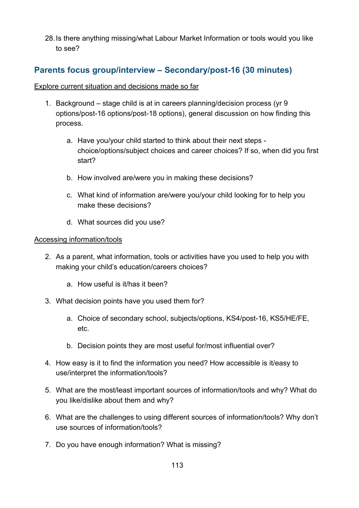28.Is there anything missing/what Labour Market Information or tools would you like to see?

# **Parents focus group/interview – Secondary/post-16 (30 minutes)**

#### Explore current situation and decisions made so far

- 1. Background stage child is at in careers planning/decision process (yr 9 options/post-16 options/post-18 options), general discussion on how finding this process.
	- a. Have you/your child started to think about their next steps choice/options/subject choices and career choices? If so, when did you first start?
	- b. How involved are/were you in making these decisions?
	- c. What kind of information are/were you/your child looking for to help you make these decisions?
	- d. What sources did you use?

#### Accessing information/tools

- 2. As a parent, what information, tools or activities have you used to help you with making your child's education/careers choices?
	- a. How useful is it/has it been?
- 3. What decision points have you used them for?
	- a. Choice of secondary school, subjects/options, KS4/post-16, KS5/HE/FE, etc.
	- b. Decision points they are most useful for/most influential over?
- 4. How easy is it to find the information you need? How accessible is it/easy to use/interpret the information/tools?
- 5. What are the most/least important sources of information/tools and why? What do you like/dislike about them and why?
- 6. What are the challenges to using different sources of information/tools? Why don't use sources of information/tools?
- 7. Do you have enough information? What is missing?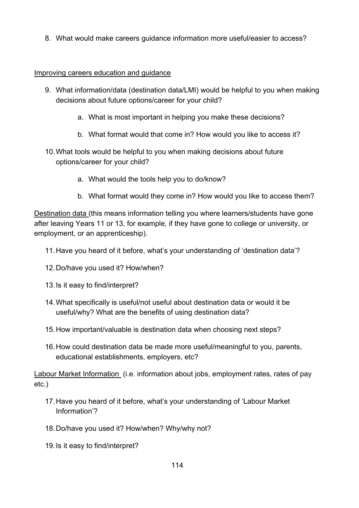8. What would make careers guidance information more useful/easier to access?

#### Improving careers education and guidance

- 9. What information/data (destination data/LMI) would be helpful to you when making decisions about future options/career for your child?
	- a. What is most important in helping you make these decisions?
	- b. What format would that come in? How would you like to access it?
- 10.What tools would be helpful to you when making decisions about future options/career for your child?
	- a. What would the tools help you to do/know?
	- b. What format would they come in? How would you like to access them?

Destination data (this means information telling you where learners/students have gone after leaving Years 11 or 13, for example, if they have gone to college or university, or employment, or an apprenticeship).

- 11.Have you heard of it before, what's your understanding of 'destination data'?
- 12.Do/have you used it? How/when?
- 13.Is it easy to find/interpret?
- 14.What specifically is useful/not useful about destination data or would it be useful/why? What are the benefits of using destination data?
- 15.How important/valuable is destination data when choosing next steps?
- 16.How could destination data be made more useful/meaningful to you, parents, educational establishments, employers, etc?

Labour Market Information (i.e. information about jobs, employment rates, rates of pay etc.)

- 17.Have you heard of it before, what's your understanding of 'Labour Market Information'?
- 18.Do/have you used it? How/when? Why/why not?
- 19.Is it easy to find/interpret?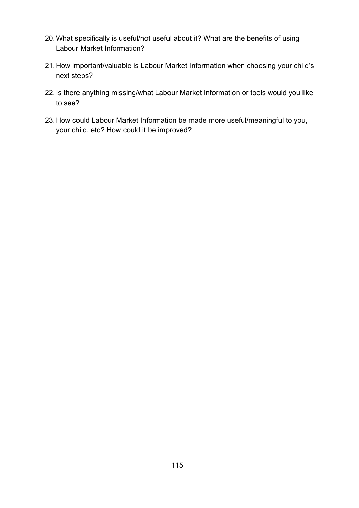- 20.What specifically is useful/not useful about it? What are the benefits of using Labour Market Information?
- 21.How important/valuable is Labour Market Information when choosing your child's next steps?
- 22.Is there anything missing/what Labour Market Information or tools would you like to see?
- 23.How could Labour Market Information be made more useful/meaningful to you, your child, etc? How could it be improved?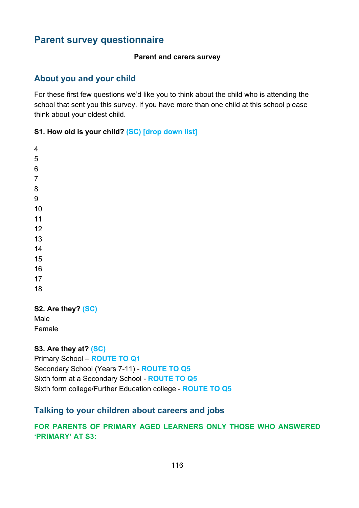# **Parent survey questionnaire**

#### **Parent and carers survey**

## **About you and your child**

For these first few questions we'd like you to think about the child who is attending the school that sent you this survey. If you have more than one child at this school please think about your oldest child.

#### **S1. How old is your child? (SC) [drop down list]**

#### **S2. Are they? (SC)**

Male Female

**S3. Are they at? (SC)**

Primary School – **ROUTE TO Q1**

Secondary School (Years 7-11) - **ROUTE TO Q5** Sixth form at a Secondary School - **ROUTE TO Q5**

# Sixth form college/Further Education college - **ROUTE TO Q5**

## **Talking to your children about careers and jobs**

## **FOR PARENTS OF PRIMARY AGED LEARNERS ONLY THOSE WHO ANSWERED 'PRIMARY' AT S3:**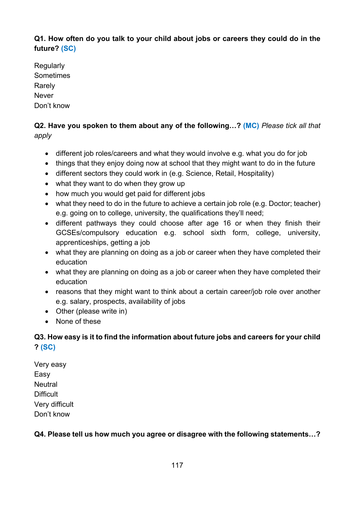## **Q1. How often do you talk to your child about jobs or careers they could do in the future? (SC)**

**Regularly** Sometimes Rarely Never Don't know

## **Q2. Have you spoken to them about any of the following…? (MC)** *Please tick all that apply*

- different job roles/careers and what they would involve e.g. what you do for job
- things that they enjoy doing now at school that they might want to do in the future
- different sectors they could work in (e.g. Science, Retail, Hospitality)
- what they want to do when they grow up
- how much you would get paid for different jobs
- what they need to do in the future to achieve a certain job role (e.g. Doctor; teacher) e.g. going on to college, university, the qualifications they'll need;
- different pathways they could choose after age 16 or when they finish their GCSEs/compulsory education e.g. school sixth form, college, university, apprenticeships, getting a job
- what they are planning on doing as a job or career when they have completed their education
- what they are planning on doing as a job or career when they have completed their education
- reasons that they might want to think about a certain career/job role over another e.g. salary, prospects, availability of jobs
- Other (please write in)
- None of these

## **Q3. How easy is it to find the information about future jobs and careers for your child ? (SC)**

Very easy Easy **Neutral Difficult** Very difficult Don't know

## **Q4. Please tell us how much you agree or disagree with the following statements…?**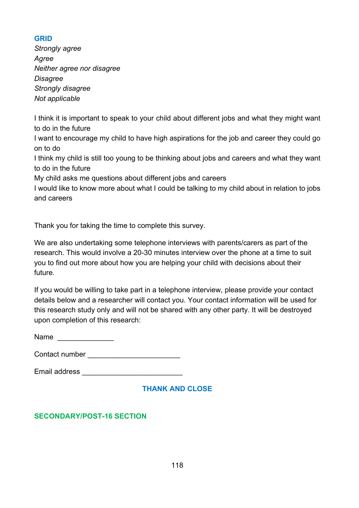#### **GRID**

*Strongly agree Agree Neither agree nor disagree Disagree Strongly disagree Not applicable* 

I think it is important to speak to your child about different jobs and what they might want to do in the future

I want to encourage my child to have high aspirations for the job and career they could go on to do

I think my child is still too young to be thinking about jobs and careers and what they want to do in the future

My child asks me questions about different jobs and careers

I would like to know more about what I could be talking to my child about in relation to jobs and careers

Thank you for taking the time to complete this survey.

We are also undertaking some telephone interviews with parents/carers as part of the research. This would involve a 20-30 minutes interview over the phone at a time to suit you to find out more about how you are helping your child with decisions about their future.

If you would be willing to take part in a telephone interview, please provide your contact details below and a researcher will contact you. Your contact information will be used for this research study only and will not be shared with any other party. It will be destroyed upon completion of this research:

Name **and the set of the set of the set of the set of the set of the set of the set of the set of the set of the set of the set of the set of the set of the set of the set of the set of the set of the set of the set of the** 

Contact number **Exercise 20** 

Email address \_\_\_\_\_\_\_\_\_\_\_\_\_\_\_\_\_\_\_\_\_\_\_\_\_

## **THANK AND CLOSE**

## **SECONDARY/POST-16 SECTION**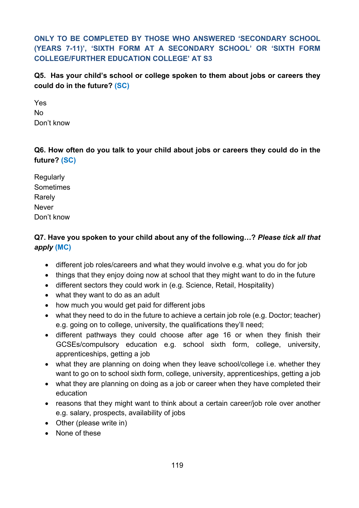**ONLY TO BE COMPLETED BY THOSE WHO ANSWERED 'SECONDARY SCHOOL (YEARS 7-11)', 'SIXTH FORM AT A SECONDARY SCHOOL' OR 'SIXTH FORM COLLEGE/FURTHER EDUCATION COLLEGE' AT S3**

**Q5. Has your child's school or college spoken to them about jobs or careers they could do in the future? (SC)**

Yes No Don't know

**Q6. How often do you talk to your child about jobs or careers they could do in the future? (SC)**

**Regularly** Sometimes Rarely Never Don't know

## **Q7. Have you spoken to your child about any of the following…?** *Please tick all that apply* **(MC)**

- different job roles/careers and what they would involve e.g. what you do for job
- things that they enjoy doing now at school that they might want to do in the future
- different sectors they could work in (e.g. Science, Retail, Hospitality)
- what they want to do as an adult
- how much you would get paid for different jobs
- what they need to do in the future to achieve a certain job role (e.g. Doctor; teacher) e.g. going on to college, university, the qualifications they'll need;
- different pathways they could choose after age 16 or when they finish their GCSEs/compulsory education e.g. school sixth form, college, university, apprenticeships, getting a job
- what they are planning on doing when they leave school/college i.e. whether they want to go on to school sixth form, college, university, apprenticeships, getting a job
- what they are planning on doing as a job or career when they have completed their education
- reasons that they might want to think about a certain career/job role over another e.g. salary, prospects, availability of jobs
- Other (please write in)
- None of these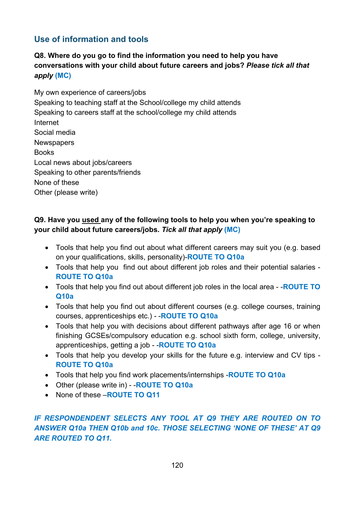# **Use of information and tools**

## **Q8. Where do you go to find the information you need to help you have conversations with your child about future careers and jobs?** *Please tick all that apply* **(MC)**

My own experience of careers/jobs Speaking to teaching staff at the School/college my child attends Speaking to careers staff at the school/college my child attends Internet Social media **Newspapers** Books Local news about jobs/careers Speaking to other parents/friends None of these Other (please write)

## **Q9. Have you used any of the following tools to help you when you're speaking to your child about future careers/jobs.** *Tick all that apply* **(MC)**

- Tools that help you find out about what different careers may suit you (e.g. based on your qualifications, skills, personality)-**ROUTE TO Q10a**
- Tools that help you find out about different job roles and their potential salaries **ROUTE TO Q10a**
- Tools that help you find out about different job roles in the local area -**ROUTE TO Q10a**
- Tools that help you find out about different courses (e.g. college courses, training courses, apprenticeships etc.) - -**ROUTE TO Q10a**
- Tools that help you with decisions about different pathways after age 16 or when finishing GCSEs/compulsory education e.g. school sixth form, college, university, apprenticeships, getting a job - -**ROUTE TO Q10a**
- Tools that help you develop your skills for the future e.g. interview and CV tips **ROUTE TO Q10a**
- Tools that help you find work placements/internships -**ROUTE TO Q10a**
- Other (please write in) -**ROUTE TO Q10a**
- None of these –**ROUTE TO Q11**

## *IF RESPONDENDENT SELECTS ANY TOOL AT Q9 THEY ARE ROUTED ON TO ANSWER Q10a THEN Q10b and 10c. THOSE SELECTING 'NONE OF THESE' AT Q9 ARE ROUTED TO Q11.*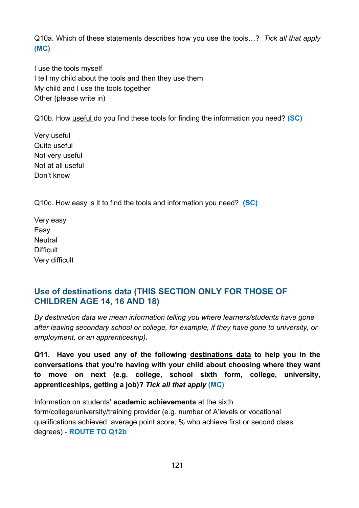Q10a. Which of these statements describes how you use the tools…? *Tick all that apply* **(MC)**

I use the tools myself I tell my child about the tools and then they use them My child and I use the tools together Other (please write in)

Q10b. How useful do you find these tools for finding the information you need? **(SC)**

Very useful Quite useful Not very useful Not at all useful Don't know

Q10c. How easy is it to find the tools and information you need? **(SC)**

Very easy Easy **Neutral Difficult** Very difficult

## **Use of destinations data (THIS SECTION ONLY FOR THOSE OF CHILDREN AGE 14, 16 AND 18)**

*By destination data we mean information telling you where learners/students have gone after leaving secondary school or college, for example, if they have gone to university, or employment, or an apprenticeship).*

**Q11. Have you used any of the following destinations data to help you in the conversations that you're having with your child about choosing where they want to move on next (e.g. college, school sixth form, college, university, apprenticeships, getting a job)?** *Tick all that apply* **(MC)**

Information on students' **academic achievements** at the sixth form/college/university/training provider (e.g. number of A'levels or vocational qualifications achieved; average point score; % who achieve first or second class degrees) - **ROUTE TO Q12b**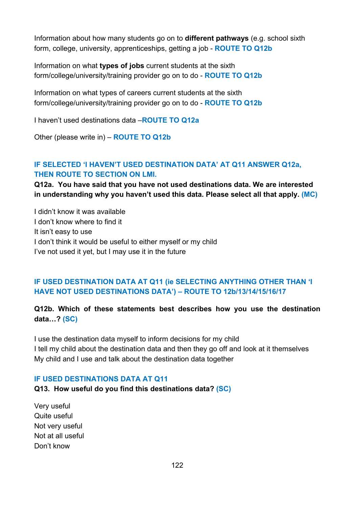Information about how many students go on to **different pathways** (e.g. school sixth form, college, university, apprenticeships, getting a job - **ROUTE TO Q12b**

Information on what **types of jobs** current students at the sixth form/college/university/training provider go on to do - **ROUTE TO Q12b**

Information on what types of careers current students at the sixth form/college/university/training provider go on to do - **ROUTE TO Q12b**

I haven't used destinations data –**ROUTE TO Q12a**

Other (please write in) – **ROUTE TO Q12b**

#### **IF SELECTED 'I HAVEN'T USED DESTINATION DATA' AT Q11 ANSWER Q12a, THEN ROUTE TO SECTION ON LMI.**

**Q12a. You have said that you have not used destinations data. We are interested in understanding why you haven't used this data. Please select all that apply. (MC)** 

I didn't know it was available I don't know where to find it It isn't easy to use I don't think it would be useful to either myself or my child I've not used it yet, but I may use it in the future

## **IF USED DESTINATION DATA AT Q11 (ie SELECTING ANYTHING OTHER THAN 'I HAVE NOT USED DESTINATIONS DATA') – ROUTE TO 12b/13/14/15/16/17**

#### **Q12b. Which of these statements best describes how you use the destination data…? (SC)**

I use the destination data myself to inform decisions for my child I tell my child about the destination data and then they go off and look at it themselves My child and I use and talk about the destination data together

#### **IF USED DESTINATIONS DATA AT Q11**

#### **Q13. How useful do you find this destinations data? (SC)**

Very useful Quite useful Not very useful Not at all useful Don't know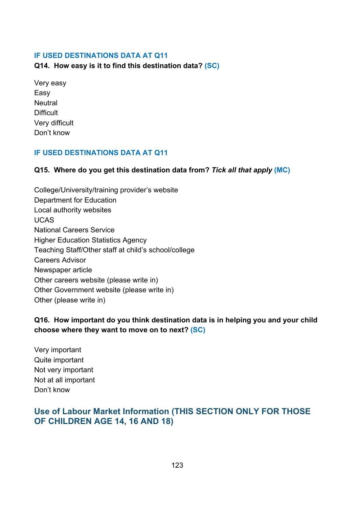#### **IF USED DESTINATIONS DATA AT Q11**

#### **Q14. How easy is it to find this destination data? (SC)**

Very easy Easy **Neutral Difficult** Very difficult Don't know

#### **IF USED DESTINATIONS DATA AT Q11**

#### **Q15. Where do you get this destination data from?** *Tick all that apply* **(MC)**

College/University/training provider's website Department for Education Local authority websites UCAS National Careers Service Higher Education Statistics Agency Teaching Staff/Other staff at child's school/college Careers Advisor Newspaper article Other careers website (please write in) Other Government website (please write in) Other (please write in)

## **Q16. How important do you think destination data is in helping you and your child choose where they want to move on to next? (SC)**

Very important Quite important Not very important Not at all important Don't know

## **Use of Labour Market Information (THIS SECTION ONLY FOR THOSE OF CHILDREN AGE 14, 16 AND 18)**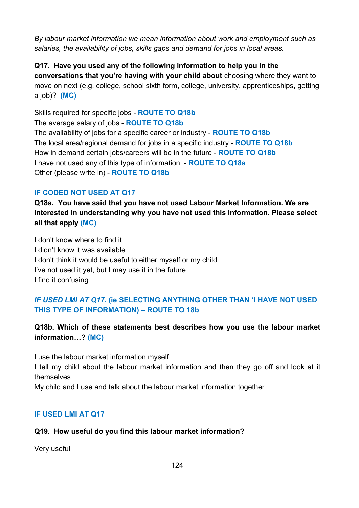*By labour market information we mean information about work and employment such as salaries, the availability of jobs, skills gaps and demand for jobs in local areas.*

**Q17. Have you used any of the following information to help you in the conversations that you're having with your child about** choosing where they want to move on next (e.g. college, school sixth form, college, university, apprenticeships, getting a job)? **(MC)**

Skills required for specific jobs - **ROUTE TO Q18b**

The average salary of jobs - **ROUTE TO Q18b**

The availability of jobs for a specific career or industry - **ROUTE TO Q18b** The local area/regional demand for jobs in a specific industry - **ROUTE TO Q18b** How in demand certain jobs/careers will be in the future - **ROUTE TO Q18b** I have not used any of this type of information - **ROUTE TO Q18a** Other (please write in) - **ROUTE TO Q18b**

## **IF CODED NOT USED AT Q17**

**Q18a. You have said that you have not used Labour Market Information. We are interested in understanding why you have not used this information. Please select all that apply (MC)** 

I don't know where to find it I didn't know it was available I don't think it would be useful to either myself or my child I've not used it yet, but I may use it in the future I find it confusing

## *IF USED LMI AT Q17.* **(ie SELECTING ANYTHING OTHER THAN 'I HAVE NOT USED THIS TYPE OF INFORMATION) – ROUTE TO 18b**

**Q18b. Which of these statements best describes how you use the labour market information…? (MC)**

I use the labour market information myself

I tell my child about the labour market information and then they go off and look at it themselves

My child and I use and talk about the labour market information together

## **IF USED LMI AT Q17**

## **Q19. How useful do you find this labour market information?**

Very useful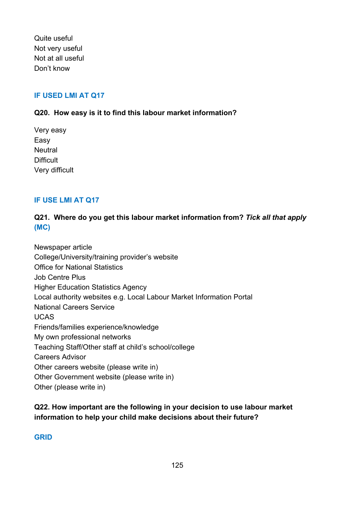Quite useful Not very useful Not at all useful Don't know

#### **IF USED LMI AT Q17**

#### **Q20. How easy is it to find this labour market information?**

Very easy Easy **Neutral Difficult** Very difficult

#### **IF USE LMI AT Q17**

## **Q21. Where do you get this labour market information from?** *Tick all that apply*  **(MC)**

Newspaper article College/University/training provider's website Office for National Statistics Job Centre Plus Higher Education Statistics Agency Local authority websites e.g. Local Labour Market Information Portal National Careers Service UCAS Friends/families experience/knowledge My own professional networks Teaching Staff/Other staff at child's school/college Careers Advisor Other careers website (please write in) Other Government website (please write in) Other (please write in)

## **Q22. How important are the following in your decision to use labour market information to help your child make decisions about their future?**

#### **GRID**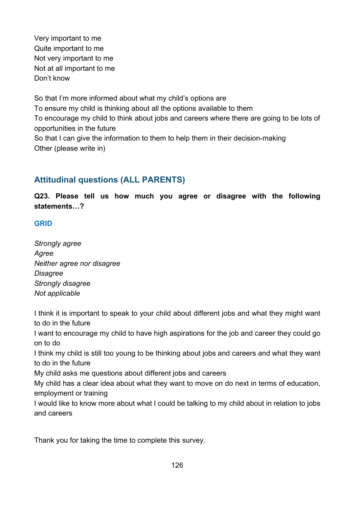Very important to me Quite important to me Not very important to me Not at all important to me Don't know

So that I'm more informed about what my child's options are To ensure my child is thinking about all the options available to them To encourage my child to think about jobs and careers where there are going to be lots of opportunities in the future So that I can give the information to them to help them in their decision-making Other (please write in)

# **Attitudinal questions (ALL PARENTS)**

**Q23. Please tell us how much you agree or disagree with the following statements…?**

#### **GRID**

*Strongly agree Agree Neither agree nor disagree Disagree Strongly disagree Not applicable* 

I think it is important to speak to your child about different jobs and what they might want to do in the future

I want to encourage my child to have high aspirations for the job and career they could go on to do

I think my child is still too young to be thinking about jobs and careers and what they want to do in the future

My child asks me questions about different jobs and careers

My child has a clear idea about what they want to move on do next in terms of education, employment or training

I would like to know more about what I could be talking to my child about in relation to jobs and careers

Thank you for taking the time to complete this survey.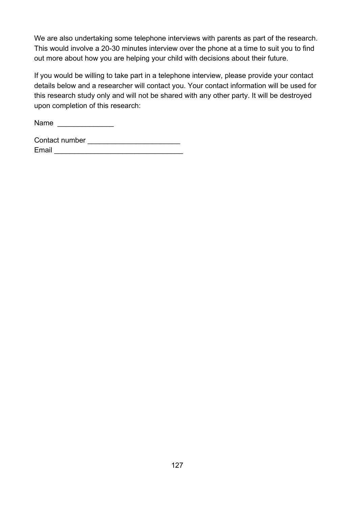We are also undertaking some telephone interviews with parents as part of the research. This would involve a 20-30 minutes interview over the phone at a time to suit you to find out more about how you are helping your child with decisions about their future.

If you would be willing to take part in a telephone interview, please provide your contact details below and a researcher will contact you. Your contact information will be used for this research study only and will not be shared with any other party. It will be destroyed upon completion of this research:

Name \_\_\_\_\_\_\_\_\_\_\_\_\_\_

| Contact number |  |  |
|----------------|--|--|
| Email          |  |  |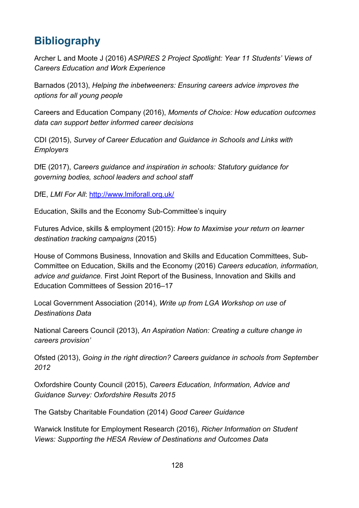# **Bibliography**

Archer L and Moote J (2016) *ASPIRES 2 Project Spotlight: Year 11 Students' Views of Careers Education and Work Experience*

Barnados (2013), *Helping the inbetweeners: Ensuring careers advice improves the options for all young people*

Careers and Education Company (2016), *Moments of Choice: How education outcomes data can support better informed career decisions*

CDI (2015), *Survey of Career Education and Guidance in Schools and Links with Employers*

DfE (2017), *Careers guidance and inspiration in schools: Statutory guidance for governing bodies, school leaders and school staff*

DfE, *LMI For All*:<http://www.lmiforall.org.uk/>

Education, Skills and the Economy Sub-Committee's inquiry

Futures Advice, skills & employment (2015): *How to Maximise your return on learner destination tracking campaigns* (2015)

House of Commons Business, Innovation and Skills and Education Committees, Sub-Committee on Education, Skills and the Economy (2016) *Careers education, information, advice and guidance.* First Joint Report of the Business, Innovation and Skills and Education Committees of Session 2016–17

Local Government Association (2014), *Write up from LGA Workshop on use of Destinations Data*

National Careers Council (2013), *An Aspiration Nation: Creating a culture change in careers provision'*

Ofsted (2013), *Going in the right direction? Careers guidance in schools from September 2012*

Oxfordshire County Council (2015), *Careers Education, Information, Advice and Guidance Survey: Oxfordshire Results 2015*

The Gatsby Charitable Foundation (2014) *Good Career Guidance*

Warwick Institute for Employment Research (2016), *Richer Information on Student Views: Supporting the HESA Review of Destinations and Outcomes Data*